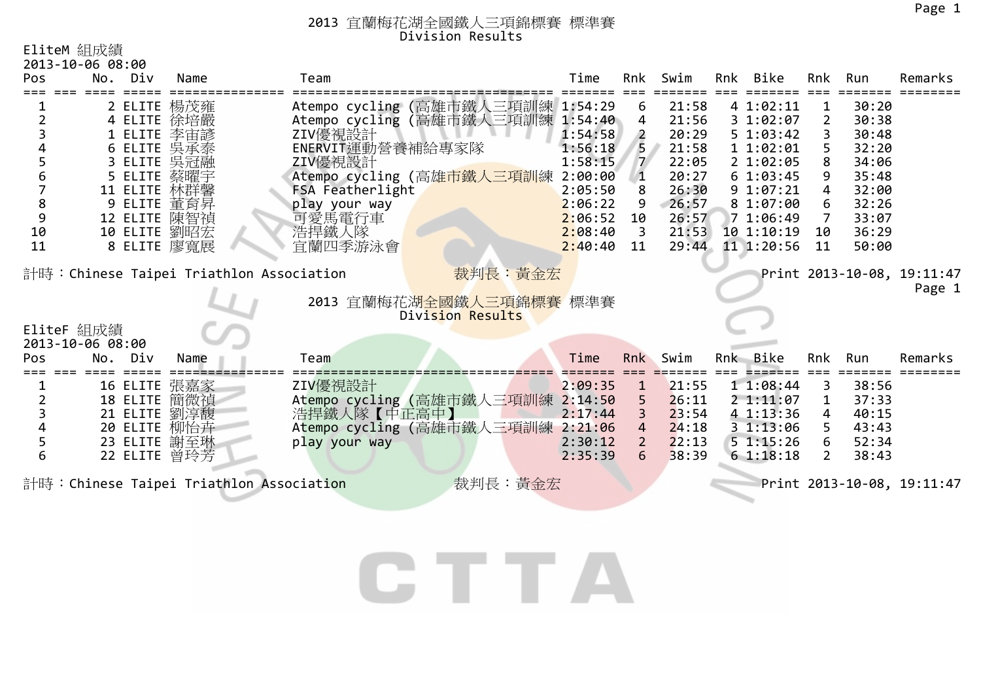EliteM 組成績

|            | 2013-10-06 08:00             |                                          |                                     |                         |         |                       |          |            |                |         |                            |
|------------|------------------------------|------------------------------------------|-------------------------------------|-------------------------|---------|-----------------------|----------|------------|----------------|---------|----------------------------|
| Pos        | No. Div                      | Name                                     | Team                                |                         | Time    |                       | Rnk Swim | Rnk Bike   |                | Rnk Run | Remarks                    |
|            |                              |                                          |                                     |                         |         |                       |          |            |                |         |                            |
|            | 2 ELITE 楊茂雍                  |                                          | Atempo cycling (高雄市鐵人三項訓練 1:54:29   |                         |         | 6                     | 21:58    | 4 1:02:11  |                | 30:20   |                            |
|            | 4 ELITE 徐培嚴                  |                                          | Atempo cycling (高雄市鐵人三項訓練 1:54:40 ) |                         |         | 4                     | 21:56    | 31:02:07   | 2              | 30:38   |                            |
|            | 1 ELITE 李宙諺                  |                                          | ZIV優視設計                             |                         | 1:54:58 | 2                     | 20:29    | 5 1:03:42  | 3              | 30:48   |                            |
|            | 6 ELITE 吴承泰                  |                                          | ENERVIT運動營養補給專家隊                    |                         | 1:56:18 |                       | 21:58    | 11:02:01   | 5.             | 32:20   |                            |
| 5          | 3 ELITE 吳冠融                  |                                          | ZIV優視設計                             |                         | 1:58:15 | $\overline{7}$        | 22:05    | 2 1:02:05  | 8              | 34:06   |                            |
|            | 5 ELITE 蔡曜宇                  |                                          | Atempo cycling (高雄市鐵人三項訓練           |                         | 2:00:00 | 1                     | 20:27    | 61:03:45   | 9              | 35:48   |                            |
|            | 11 ELITE 林群馨                 |                                          | FSA Featherlight                    |                         | 2:05:50 |                       | 26:30    | 9 1:07:21  | 4              | 32:00   |                            |
| 8          | 9 ELITE 董育昇                  |                                          | play your way                       |                         | 2:06:22 |                       | 26:57    | 8 1:07:00  | 6              | 32:26   |                            |
| 9          | 12 ELITE 陳智禎                 |                                          | 可愛馬電行車                              |                         | 2:06:52 | 10                    | 26:57    | 71:06:49   | $\overline{7}$ | 33:07   |                            |
| 10         | 10 ELITE 劉昭宏                 |                                          | 浩捍鐵人隊                               |                         | 2:08:40 | 3                     | 21:53    | 10 1:10:19 | 10             | 36:29   |                            |
| 11         | 8 ELITE 廖寬展                  |                                          | 宜蘭四季游泳會                             |                         | 2:40:40 | 11                    | 29:44    | 11 1:20:56 | 11             | 50:00   |                            |
|            |                              | 計時:Chinese Taipei Triathlon Association  |                                     | 裁判長:黃金宏                 |         |                       |          |            |                |         | Print 2013-10-08, 19:11:47 |
|            |                              |                                          |                                     |                         |         |                       |          |            |                |         | Page 1                     |
|            |                              |                                          |                                     | 2013 宜蘭梅花湖全國鐵人三項錦標賽 標準賽 |         |                       |          |            |                |         |                            |
|            |                              |                                          |                                     | Division Results        |         |                       |          |            |                |         |                            |
| EliteF 組成績 |                              |                                          |                                     |                         |         |                       |          |            |                |         |                            |
|            | 2013-10-06 08:00             |                                          |                                     |                         |         |                       |          |            |                |         |                            |
| Pos.       | No. Div                      | Name                                     | Team                                |                         | Time    | Rnk                   | Swim     | Rnk Bike   | Rnk            | Run     | Remarks                    |
|            | 16 ELITE 張嘉家                 |                                          | ZIV優視設計                             |                         | 2:09:35 | $\mathbf{1}$          | 21:55    | 11:08:44   | 3              | 38:56   |                            |
|            | 18 ELITE 簡微禎                 |                                          | Atempo cycling (高雄市鐵人三項訓練 2:14:50   |                         |         | 5.                    | 26:11    | 2 1:11:07  | $\mathbf{1}$   | 37:33   |                            |
|            | 21 ELITE 劉淳馥                 |                                          | 浩捍鐵人隊【中正高中】                         |                         | 2:17:44 | 3                     | 23:54    | 41:13:36   | 4              | 40:15   |                            |
|            |                              |                                          |                                     |                         |         |                       |          |            |                |         |                            |
|            |                              |                                          |                                     |                         |         | 4                     | 24:18    | 31:13:06   |                | 43:43   |                            |
|            | 20 ELITE 柳怡卉                 |                                          | Atempo cycling (高雄市鐵人三項訓練 2:21:06   |                         | 2:30:12 | $\mathbf{2}^{\prime}$ | 22:13    | 51:15:26   | 6              | 52:34   |                            |
| 6          | 23 ELITE 謝至琳<br>22 ELITE 曾玲芳 |                                          | play your way                       |                         | 2:35:39 | 6                     | 38:39    | 61:18:18   | 2              | 38:43   |                            |
|            |                              | 計時: Chinese Taipei Triathlon Association |                                     | 裁判長:黃金宏                 |         |                       |          |            |                |         | Print 2013-10-08, 19:11:47 |

CTTA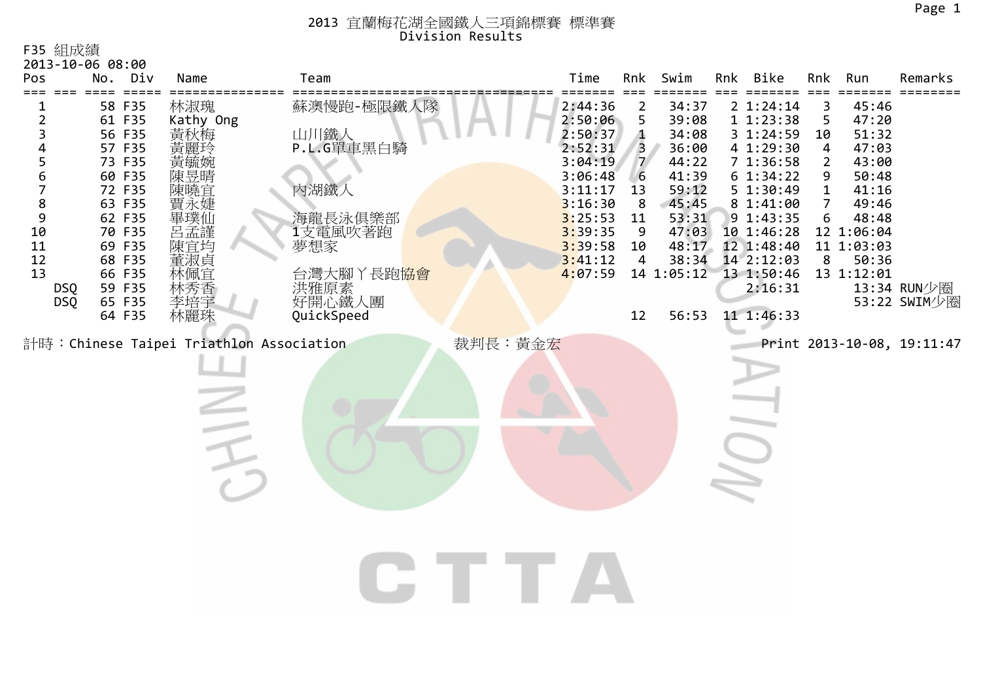F35 組成績

| 2013-10-06 08:00<br>Pos                                                                                   | Div<br>No.                                                                                                                                                   | Name                                                                                                               | Team                                                                                                               | Time                                                                                                                                        | Rnk                                                                            | Swim                                                                                                                            | Rnk Bike                                                                                                                                                                                           | Rnk                                                                                               | Run                                                                                                                              | Remarks                     |
|-----------------------------------------------------------------------------------------------------------|--------------------------------------------------------------------------------------------------------------------------------------------------------------|--------------------------------------------------------------------------------------------------------------------|--------------------------------------------------------------------------------------------------------------------|---------------------------------------------------------------------------------------------------------------------------------------------|--------------------------------------------------------------------------------|---------------------------------------------------------------------------------------------------------------------------------|----------------------------------------------------------------------------------------------------------------------------------------------------------------------------------------------------|---------------------------------------------------------------------------------------------------|----------------------------------------------------------------------------------------------------------------------------------|-----------------------------|
| $\overline{\mathbf{c}}$<br>3<br>4<br>5<br>6<br>8<br>9<br>10<br>11<br>12<br>13<br><b>DSQ</b><br><b>DSQ</b> | 58 F35<br>61 F35<br>56 F35<br>57 F35<br>73 F35<br>60 F35<br>72 F35<br>63 F35<br>62 F35<br>70 F35<br>69 F35<br>68 F35<br>66 F35<br>59 F35<br>65 F35<br>64 F35 | 林淑瑰<br>Kathy Ong<br>黃黃黃藍<br>陳昱晴<br>陳曉宜<br>賈永婕<br>【畢呂陳董林林杏葉 / 『天文の文字の にっぽん しょうしょう しょうしょう しょうしょう しょうこく<br>李培宇<br>林麗珠 | 蘇澳慢跑-極限鐵人隊<br>山川鐵人<br>P.L.G單車黑白騎<br>內湖鐵人<br>海龍長泳俱樂部<br>1支電風吹著跑<br>夢想家<br>台灣大腳丫長跑協會<br>洪雅原素<br>好開心鐵人團<br>QuickSpeed | 2:44:36<br>2:50:06<br>2:50:37<br>2:52:31<br>3:04:19<br>3:06:48<br>3:11:17<br>3:16:30<br>3:25:53<br>3:39:35<br>3:39:58<br>3:41:12<br>4:07:59 | 2<br>5<br>1<br>3<br>$\overline{7}$<br>6<br>13<br>8<br>11<br>9<br>10<br>4<br>12 | 34:37<br>39:08<br>34:08<br>36:00<br>44:22<br>41:39<br>59:12<br>45:45<br>53:31<br>47:03<br>48:17<br>38:34<br>14 1:05:12<br>56:53 | 2 1:24:14<br>1 1:23:38<br>3 1:24:59<br>4 1:29:30<br>71:36:58<br>61:34:22<br>5 1:30:49<br>8 1:41:00<br>$9$ 1:43:35<br>10 1:46:28<br>12 1:48:40<br>14 2:12:03<br>13 1:50:46<br>2:16:31<br>11 1:46:33 | 3<br>5<br>10<br>$\overline{4}$<br>$\overline{2}$<br>9<br>$\mathbf{1}$<br>$\overline{7}$<br>6<br>8 | 45:46<br>47:20<br>51:32<br>47:03<br>43:00<br>50:48<br>41:16<br>49:46<br>48:48<br>12 1:06:04<br>11 1:03:03<br>50:36<br>13 1:12:01 | 13:34 RUN少圈<br>53:22 SWIM少圈 |
|                                                                                                           |                                                                                                                                                              | 計時: Chinese Taipei Triathlon Association<br>Ξ                                                                      | 裁判長: 黃金宏                                                                                                           |                                                                                                                                             |                                                                                |                                                                                                                                 |                                                                                                                                                                                                    |                                                                                                   |                                                                                                                                  | Print 2013-10-08, 19:11:47  |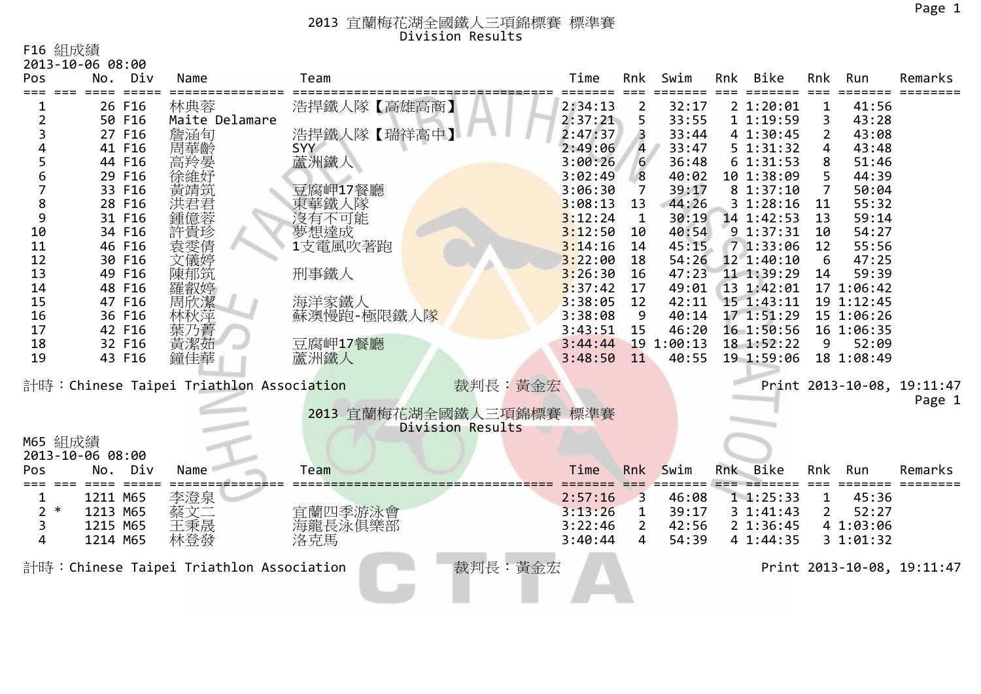F16 組成績

| <b>Pos</b>          | 2013-10-06 08:00<br>No. Div | Name                                    | Team                     | Time               | Rnk            | Swim                | Rnk Bike                 | Rnk                 | Run                    | Remarks                              |
|---------------------|-----------------------------|-----------------------------------------|--------------------------|--------------------|----------------|---------------------|--------------------------|---------------------|------------------------|--------------------------------------|
|                     |                             |                                         |                          |                    |                |                     |                          |                     |                        |                                      |
|                     | 26 F16<br>50 F16            | 林典蓉<br>Maite Delamare                   | 浩捍鐵人隊【高雄高商】              | 2:34:13            | 2              | 32:17               | 21:20:01                 | 1                   | 41:56                  |                                      |
| 2<br>3              | 27 F16                      | 詹涵旬                                     | 浩捍鐵人隊【瑞祥高中】              | 2:37:21<br>2:47:37 | 5<br>3         | 33:55<br>33:44      | 1 1:19:59<br>4 1:30:45   | 3<br>$\overline{2}$ | 43:28<br>43:08         |                                      |
| 4                   | 41 F16                      | 周華齡                                     | <b>SYY</b>               | 2:49:06            | $\overline{4}$ | 33:47               | 5 1:31:32                | $\overline{4}$      | 43:48                  |                                      |
| 5                   | 44 F16                      | 高羚晏                                     | 蘆洲鐵人                     | 3:00:26            | 6              | 36:48               | 61:31:53                 | 8                   | 51:46                  |                                      |
| 6                   | 29 F16                      | 徐維妤                                     |                          | 3:02:49            | 8              | 40:02               | 10 1:38:09               | 5                   | 44:39                  |                                      |
| 7                   | 33 F16                      | \$黃洪鍾許袁+}<br>雄靖君億貴雯\$P\$                | 豆腐岬17餐廳                  | 3:06:30            | 7              | 39:17               | 8 1:37:10                | $\overline{7}$      | 50:04                  |                                      |
| 8                   | 28 F16                      |                                         | 東華鐵人隊                    | 3:08:13            | 13             | 44:26               | 31:28:16                 | 11                  | 55:32                  |                                      |
| 9                   | 31 F16                      |                                         | 沒有不可能<br>夢想達成<br>1支電風吹著跑 | 3:12:24            | $\mathbf{1}$   | 30:19               | 14 1:42:53               | 13                  | 59:14                  |                                      |
| 10                  | 34 F16                      |                                         |                          | 3:12:50            | 10             | 40:54               | 9 1:37:31                | 10                  | 54:27                  |                                      |
| 11                  | 46 F16                      |                                         |                          | 3:14:16            | 14             | 45:15               | 7 1:33:06                | 12                  | 55:56                  |                                      |
| 12                  | 30 F16                      | 文儀婷                                     |                          | 3:22:00            | 18             | 54:26               | 12 1:40:10               | 6                   | 47:25                  |                                      |
| 13                  | 49 F16                      | 陳郁筑                                     | 刑事鐵人                     | 3:26:30            | 16             | 47:23               | 11 1:39:29               | 14                  | 59:39                  |                                      |
| 14                  | 48 F16                      | 羅叡婷                                     |                          | 3:37:42            | 17             | 49:01               | 13 1:42:01               |                     | 17 1:06:42             |                                      |
| 15                  | 47 F16                      | 周欣潔                                     | 海洋家鐵人                    | 3:38:05            | 12             | 42:11               | 15 1:43:11               |                     | 19 1:12:45             |                                      |
| 16<br>17            | 36 F16                      | 林秋萍                                     | 蘇澳慢跑-極限鐵人隊               | 3:38:08            | 9              | 40:14               | 17 1:51:29               |                     | 15 1:06:26             |                                      |
| 18                  | 42 F16<br>32 F16            | 葉乃菁<br>黃潔茹                              |                          | 3:43:51<br>3:44:44 | 15             | 46:20<br>19 1:00:13 | 16 1:50:56               | 9                   | 16 1:06:35<br>52:09    |                                      |
| 19                  | 43 F16                      | 鐘佳華                                     | 豆腐岬17餐廳<br>蘆洲鐵人          | 3:48:50            | 11             | 40:55               | 18 1:52:22<br>19 1:59:06 |                     | 18 1:08:49             |                                      |
|                     |                             |                                         |                          |                    |                |                     |                          |                     |                        |                                      |
|                     |                             | 計時:Chinese Taipei Triathlon Association | 裁判長:黃金宏                  |                    |                |                     |                          |                     |                        | Print 2013-10-08, 19:11:47<br>Page 1 |
|                     |                             |                                         | 2013 宜蘭梅花湖全國鐵人三項錦標賽 標準賽  |                    |                |                     |                          |                     |                        |                                      |
|                     |                             |                                         | Division Results         |                    |                |                     |                          |                     |                        |                                      |
| M65 組成績             |                             |                                         |                          |                    |                |                     |                          |                     |                        |                                      |
|                     | 2013-10-06 08:00            |                                         |                          |                    |                |                     |                          |                     |                        |                                      |
| Pos                 | No. Div                     | Name                                    | Team                     | Time               | <b>Rnk</b>     | Swim                | Rnk Bike                 | Rnk                 | Run                    | Remarks                              |
|                     |                             |                                         |                          |                    |                |                     |                          |                     |                        |                                      |
| 1<br>$\ast$         | 1211 M65                    | 李澄泉                                     |                          | 2:57:16            | 3              | 46:08               | 11:25:33                 | $\mathbf{1}$        | 45:36                  |                                      |
| $\overline{2}$<br>3 | 1213 M65<br>1215 M65        | 蔡文二                                     | 宜蘭四季游泳會                  | 3:13:26<br>3:22:46 | 1              | 39:17<br>42:56      | 31:41:43<br>2 1:36:45    | $2^{\circ}$         | 52:27                  |                                      |
| 4                   | 1214 M65                    | 王秉晟<br>林登發                              | 海龍長泳俱樂部<br>洛克馬           | 3:40:44            | 2<br>4         | 54:39               | 4 1:44:35                |                     | 4 1:03:06<br>3 1:01:32 |                                      |
|                     |                             |                                         |                          |                    |                |                     |                          |                     |                        |                                      |
|                     |                             | 計時:Chinese Taipei Triathlon Association | 裁判長:黃金宏                  |                    |                |                     |                          |                     |                        | Print 2013-10-08, 19:11:47           |
|                     |                             |                                         |                          |                    |                |                     |                          |                     |                        |                                      |
|                     |                             |                                         |                          |                    |                |                     |                          |                     |                        |                                      |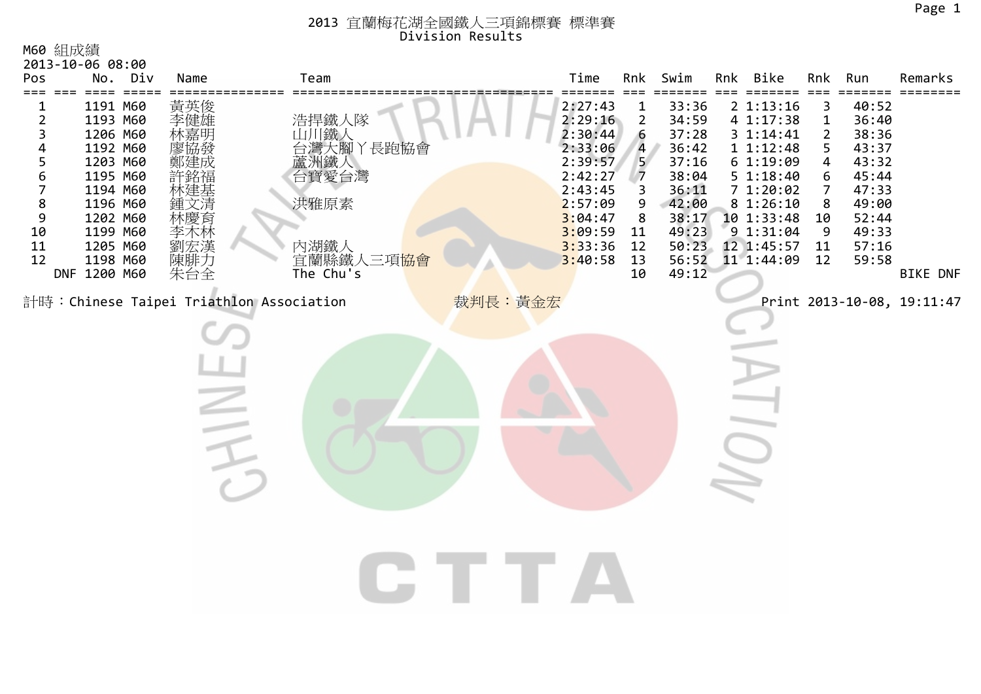M60 組成績

| 2013-10-06 08:00<br>Pos                                        |                                                                                                                                                                      | No. Div | Name                                                     | Team                                                                                  |         | Time                                                                                                                             | Rnk                                                                                                          | Swim                                                                                                              | Rnk | Bike                                                                                                                                                  | Rnk                                                                                 | Run                                                                                                      | Remarks                    |
|----------------------------------------------------------------|----------------------------------------------------------------------------------------------------------------------------------------------------------------------|---------|----------------------------------------------------------|---------------------------------------------------------------------------------------|---------|----------------------------------------------------------------------------------------------------------------------------------|--------------------------------------------------------------------------------------------------------------|-------------------------------------------------------------------------------------------------------------------|-----|-------------------------------------------------------------------------------------------------------------------------------------------------------|-------------------------------------------------------------------------------------|----------------------------------------------------------------------------------------------------------|----------------------------|
| $\overline{2}$<br>3<br>5<br>6<br>7<br>8<br>9<br>10<br>11<br>12 | 三二二二<br>1191 M60<br>1193 M60<br>1206 M60<br>1192 M60<br>1203 M60<br>1195 M60<br>1194 M60<br>1196 M60<br>1202 M60<br>1199 M60<br>1205 M60<br>1198 M60<br>DNF 1200 M60 | ====    | 黃英俊<br>李健雄<br>林嘉明<br>廖協發<br>鄭建成<br>林建基<br>-鍾林李劉陳朱/文慶本宏腓台 | 浩捍鐵人隊<br>山川鐵人<br>台灣太腳丫長跑協會<br>蘆洲鐵人<br>台寶愛台灣<br>洪雅原素<br>內湖鐵人<br>宜蘭縣鐵人三項協會<br>The Chu's |         | 2:27:43<br>2:29:16<br>2:30:44<br>2:33:06<br>2:39:57<br>2:42:27<br>2:43:45<br>2:57:09<br>3:04:47<br>3:09:59<br>3:33:36<br>3:40:58 | 1<br>$\overline{2}$<br>6<br>$\overline{\mathbf{4}}$<br>5 <sub>1</sub><br>7<br>9<br>8<br>11<br>12<br>13<br>10 | 33:36<br>34:59<br>37:28<br>36:42<br>37:16<br>38:04<br>36:11<br>42:00<br>38:17<br>49:23<br>50:23<br>56:52<br>49:12 |     | 2 1:13:16<br>4 1:17:38<br>31:14:41<br>11:12:48<br>61:19:09<br>51:18:40<br>71:20:02<br>81:26:10<br>10 1:33:48<br>9 1:31:04<br>12 1:45:57<br>11 1:44:09 | 3<br>$\mathbf{1}$<br>$\overline{2}$<br>5<br>4<br>6<br>7<br>8<br>10<br>9<br>11<br>12 | 40:52<br>36:40<br>38:36<br>43:37<br>43:32<br>45:44<br>47:33<br>49:00<br>52:44<br>49:33<br>57:16<br>59:58 | ====<br><b>BIKE DNF</b>    |
|                                                                |                                                                                                                                                                      |         |                                                          | 計時: Chinese Taipei Triathlon Association                                              | 裁判長:黃金宏 |                                                                                                                                  |                                                                                                              |                                                                                                                   |     |                                                                                                                                                       |                                                                                     |                                                                                                          | Print 2013-10-08, 19:11:47 |
|                                                                |                                                                                                                                                                      |         |                                                          |                                                                                       |         |                                                                                                                                  |                                                                                                              |                                                                                                                   |     |                                                                                                                                                       |                                                                                     |                                                                                                          |                            |
|                                                                |                                                                                                                                                                      |         |                                                          |                                                                                       |         |                                                                                                                                  |                                                                                                              |                                                                                                                   |     |                                                                                                                                                       |                                                                                     |                                                                                                          |                            |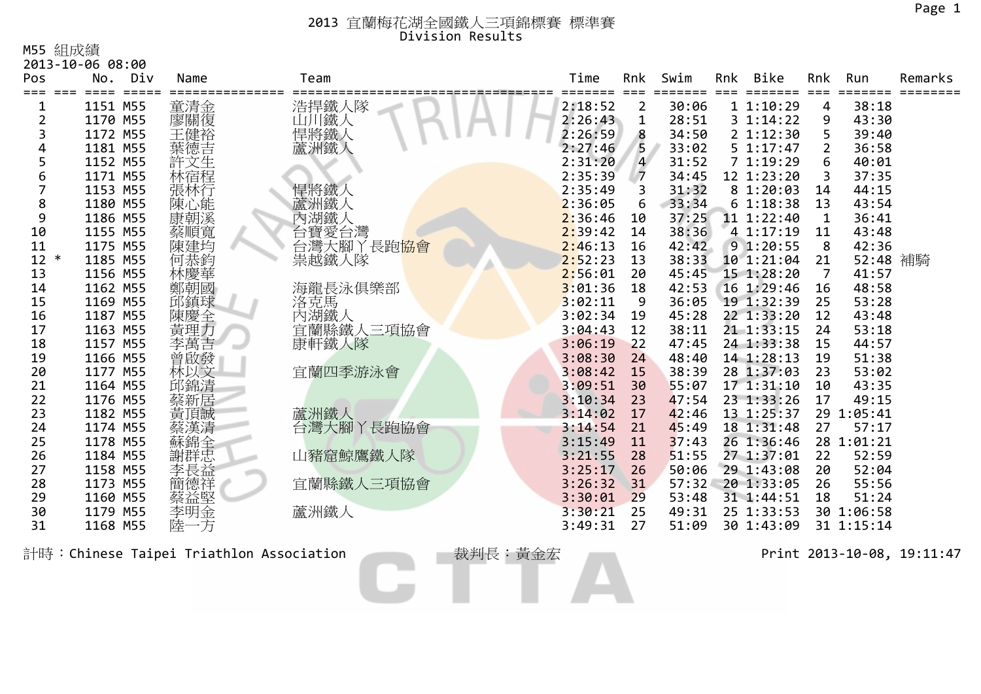M55 組成績

| Pos    | 2013-10-06 08:00<br>No. Div | Name                                     | Team                    |         | Time    | Rnk            | Swim  | Rnk | Bike       | Rnk                   | Run        | Remarks                    |
|--------|-----------------------------|------------------------------------------|-------------------------|---------|---------|----------------|-------|-----|------------|-----------------------|------------|----------------------------|
|        |                             |                                          |                         |         |         |                |       |     |            |                       |            |                            |
|        | 1151 M55                    | 童清金                                      | 浩捍鐵人隊                   |         | 2:18:52 | 2              | 30:06 |     | 11:10:29   | 4                     | 38:18      |                            |
| 2      | 1170 M55                    | 廖關復                                      | 山川鐵人                    |         | 2:26:43 | $\mathbf{1}$   | 28:51 |     | 31:14:22   | 9                     | 43:30      |                            |
| 3      | 1172 M55                    | 王健裕                                      | 悍將鐵人                    |         | 2:26:59 | 8              | 34:50 |     | 2 1:12:30  | 5                     | 39:40      |                            |
| 4      | 1181 M55                    | 葉德吉                                      | 蘆洲鐵人                    |         | 2:27:46 | 5              | 33:02 |     | 5 1:17:47  | $\mathbf{2}^{\prime}$ | 36:58      |                            |
| 5      | 1152 M55                    | 許文生                                      |                         |         | 2:31:20 | $\overline{4}$ | 31:52 |     | 71:19:29   | 6                     | 40:01      |                            |
| 6      | 1171 M55                    | 林宿程                                      |                         |         | 2:35:39 | $\overline{7}$ | 34:45 |     | 12 1:23:20 | 3                     | 37:35      |                            |
| 7      | 1153 M55                    | 張林行                                      | 悍將鐵人                    |         | 2:35:49 |                | 31:32 |     | 8 1:20:03  | 14                    | 44:15      |                            |
| 8      | 1180 M55                    | 陳心能                                      | 蘆洲鐵人                    |         | 2:36:05 | 6              | 33:34 |     | 61:18:38   | 13                    | 43:54      |                            |
| 9      | 1186 M55                    | 康朝溪                                      | 內湖鐵人                    |         | 2:36:46 | 10             | 37:25 |     | 11 1:22:40 | 1                     | 36:41      |                            |
| 10     | 1155 M55                    | 蔡順寬                                      | 台寶愛台灣                   |         | 2:39:42 | 14             | 38:36 |     | 4 1:17:19  | 11                    | 43:48      |                            |
| 11     | 1175 M55                    | 陳建均                                      | 台灣大腳丫長跑 <mark>協會</mark> |         | 2:46:13 | 16             | 42:42 |     | 91:20:55   | 8                     | 42:36      |                            |
| $12 *$ | 1185 M55                    | 何恭鈞                                      | 祟越鐵人隊                   |         | 2:52:23 | 13             | 38:33 |     | 10 1:21:04 | 21                    | 52:48 補騎   |                            |
| 13     | 1156 M55                    | 林慶華                                      |                         |         | 2:56:01 | 20             | 45:45 |     | 15 1:28:20 | 7                     | 41:57      |                            |
| 14     | 1162 M55                    | 鄭朝國                                      | 海龍長泳俱樂部                 |         | 3:01:36 | 18             | 42:53 |     | 16 1:29:46 | 16                    | 48:58      |                            |
| 15     | 1169 M55                    | 邱鎮球                                      | 洛克馬                     |         | 3:02:11 | 9              | 36:05 |     | 19 1:32:39 | 25                    | 53:28      |                            |
| 16     | 1187 M55                    | 陳慶全                                      | 內湖鐵人                    |         | 3:02:34 | 19             | 45:28 |     | 22 1:33:20 | 12                    | 43:48      |                            |
| 17     | 1163 M55                    | 黃理力                                      | 宜蘭縣鐵人三項協會               |         | 3:04:43 | 12             | 38:11 |     | 21 1:33:15 | 24                    | 53:18      |                            |
| 18     | 1157 M55                    | 李萬吉                                      | 康軒鐵人隊                   |         | 3:06:19 | 22             | 47:45 |     | 24 1:33:38 | 15                    | 44:57      |                            |
| 19     | 1166 M55                    | 曾啟發                                      |                         |         | 3:08:30 | 24             | 48:40 |     | 14 1:28:13 | 19                    | 51:38      |                            |
| 20     | 1177 M55                    | 林以文                                      | 宜蘭四季游泳會                 |         | 3:08:42 | 15             | 38:39 |     | 28 1:37:03 | 23                    | 53:02      |                            |
| 21     | 1164 M55                    | 邱錦清                                      |                         |         | 3:09:51 | 30             | 55:07 |     | 17 1:31:10 | 10                    | 43:35      |                            |
| 22     | 1176 M55                    | 蔡新居                                      |                         |         | 3:10:34 | 23             | 47:54 |     | 23 1:33:26 | 17                    | 49:15      |                            |
| 23     | 1182 M55                    | 黃頂誠                                      | 蘆洲鐵人                    |         | 3:14:02 | 17             | 42:46 |     | 13 1:25:37 |                       | 29 1:05:41 |                            |
| 24     | 1174 M55                    | 蔡漢清                                      | 台灣大腳丫長跑協會               |         | 3:14:54 | 21             | 45:49 |     | 18 1:31:48 | 27                    | 57:17      |                            |
| 25     | 1178 M55                    | 蘇錦全                                      |                         |         | 3:15:49 | 11             | 37:43 |     | 26 1:36:46 |                       | 28 1:01:21 |                            |
| 26     | 1184 M55                    | 謝群忠                                      | 山豬窟鯨鷹鐵人隊                |         | 3:21:55 | 28             | 51:55 |     | 27 1:37:01 | 22                    | 52:59      |                            |
| 27     | 1158 M55                    | 李長益                                      |                         |         | 3:25:17 | 26             | 50:06 |     | 29 1:43:08 | 20                    | 52:04      |                            |
| 28     | 1173 M55                    | 簡德祥                                      | 宜蘭縣鐵人三項協會               |         | 3:26:32 | 31             | 57:32 |     | 20 1:33:05 | 26                    | 55:56      |                            |
| 29     | 1160 M55                    | 蔡益堅                                      |                         |         | 3:30:01 | 29             | 53:48 |     | 31 1:44:51 | 18                    | 51:24      |                            |
| 30     | 1179 M55                    | 李明金                                      | 蘆洲鐵人                    |         | 3:30:21 | 25             | 49:31 |     | 25 1:33:53 |                       | 30 1:06:58 |                            |
| 31     | 1168 M55                    | 陸一方                                      |                         |         | 3:49:31 | 27             | 51:09 |     | 30 1:43:09 |                       | 31 1:15:14 |                            |
|        |                             | 計時: Chinese Taipei Triathlon Association |                         | 裁判長:黃金宏 |         |                |       |     |            |                       |            | Print 2013-10-08, 19:11:47 |

IC. T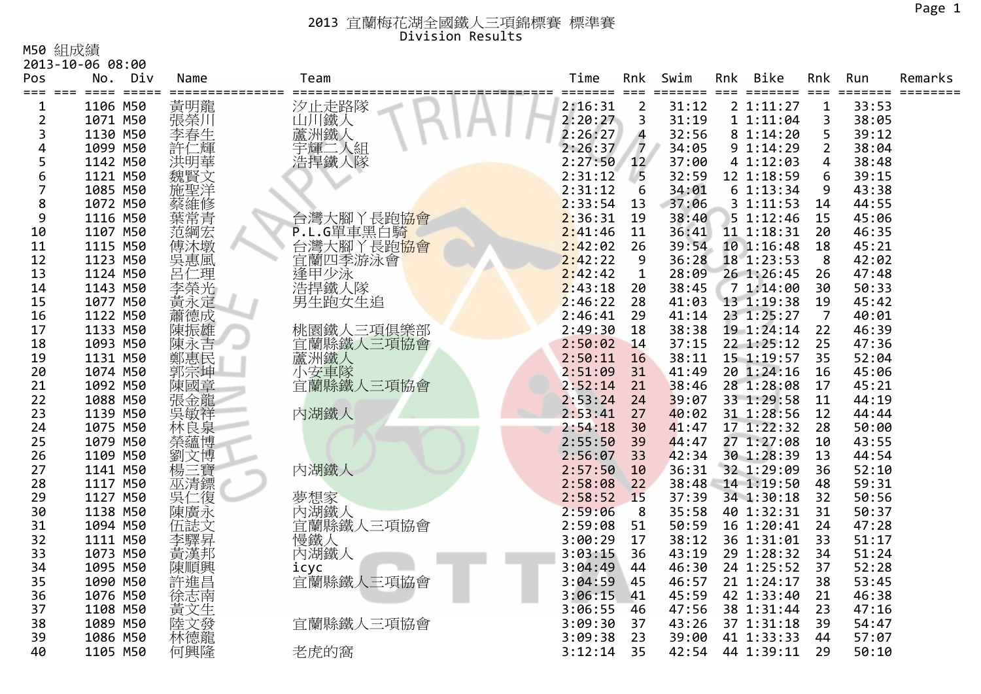M50 組成績

| Ⅳ29 《出灰》俱 | 2013-10-06 08:00     |                                                                                                                      |                                       |                    |          |                |     |                          |                |                |         |
|-----------|----------------------|----------------------------------------------------------------------------------------------------------------------|---------------------------------------|--------------------|----------|----------------|-----|--------------------------|----------------|----------------|---------|
| Pos       | No.<br>Div           | Name                                                                                                                 | Team                                  | Time               | Rnk      | Swim           | Rnk | Bike                     | Rnk            | Run            | Remarks |
| $==$      |                      |                                                                                                                      |                                       | =======            | $===$    | ====           |     |                          | $===$          | =====          |         |
| 1         | 1106 M50             | 黃明龍                                                                                                                  | 汐止走路隊                                 | 2:16:31            | 2        | 31:12          |     | 2 1:11:27                | 1              | 33:53          |         |
| 2         | 1071 M50             | 張榮川                                                                                                                  | 山川鐵人                                  | 2:20:27            | 3        | 31:19          |     | 11:11:04                 | 3              | 38:05          |         |
| 3         | 1130 M50             | 李春生                                                                                                                  | 蘆洲鐵人                                  | 2:26:27            | 4        | 32:56          |     | 8 1:14:20                | 5              | 39:12          |         |
| 4         | 1099 M50             | 許仁輝                                                                                                                  | 宇輝二人組                                 | 2:26:37            | 7        | 34:05          |     | 9 1:14:29                | $\overline{2}$ | 38:04          |         |
| 5         | 1142 M50             | 洪明華                                                                                                                  | 浩捍鐵人隊                                 | 2:27:50            | 12       | 37:00          |     | 4 1:12:03                | 4              | 38:48          |         |
| 6         | 1121 M50             | 魏賢文                                                                                                                  |                                       | 2:31:12            | 5        | 32:59          |     | 12 1:18:59               | 6              | 39:15          |         |
| 7         | 1085 M50             | 施聖洋                                                                                                                  |                                       | 2:31:12            | 6        | 34:01          |     | 61:13:34                 | 9              | 43:38          |         |
| 8         | 1072 M50             |                                                                                                                      |                                       | 2:33:54            | 13       | 37:06          |     | 31:11:53                 | 14             | 44:55          |         |
| 9         | 1116 M50             | ·蔡維修<br>葉常青                                                                                                          | 台灣大腳丫長跑協會                             | 2:36:31            | 19       | 38:40          |     | 5 1:12:46                | 15             | 45:06          |         |
| 10        | 1107 M50             | 范綱宏                                                                                                                  |                                       | 2:41:46            | 11       | 36:41          |     | 11 1:18:31               | 20             | 46:35          |         |
| 11        | 1115 M50             | 傅沐墩                                                                                                                  | P.L.G單車黑白騎<br>台灣大腳丫長跑 <mark>協會</mark> | 2:42:02            | 26       | 39:54          |     | 10 1:16:48               | 18             | 45:21          |         |
| 12        | 1123 M50             | 吳惠風                                                                                                                  | 宜蘭四季游泳會                               | 2:42:22            | 9        | 36:28          |     | 18 1:23:53               | 8              | 42:02          |         |
| 13        | 1124 M50             | 呂仁理                                                                                                                  | 逢甲少泳                                  | 2:42:42            | 1        | 28:09          |     | 26 1:26:45               | 26             | 47:48          |         |
| 14        | 1143 M50             | 李榮光                                                                                                                  | 浩捍鐵人隊                                 | 2:43:18            | 20       | 38:45          |     | 71:14:00                 | 30             | 50:33          |         |
| 15        | 1077 M50             | 黃永定                                                                                                                  | 男生跑女生追                                | 2:46:22            | 28       | 41:03          |     | 13 1:19:38               | 19             | 45:42          |         |
| 16        | 1122 M50             | 蕭德成                                                                                                                  |                                       | 2:46:41            | 29       | 41:14          |     | 23 1:25:27               | 7              | 40:01          |         |
| 17        | 1133 M50             | 陳振雄                                                                                                                  | 桃園鐵人三項俱樂部                             | 2:49:30            | 18       | 38:38          |     | 19 1:24:14               | 22             | 46:39          |         |
| 18        | 1093 M50             | 陳永吉                                                                                                                  | 宜蘭縣鐵人三項協會                             | 2:50:02            | 14       | 37:15          |     | 22 1:25:12               | 25             | 47:36          |         |
| 19        | 1131 M50             | 鄭惠民<br>郭宗坤                                                                                                           | 蘆洲鐵人                                  | 2:50:11            | 16       | 38:11          |     | 15 1:19:57               | 35             | 52:04          |         |
| 20        | 1074 M50             |                                                                                                                      | 小安車隊                                  | 2:51:09            | 31       | 41:49          |     | 20 1:24:16               | 16             | 45:06          |         |
| 21        | 1092 M50<br>1088 M50 | 陳國章                                                                                                                  | 宜蘭縣鐵人三項協會                             | 2:52:14            | 21       | 38:46          |     | 28 1:28:08               | 17<br>11       | 45:21<br>44:19 |         |
| 22<br>23  | 1139 M50             | 張金龍                                                                                                                  | 內湖鐵人                                  | 2:53:24<br>2:53:41 | 24<br>27 | 39:07<br>40:02 |     | 33 1:29:58<br>31 1:28:56 | 12             | 44:44          |         |
| 24        | 1075 M50             | 吳敏祥<br>林良泉                                                                                                           |                                       | 2:54:18            | 30       | 41:47          |     | 17 1:22:32               | 28             | 50:00          |         |
| 25        | 1079 M50             | 榮蘊博                                                                                                                  |                                       | 2:55:50            | 39       | 44:47          |     | 27 1:27:08               | 10             | 43:55          |         |
| 26        | 1109 M50             | 劉文博                                                                                                                  |                                       | 2:56:07            | 33       | 42:34          |     | 30 1:28:39               | 13             | 44:54          |         |
| 27        | 1141 M50             | 楊三寶                                                                                                                  | 內湖鐵人                                  | 2:57:50            | 10       | 36:31          |     | 32 1:29:09               | 36             | 52:10          |         |
| 28        | 1117 M50             | 巫清鏢                                                                                                                  |                                       | 2:58:08            | 22       | 38:48          |     | 14 1:19:50               | 48             | 59:31          |         |
| 29        | 1127 M50             | 吳仁復                                                                                                                  | 夢想家                                   | 2:58:52            | 15       | 37:39          |     | 34 1:30:18               | 32             | 50:56          |         |
| 30        | 1138 M50             | 陳廣永                                                                                                                  | 內湖鐵人                                  | 2:59:06            | 8        | 35:58          |     | 40 1:32:31               | 31             | 50:37          |         |
| 31        | 1094 M50             | 伍誌文                                                                                                                  | 宜蘭縣鐵人三項協會                             | 2:59:08            | 51       | 50:59          |     | 16 1:20:41               | 24             | 47:28          |         |
| 32        | 1111 M50             | 李驛昇                                                                                                                  | 慢鐵人                                   | 3:00:29            | 17       | 38:12          |     | 36 1:31:01               | 33             | 51:17          |         |
| 33        | 1073 M50             | 黃漢邦                                                                                                                  | 內湖鐵人                                  | 3:03:15            | 36       | 43:19          |     | 29 1:28:32               | 34             | 51:24          |         |
| 34        | 1095 M50             | 陳順興                                                                                                                  | icyc                                  | 3:04:49            | 44       | 46:30          |     | 24 1:25:52               | 37             | 52:28          |         |
| 35        | 1090 M50             | 許進昌                                                                                                                  | 宜蘭縣鐵人三項協會                             | 3:04:59            | 45       | 46:57          |     | 21 1:24:17               | 38             | 53:45          |         |
| 36        | 1076 M50             | 徐志南                                                                                                                  |                                       | 3:06:15            | 41       | 45:59          |     | 42 1:33:40               | 21             | 46:38          |         |
| 37        | 1108 M50             |                                                                                                                      |                                       | 3:06:55            | 46       | 47:56          |     | 38 1:31:44               | 23             | 47:16          |         |
| 38        | 1089 M50             |                                                                                                                      | 宜蘭縣鐵人三項協會                             | 3:09:30            | 37       | 43:26          |     | 37 1:31:18               | 39             | 54:47          |         |
| 39        | 1086 M50             | 苏文文德<br><br><br><br><br><br><br><br><br><br><br><br><br><br><br><br><br><br><br><br><br><br><br><br><br><br><br><br> |                                       | 3:09:38            | 23       | 39:00          |     | 41 1:33:33               | 44             | 57:07          |         |
| 40        | 1105 M50             | 何興隆                                                                                                                  | 老虎的窩                                  | 3:12:14            | 35       | 42:54          |     | 44 1:39:11               | 29             | 50:10          |         |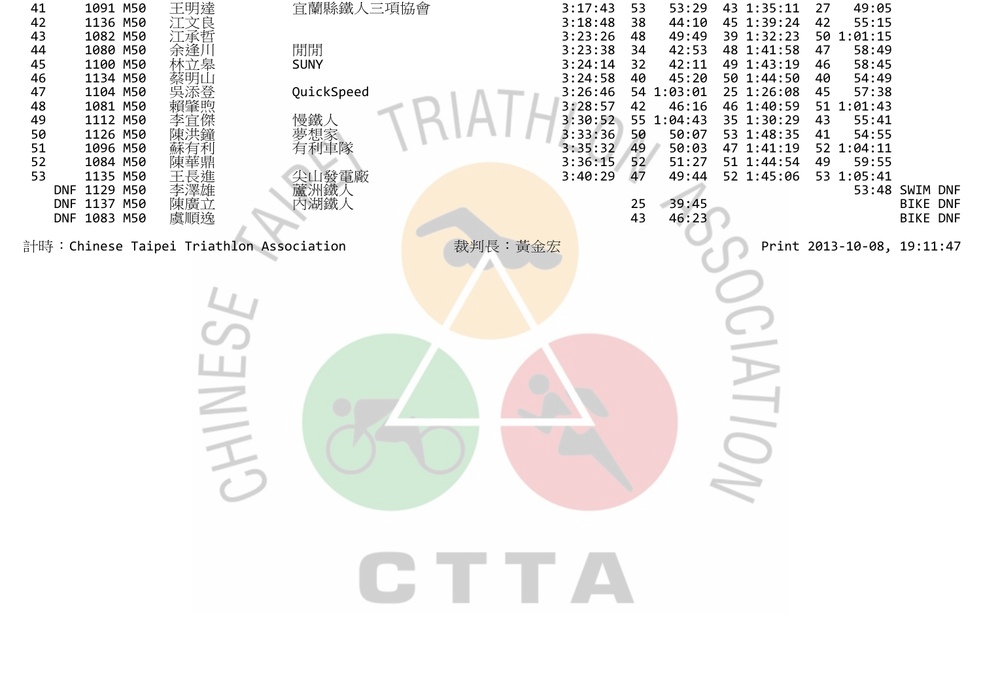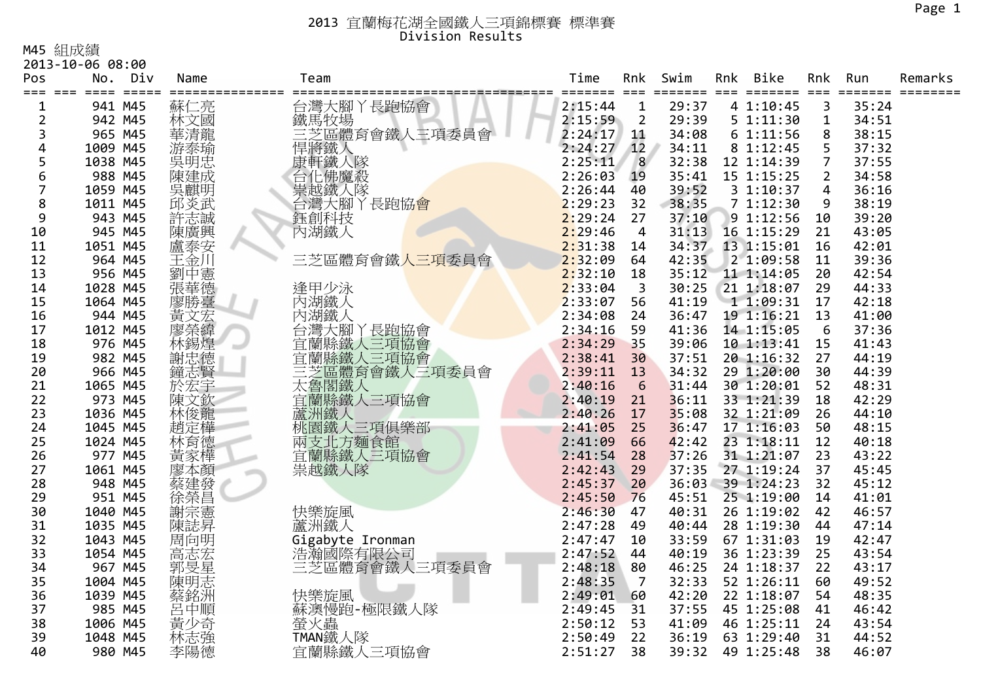M45 組成績

|                | 2013-10-06 08:00                   |               |                            |                    |                      |                 |     |                                |                |                |         |
|----------------|------------------------------------|---------------|----------------------------|--------------------|----------------------|-----------------|-----|--------------------------------|----------------|----------------|---------|
| Pos            | No.<br>Div                         | Name          | Team                       | Time               | Rnk                  | Swim            | Rnk | Bike                           | Rnk            | Run            | Remarks |
| $==$           | $=$ $=$ $=$ $=$<br>$=$ $=$ $=$ $=$ | ============= |                            | ====== ===         |                      | $=$ $=$ $=$ $=$ |     | $=$ $=$ $=$ $=$ $=$ $=$        | $==$           | ======         |         |
| 1              | 941 M45                            | 蘇仁亮           | 台灣大腳丫長跑協會                  | 2:15:44            | $\mathbf 1$          | 29:37           |     | 4 1:10:45                      | 3              | 35:24          |         |
| $\overline{2}$ | 942 M45                            | 林文國           | 鐵馬牧場                       | 2:15:59            | $\overline{2}$       | 29:39           |     | 51:11:30                       | $\mathbf{1}$   | 34:51          |         |
| 3              | 965 M45                            | 華清龍           | 三芝區體育會鐵人三項委員會              | 2:24:17            | 11                   | 34:08           |     | 61:11:56                       | 8              | 38:15          |         |
| 4              | 1009 M45                           | 游泰瑜           | 悍將鐵人                       | 2:24:27            | 12                   | 34:11           |     | 8 1:12:45                      | 5              | 37:32          |         |
| 5              | 1038 M45                           | 吳明忠           | - 康軒鐵人隊<br>台化佛魔般           | 2:25:11            | 8                    | 32:38           |     | 12 1:14:39                     | $\overline{7}$ | 37:55          |         |
| 6              | 988 M45                            | 陳建成           |                            | 2:26:03            | 19                   | 35:41           |     | 15 1:15:25                     | $\overline{2}$ | 34:58          |         |
|                | 1059 M45                           | 吳麒明           | 祟越鐵人隊                      | 2:26:44            | 40                   | 39:52           |     | 31:10:37                       | 4              | 36:16          |         |
| 8              | 1011 M45                           | 邱炎武           | 台灣大腳丫長跑協會                  | 2:29:23            | 32                   | 38:35           |     | 71:12:30                       | 9              | 38:19          |         |
| 9              | 943 M45                            | 許志誠           | 鈺創科技                       | 2:29:24            | 27                   | 37:10           |     | 9 1:12:56                      | 10             | 39:20          |         |
| 10             | 945 M45                            | 陳廣興           | 內湖鐵人                       | 2:29:46            | $\overline{4}$       | 31:13           |     | 16 1:15:29                     | 21             | 43:05          |         |
| 11             | 1051 M45                           | 盧泰安           |                            | 2:31:38            | 14                   | 34:37           |     | 13 1:15:01                     | 16             | 42:01          |         |
| 12             | 964 M45                            | 王金川           | 三芝區體育會鐵人三項委員會              | 2:32:09            | 64                   | 42:35           |     | 2 1:09:58                      | 11             | 39:36          |         |
| 13             | 956 M45                            | 劉中憲           |                            | 2:32:10            | 18                   | 35:12           |     | 11 1:14:05                     | 20             | 42:54          |         |
| 14             | 1028 M45                           | 張華德           | 逢甲少泳                       | 2:33:04            | 3                    | 30:25           |     | 21 1:18:07                     | 29             | 44:33          |         |
| 15             | 1064 M45                           | 廖勝臺           | 內湖鐵人                       | 2:33:07            | 56                   | 41:19           |     | 1 1:09:31                      | 17             | 42:18          |         |
| 16             | 944 M45                            | 黃文宏           | 內湖鐵人                       | 2:34:08            | 24                   | 36:47           |     | 19 1:16:21                     | 13             | 41:00          |         |
| 17             | 1012 M45                           | 廖榮緯           | 台灣大腳<br>丫長跑協會              | 2:34:16            | 59                   | 41:36           |     | 14 1:15:05                     | 6              | 37:36          |         |
| 18             | 976 M45                            | 林錫煌           | 宜蘭縣鐵人三項協會                  | 2:34:29            | 35                   | 39:06           |     | 10 1:13:41                     | 15             | 41:43          |         |
| 19             | 982 M45                            | 謝忠德           | 宜蘭縣鐵人三項協會<br>三芝區體育會鐵人三項委員會 | 2:38:41            | 30                   | 37:51           |     | 20 1:16:32                     | 27             | 44:19          |         |
| 20             | 966 M45                            | 鐘志賢           |                            | 2:39:11            | 13                   | 34:32           |     | 29 1:20:00                     | 30             | 44:39          |         |
| 21             | 1065 M45                           | 於宏宇           | 太魯閣鐵人                      | 2:40:16            | 6                    | 31:44           |     | 30 1:20:01                     | 52             | 48:31          |         |
| 22             | 973 M45                            | 陳文欽           | 宜蘭縣鐵人三項協會                  | 2:40:19            | 21                   | 36:11           |     | 33 1:21:39                     | 18             | 42:29          |         |
| 23             | 1036 M45                           | 林俊龍           | 蘆洲鐵人                       | 2:40:26            | 17                   | 35:08           |     | 32 1:21:09                     | 26             | 44:10          |         |
| 24             | 1045 M45                           | 趙定樺           | 桃園鐵人三項俱樂部                  | 2:41:05            | 25                   | 36:47           |     | 17 1:16:03                     | 50             | 48:15          |         |
| 25             | 1024 M45                           | 林育德           | 兩支北方麵食館                    | 2:41:09            | 66                   | 42:42           |     | 23 1:18:11                     | 12             | 40:18          |         |
| 26             | 977 M45                            | 黃家樺           | 宜蘭縣鐵人三項協會                  | 2:41:54            | 28                   | 37:26           |     | 31 1:21:07                     | 23             | 43:22          |         |
| 27             | 1061 M45<br>948 M45                | 廖本顏           | 祟越鐵人隊                      | 2:42:43            | 29<br>20             | 37:35           |     | 27 1:19:24<br>36:03 39 1:24:23 | 37<br>32       | 45:45<br>45:12 |         |
| 28             |                                    | 蔡建發           |                            | 2:45:37            |                      |                 |     | 25 1:19:00                     |                |                |         |
| 29             | 951 M45                            | 徐榮昌           |                            | 2:45:50            | 76                   | 45:51           |     |                                | 14             | 41:01          |         |
| 30             | 1040 M45                           | 謝宗憲           | 快樂旋風                       | 2:46:30            | 47                   | 40:31           |     | 26 1:19:02                     | 42             | 46:57          |         |
| 31             | 1035 M45                           | 陳誌昇           | 蘆洲鐵人                       | 2:47:28            | 49<br>10             | 40:44           |     | 28 1:19:30<br>67 1:31:03       | 44<br>19       | 47:14          |         |
| 32             | 1043 M45                           | 周向明           | Gigabyte Ironman           | 2:47:47            | 44                   | 33:59           |     | 36 1:23:39                     | 25             | 42:47          |         |
| 33             | 1054 M45                           | 高志宏<br>郭旻星    | 浩瀚國際有限公司                   | 2:47:52            |                      | 40:19           |     |                                | 22             | 43:54          |         |
| 34<br>35       | 967 M45<br>1004 M45                |               | 三芝區體育會鐵人三項委員會              | 2:48:18<br>2:48:35 | 80<br>$\overline{7}$ | 46:25           |     | 24 1:18:37<br>52 1:26:11       | 60             | 43:17<br>49:52 |         |
|                |                                    | 陳明志           |                            |                    |                      | 32:33           |     | 22 1:18:07                     |                |                |         |
| 36<br>37       | 1039 M45<br>985 M45                | 蔡銘洲           | 快樂旋風                       | 2:49:01<br>2:49:45 | 60<br>31             | 42:20<br>37:55  |     | 45 1:25:08                     | 54<br>41       | 48:35          |         |
| 38             |                                    | 呂中順           | 蘇澳慢跑-極限鐵人隊                 |                    | 53                   |                 |     |                                | 24             | 46:42          |         |
|                | 1006 M45                           | 黃少奇           | 螢火蟲                        | 2:50:12            |                      | 41:09           |     | 46 1:25:11                     |                | 43:54          |         |
| 39             | 1048 M45                           | 林志強           | TMAN鐵人隊                    | 2:50:49            | 22                   | 36:19           |     | 63 1:29:40                     | 31             | 44:52          |         |
| 40             | 980 M45                            | 李陽德           | 宜蘭縣鐵人三項協會                  | 2:51:27            | 38                   | 39:32           |     | 49 1:25:48                     | 38             | 46:07          |         |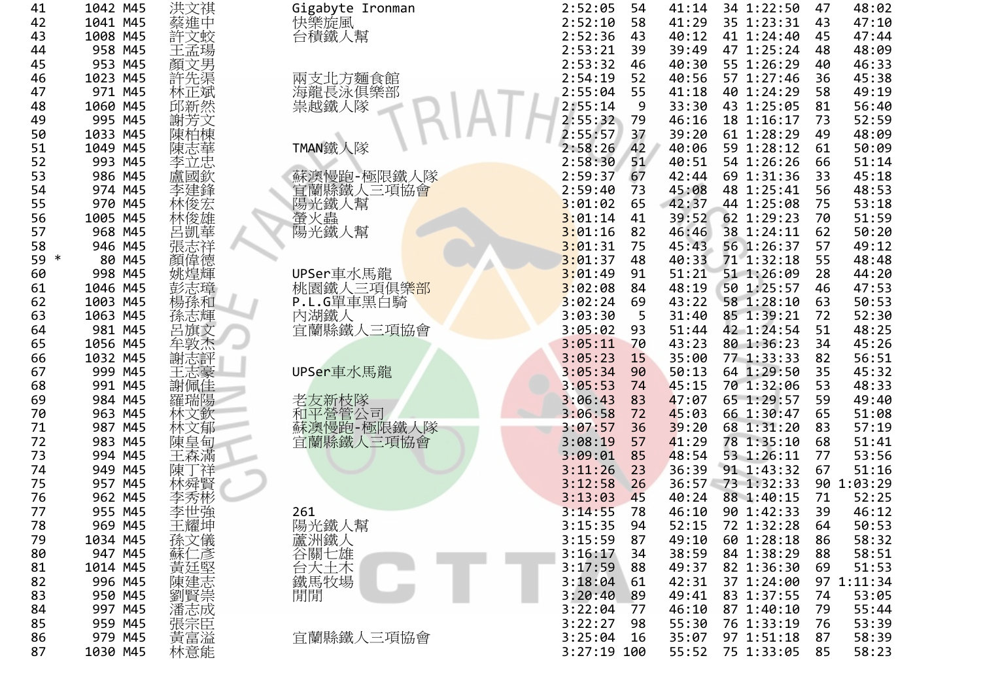| 41   | 1042 M45 | 洪文祺                     | Gigabyte Ironman                                 | 2:52:05       | 54<br>41:14 | 34 1:22:50 | 47   | 48:02      |
|------|----------|-------------------------|--------------------------------------------------|---------------|-------------|------------|------|------------|
| 42   | 1041 M45 | 蔡進中                     | 快樂旋風                                             | 2:52:10       | 58<br>41:29 | 35 1:23:31 | 43   | 47:10      |
| 43   | 1008 M45 | 許文蛟                     | 台積鐵人幫                                            | 2:52:36       | 40:12<br>43 | 41 1:24:40 | 45   | 47:44      |
| 44   | 958 M45  | 王孟瑒                     |                                                  | 2:53:21       | 39:49<br>39 | 47 1:25:24 | 48   | 48:09      |
| 45   | 953 M45  | 顏文男                     |                                                  | 2:53:32       | 46<br>40:30 | 55 1:26:29 | 40   | 46:33      |
| 46   | 1023 M45 | 許先渠                     |                                                  | 2:54:19       | 52<br>40:56 | 57 1:27:46 | 36   | 45:38      |
| 47   | 971 M45  | 林正斌                     | 兩支北方麵食館<br>海龍長泳倶樂部                               | 2:55:04       | 55<br>41:18 | 40 1:24:29 | 58   | 49:19      |
| 48   | 1060 M45 | 邱新然                     | 祟越鐵人隊                                            | 2:55:14       | 9<br>33:30  | 43 1:25:05 | 81   | 56:40      |
| 49   | 995 M45  | 謝芳文                     |                                                  | 2:55:32       | 79<br>46:16 | 18 1:16:17 | 73   | 52:59      |
| 50   | 1033 M45 | 陳柏棟                     |                                                  | 2:55:57       | 37<br>39:20 | 61 1:28:29 | 49   | 48:09      |
| 51   | 1049 M45 | 陳志華                     | TMAN鐵人隊                                          | 2:58:26       | 42<br>40:06 | 59 1:28:12 | 61   | 50:09      |
| 52   | 993 M45  | 李立忠                     |                                                  | 2:58:30       | 51<br>40:51 | 54 1:26:26 | 66   | 51:14      |
| 53   | 986 M45  | 盧國欽                     | 蘇澳慢跑-極限鐵人隊                                       | 2:59:37       | 67<br>42:44 | 69 1:31:36 | 33   | 45:18      |
| 54   | 974 M45  | 李建鋒                     | 《直蘭縣鐵人三項協會》<br>陽光鐵人幫<br>常人·                      | 2:59:40       | 45:08<br>73 | 48 1:25:41 | 56   | 48:53      |
| 55   | 970 M45  | 林俊宏                     |                                                  | 3:01:02       | 42:37<br>65 | 44 1:25:08 | 75   | 53:18      |
| 56   | 1005 M45 | 林俊雄                     |                                                  | 3:01:14       | 39:52<br>41 | 62 1:29:23 | 70   | 51:59      |
| 57   | 968 M45  | 呂凱華                     | 陽光鐵人幫                                            | 3:01:16       | 46:46<br>82 | 38 1:24:11 | 62   | 50:20      |
| 58   | 946 M45  | 張志祥                     |                                                  | 3:01:31       | 45:43<br>75 | 56 1:26:37 | 57   | 49:12      |
| 59 * | 80 M45   |                         |                                                  | 3:01:37       | 40:33<br>48 | 71 1:32:18 | 55   | 48:48      |
| 60   | 998 M45  | 顏偉德<br>姚煌輝              | UPSer車水馬龍                                        | 3:01:49       | 51:21<br>91 | 51 1:26:09 | 28   | 44:20      |
| 61   | 1046 M45 | 彭志璋                     | 桃園鐵人三項俱樂部                                        | 3:02:08       | 48:19<br>84 | 50 1:25:57 | 46   | 47:53      |
| 62   | 1003 M45 | 楊孫和                     | P.L.G單車黑白騎                                       | 3:02:24       | 43:22<br>69 | 58 1:28:10 | 63   | 50:53      |
| 63   | 1063 M45 | 孫志輝                     | 內湖鐵人                                             | 3:03:30       | 31:40<br>5  | 85 1:39:21 | 72   | 52:30      |
| 64   | 981 M45  | 呂旗文                     | 宜蘭縣鐵人三項協會                                        | 3:05:02       | 51:44<br>93 | 42 1:24:54 | 51   | 48:25      |
| 65   | 1056 M45 | 牟敦杰                     |                                                  | 3:05:11       | 70<br>43:23 | 80 1:36:23 | 34   | 45:26      |
| 66   | 1032 M45 | 謝志評                     |                                                  | 3:05:23       | 35:00<br>15 | 77 1:33:33 | 82   | 56:51      |
| 67   | 999 M45  | 王志豪                     | UPSer車水馬龍                                        | 3:05:34       | 50:13<br>90 | 64 1:29:50 | 35   | 45:32      |
| 68   | 991 M45  | 謝佩佳                     |                                                  | 3:05:53       | 45:15<br>74 | 70 1:32:06 | 53   | 48:33      |
| 69   | 984 M45  | 羅瑞陽                     |                                                  | 3:06:43       | 47:07<br>83 | 65 1:29:57 | 59   | 49:40      |
| 70   | 963 M45  | 林文欽                     |                                                  | 3:06:58       | 45:03<br>72 | 66 1:30:47 | 65   | 51:08      |
| 71   | 987 M45  | 林文郁                     | 老友新枝隊<br>和平營管公司<br>蘇澳慢跑-極限鐵人隊                    | 3:07:57       | 36<br>39:20 | 68 1:31:20 | 83   | 57:19      |
| 72   | 983 M45  | 陳皇甸                     | 宜蘭縣鐵人三項協會                                        | 3:08:19       | 57<br>41:29 | 78 1:35:10 | 68   | 51:41      |
| 73   | 994 M45  | 王森滿                     |                                                  | 3:09:01       | 85<br>48:54 | 53 1:26:11 | 77   | 53:56      |
| 74   | 949 M45  | 陳丁<br>祥                 |                                                  | 3:11:26       | 36:39<br>23 | 91 1:43:32 | 67   | 51:16      |
| 75   | 957 M45  | 林舜賢                     |                                                  | 3:12:58       | 36:57<br>26 | 73 1:32:33 |      | 90 1:03:29 |
| 76   | 962 M45  | 李秀彬                     |                                                  | 3:13:03       | 45<br>40:24 | 88 1:40:15 | 71   | 52:25      |
| 77   | 955 M45  | 李世強                     | 261                                              | 3:14:55       | 78<br>46:10 | 90 1:42:33 | 39   | 46:12      |
| 78   | 969 M45  | 王耀坤                     |                                                  | 3:15:35       | 52:15<br>94 | 72 1:32:28 | - 64 | 50:53      |
| 79   | 1034 M45 |                         |                                                  | 3:15:59       | 49:10<br>87 | 60 1:28:18 | 86   | 58:32      |
| 80   | 947 M45  |                         |                                                  | 3:16:17       | 38:59<br>34 | 84 1:38:29 | 88   | 58:51      |
| 81   | 1014 M45 | <b>孫蘇黃<br/>太太<br/>黃</b> |                                                  | 3:17:59       | 49:37<br>88 | 82 1:36:30 | 69   | 51:53      |
| 82   | 996 M45  | K陳劉潘張黃#<br>建學大学<br>黃帝   | 3陽蘆谷台鐵閒<br>光纖鐵七土牧場<br>大馬閒<br>白光<br>日本大場<br>開開大地場 | 3:18:04       | 42:31<br>61 | 37 1:24:00 |      | 97 1:11:34 |
| 83   | 950 M45  |                         |                                                  | 3:20:40       | 49:41<br>89 | 83 1:37:55 | 74   | 53:05      |
| 84   | 997 M45  |                         |                                                  | 3:22:04       | 77<br>46:10 | 87 1:40:10 | 79   | 55:44      |
| 85   | 959 M45  |                         |                                                  | 3:22:27       | 55:30<br>98 | 76 1:33:19 | 76   | 53:39      |
| 86   | 979 M45  |                         | 宜蘭縣鐵人三項協會                                        | 3:25:04       | 35:07<br>16 | 97 1:51:18 | 87   | 58:39      |
| 87   | 1030 M45 | 林意能                     |                                                  | $3:27:19$ 100 | 55:52       | 75 1:33:05 | 85   | 58:23      |
|      |          |                         |                                                  |               |             |            |      |            |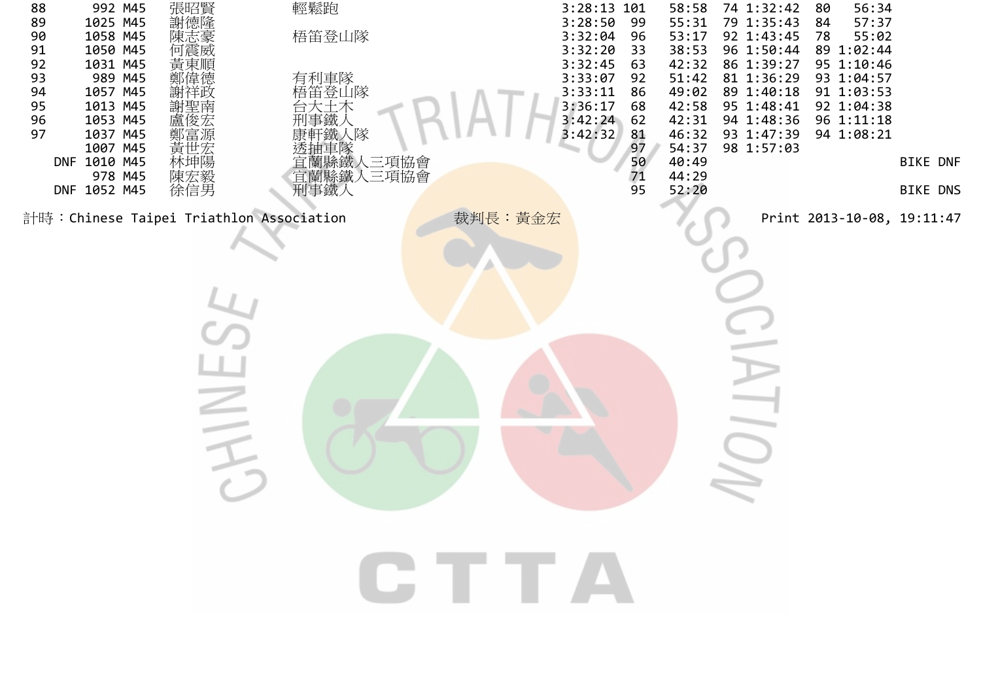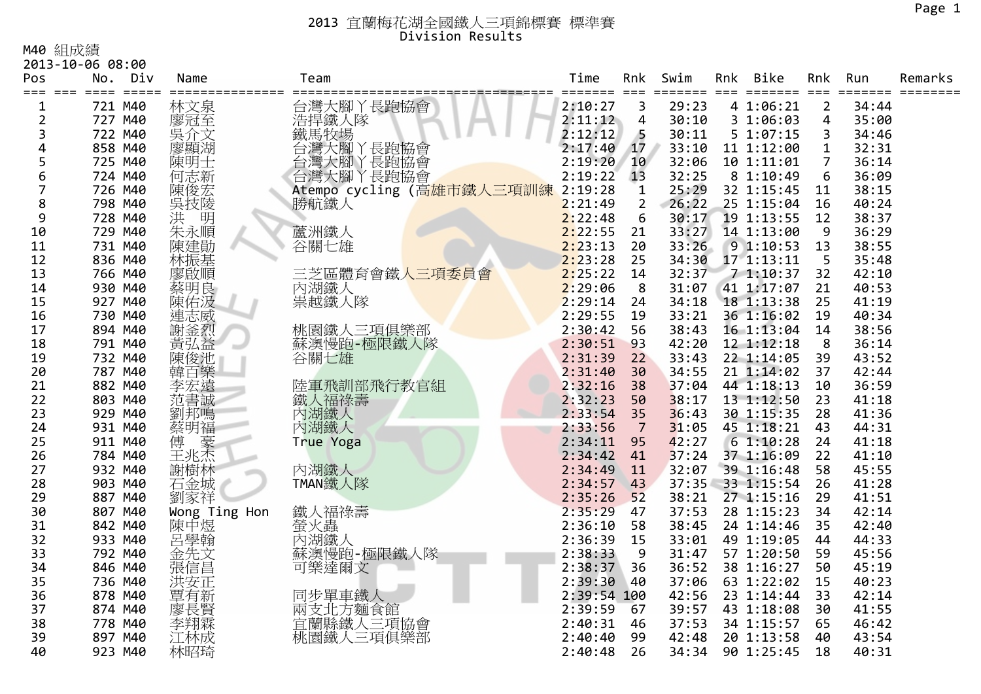M40 組成績

|                | 2013-10-06 08:00   |                        |                                |                      |                |                          |     |                                      |                        |                |         |
|----------------|--------------------|------------------------|--------------------------------|----------------------|----------------|--------------------------|-----|--------------------------------------|------------------------|----------------|---------|
| Pos            | No.<br>Div         | Name                   | Team                           | Time                 | Rnk            | Swim                     | Rnk | Bike                                 | Rnk                    | Run            | Remarks |
|                | 721 M40            | ===============<br>林文泉 | 台灣大腳丫長跑協會                      | ===== ===<br>2:10:27 | 3              | $=$ $=$ $=$ $=$<br>29:23 |     | $=$ $=$ $=$ $=$ $=$ $=$<br>4 1:06:21 | $==$<br>$\overline{2}$ | =====<br>34:44 |         |
| 1              |                    |                        |                                |                      |                |                          |     |                                      |                        |                |         |
| $\overline{2}$ | 727 M40            | 廖冠至                    | 浩捍鐵人隊                          | 2:11:12              | 4              | 30:10                    |     | 31:06:03                             | 4                      | 35:00          |         |
| 3              | 722 M40<br>858 M40 | 吳介文                    |                                | 2:12:12              | 5<br>17        | 30:11                    |     | 5 1:07:15                            | 3<br>$\mathbf{1}$      | 34:46<br>32:31 |         |
| 4              | 725 M40            | 廖顯湖                    | 沿馬牧場<br>台灣大腳丫長跑協會<br>台灣大腳丫長跑協會 | 2:17:40              | 10             | 33:10<br>32:06           |     | 11 1:12:00<br>10 1:11:01             | $\overline{7}$         | 36:14          |         |
| 5              |                    | 陳明士                    |                                | 2:19:20<br>2:19:22   | 13             | 32:25                    |     | 8 1:10:49                            | 6                      | 36:09          |         |
| 6<br>7         | 724 M40            | 何志新                    | 台灣大腳丫長跑協會                      |                      |                |                          |     |                                      |                        |                |         |
|                | 726 M40            | 陳俊宏                    | Atempo cycling (高雄市鐵人三項訓練      | 2:19:28              | $\mathbf{1}$   | 25:29                    |     | 32 1:15:45                           | 11                     | 38:15          |         |
| 8              | 798 M40            | "吴技陵<br>洪<br>洪         | 勝航鐵人                           | 2:21:49              | $\overline{2}$ | 26:22                    |     | 25 1:15:04                           | 16                     | 40:24          |         |
| 9              | 728 M40            |                        |                                | 2:22:48              | 6              | 30:17                    |     | 19 1:13:55                           | 12                     | 38:37          |         |
| 10             | 729 M40            | 朱永順                    | 蘆洲鐵人                           | 2:22:55              | 21             | 33:27                    |     | 14 1:13:00                           | 9                      | 36:29          |         |
| 11             | 731 M40            | 陳建勛                    | 谷關七雄                           | 2:23:13              | 20             | 33:26                    |     | 91:10:53                             | 13                     | 38:55          |         |
| 12             | 836 M40            | 林振基                    |                                | 2:23:28              | 25             | 34:30                    |     | 17 1:13:11                           | 5                      | 35:48          |         |
| 13             | 766 M40            | 廖啟順<br>蔡明良             | 三芝區體育會鐵人三項委員會                  | 2:25:22              | 14             | 32:37                    |     | 71:10:37                             | 32                     | 42:10          |         |
| 14             | 930 M40            |                        | 內湖鐵人                           | 2:29:06              | 8              | 31:07                    |     | 41 1:17:07                           | 21                     | 40:53          |         |
| 15             | 927 M40            | 陳佑波                    | 祟越鐵人隊                          | 2:29:14              | 24             | 34:18                    |     | 18 1:13:38                           | 25                     | 41:19          |         |
| 16             | 730 M40            | 連志威                    |                                | 2:29:55              | 19             | 33:21                    |     | 36 1:16:02                           | 19                     | 40:34          |         |
| 17             | 894 M40            | 謝釜烈                    | 桃園鐵人三項俱樂部                      | 2:30:42              | 56             | 38:43                    |     | 16 1:13:04                           | 14                     | 38:56          |         |
| 18             | 791 M40            | 黃弘益                    | 蘇澳慢跑-極限鐵人隊                     | 2:30:51              | 93             | 42:20                    |     | 12 1:12:18                           | 8                      | 36:14          |         |
| 19             | 732 M40            | 陳俊池                    | 谷關七雄                           | 2:31:39              | 22             | 33:43                    |     | 22 1:14:05                           | 39                     | 43:52          |         |
| 20             | 787 M40            | 韓百樂                    |                                | 2:31:40              | 30             | 34:55                    |     | 21 1:14:02                           | 37                     | 42:44          |         |
| 21             | 882 M40            | 李宏遠                    | 陸軍飛訓部飛行教官組                     | 2:32:16              | 38             | 37:04                    |     | 44 1:18:13                           | 10                     | 36:59          |         |
| 22             | 803 M40            | 范書誠                    | 鐵人福祿壽                          | 2:32:23              | 50             | 38:17                    |     | 13 1:12:50                           | 23                     | 41:18          |         |
| 23             | 929 M40            | 劉邦鳴                    | 內湖鐵人                           | 2:33:54              | 35             | 36:43                    |     | 30 1:15:35                           | 28                     | 41:36          |         |
| 24             | 931 M40            | 蔡明福                    | 內湖鐵人                           | 2:33:56              | $\overline{7}$ | 31:05                    |     | 45 1:18:21                           | 43                     | 44:31          |         |
| 25             | 911 M40            | 傅<br>豪                 | True Yoga                      | 2:34:11              | 95             | 42:27                    |     | 61:10:28                             | 24                     | 41:18          |         |
| 26             | 784 M40            | 主兆杰                    |                                | 2:34:42              | 41             | 37:24                    |     | 37 1:16:09                           | 22                     | 41:10          |         |
| 27             | 932 M40            | 謝樹林                    | 內湖鐵人                           | 2:34:49              | 11             | 32:07                    |     | 39 1:16:48                           | 58                     | 45:55          |         |
| 28             | 903 M40            | 石金城                    | TMAN鐵人隊                        | 2:34:57              | 43             |                          |     | 37:35 33 1:15:54                     | 26                     | 41:28          |         |
| 29             | 887 M40            | 劉家祥                    |                                | 2:35:26              | 52             | 38:21                    |     | 27 1:15:16                           | 29                     | 41:51          |         |
| 30             | 807 M40            | Wong Ting Hon          | 鐵人福祿壽                          | 2:35:29              | 47             | 37:53                    |     | 28 1:15:23                           | 34                     | 42:14          |         |
| 31             | 842 M40            | 陳中煜                    | 登火蟲人                           | 2:36:10              | 58             | 38:45                    |     | 24 1:14:46                           | 35                     | 42:40          |         |
| 32             | 933 M40            | 呂學翰                    |                                | 2:36:39              | 15             | 33:01                    |     | 49 1:19:05                           | 44                     | 44:33          |         |
| 33             | 792 M40            | 金先文                    | 蘇澳慢跑-極限鐵人隊                     | 2:38:33              | 9              | 31:47                    |     | 57 1:20:50                           | 59                     | 45:56          |         |
| 34             | 846 M40            | 張信昌                    | 可樂達爾文                          | 2:38:37              | 36             | 36:52                    |     | 38 1:16:27                           | 50                     | 45:19          |         |
| 35             | 736 M40            | 洪安正                    |                                | 2:39:30              | 40             | 37:06                    |     | 63 1:22:02                           | 15                     | 40:23          |         |
| 36             | 878 M40            | 覃有新                    | 同步單車鐵人                         | 2:39:54 100          |                | 42:56                    |     | 23 1:14:44                           | 33                     | 42:14          |         |
| 37             | 874 M40            | 廖長賢                    | 兩支北方麵食館                        | 2:39:59              | 67             | 39:57                    |     | 43 1:18:08                           | 30                     | 41:55          |         |
| 38             | 778 M40            | 李翔霖                    | 宜蘭縣鐵人三項協會                      | 2:40:31              | 46             | 37:53                    |     | 34 1:15:57                           | 65                     | 46:42          |         |
| 39             | 897 M40            | 江林成                    | 桃園鐵人三項俱樂部                      | 2:40:40              | 99             | 42:48                    |     | 20 1:13:58                           | 40                     | 43:54          |         |
| 40             | 923 M40            | 林昭琦                    |                                | 2:40:48              | 26             | 34:34                    |     | 90 1:25:45                           | 18                     | 40:31          |         |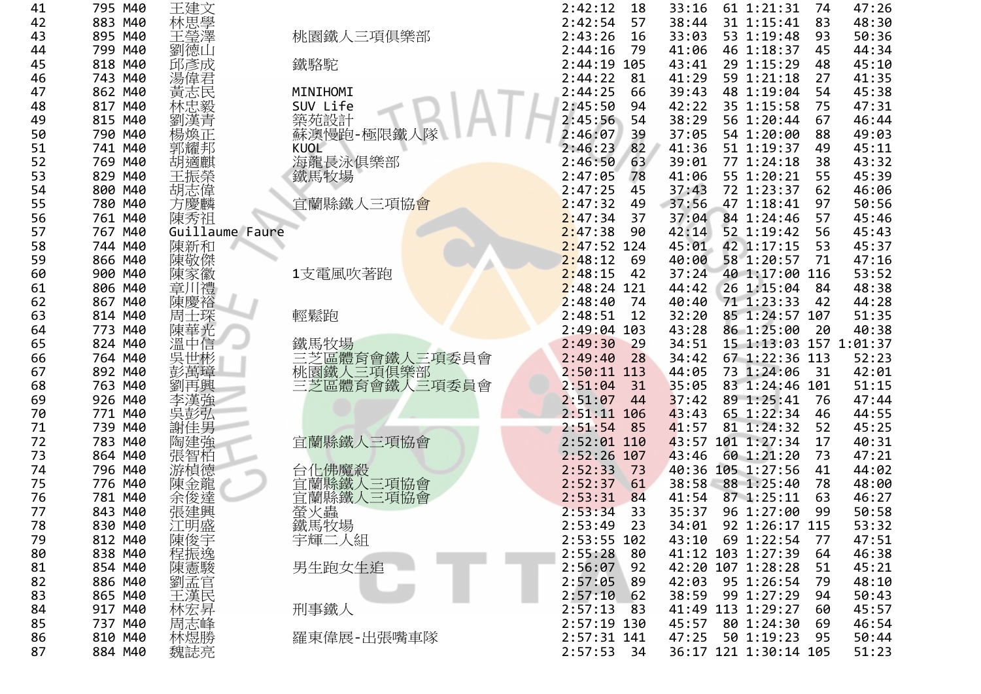| 41 | 795 M40 | 王建文                   |                         | 2:42:12<br>18 | 33:16 | 61 1:21:31             | 74  | 47:26 |
|----|---------|-----------------------|-------------------------|---------------|-------|------------------------|-----|-------|
| 42 | 883 M40 | 一林思學<br>王瑩澤           |                         | 2:42:54<br>57 | 38:44 | 31 1:15:41             | 83  | 48:30 |
| 43 | 895 M40 |                       | 桃園鐵人三項俱樂部               | 2:43:26<br>16 | 33:03 | 53 1:19:48             | 93  | 50:36 |
| 44 | 799 M40 | 劉德山                   |                         | 2:44:16<br>79 | 41:06 | 46 1:18:37             | 45  | 44:34 |
| 45 | 818 M40 | 邱彥成                   | 鐵駱駝                     | 2:44:19 105   | 43:41 | 29 1:15:29             | 48  | 45:10 |
| 46 | 743 M40 | 湯偉君                   |                         | 2:44:22<br>81 | 41:29 | 59 1:21:18             | 27  | 41:35 |
| 47 | 862 M40 | 黃志民                   | MINIHOMI                | 2:44:25<br>66 | 39:43 | 48 1:19:04             | 54  | 45:38 |
| 48 | 817 M40 | 林忠毅                   | SUV Life                | 2:45:50<br>94 | 42:22 | 35 1:15:58             | 75  | 47:31 |
| 49 | 815 M40 | 劉漢青                   | 築苑設計                    | 2:45:56<br>54 | 38:29 | 56 1:20:44             | 67  | 46:44 |
| 50 | 790 M40 | 楊煥正                   | 蘇澳慢跑-極限鐵人隊              | 2:46:07<br>39 | 37:05 | 54 1:20:00             | 88  | 49:03 |
| 51 | 741 M40 | 郭耀邦                   | <b>KUOL</b>             | 2:46:23<br>82 | 41:36 | 51 1:19:37             | 49  | 45:11 |
| 52 | 769 M40 | 胡適麒                   | 海龍長泳俱樂部                 | 2:46:50<br>63 | 39:01 | 77 1:24:18             | 38  | 43:32 |
| 53 | 829 M40 | 王振榮                   | 鐵馬牧場                    | 2:47:05<br>78 | 41:06 | 55 1:20:21             | 55  | 45:39 |
| 54 | 800 M40 | 胡志偉                   |                         | 2:47:25<br>45 | 37:43 | 72 1:23:37             | 62  | 46:06 |
| 55 | 780 M40 | 方慶麟                   | 宜蘭縣鐵人三項協 <mark>會</mark> | 2:47:32<br>49 | 37:56 | 47 1:18:41             | 97  | 50:56 |
| 56 | 761 M40 | 陳秀祖                   |                         | 2:47:34<br>37 | 37:04 | 84 1:24:46             | 57  | 45:46 |
| 57 | 767 M40 | Guillaume Faure       |                         | 2:47:38<br>90 | 42:14 | 52 1:19:42             | 56  | 45:43 |
| 58 | 744 M40 | 陳新和                   |                         | $2:47:52$ 124 | 45:01 | 42 1:17:15             | 53  | 45:37 |
| 59 | 866 M40 | 陳敬傑                   |                         | 2:48:12<br>69 | 40:00 | 58 1:20:57             | 71  | 47:16 |
| 60 | 900 M40 | 陳家徽                   | 1支電風吹著跑                 | 2:48:15<br>42 | 37:24 | 40 1:17:00             | 116 | 53:52 |
| 61 | 806 M40 | 章川禮                   |                         | $2:48:24$ 121 | 44:42 | 26 1:15:04             | 84  | 48:38 |
| 62 | 867 M40 | 陳慶裕                   |                         | 2:48:40<br>74 | 40:40 | 71 1:23:33             | 42  | 44:28 |
| 63 | 814 M40 | 周士琛                   | 輕鬆跑                     | 2:48:51<br>12 | 32:20 | 85 1:24:57 107         |     | 51:35 |
| 64 | 773 M40 | 陳華光                   |                         | $2:49:04$ 103 | 43:28 | 86 1:25:00             | 20  | 40:38 |
| 65 | 824 M40 | 溫中信                   | 鐵馬牧場                    | 2:49:30<br>29 | 34:51 | 15 1:13:03 157 1:01:37 |     |       |
| 66 | 764 M40 | 吳世彬                   | 三芝區體育會鐵人三項委員會           | 2:49:40<br>28 | 34:42 | 67 1:22:36 113         |     | 52:23 |
| 67 | 892 M40 | 彭萬璋                   | 桃園鐵人三項俱樂部               | 2:50:11 113   | 44:05 | 73 1:24:06             | 31  | 42:01 |
| 68 | 763 M40 | 劉再興                   | 三芝區體育會鐵人三項委員會           | 2:51:04<br>31 | 35:05 | 83 1:24:46 101         |     | 51:15 |
| 69 | 926 M40 | 李漢強                   |                         | 2:51:07<br>44 | 37:42 | 89 1:25:41             | 76  | 47:44 |
| 70 | 771 M40 | 吳彭弘                   |                         | $2:51:11$ 106 | 43:43 | 65 1:22:34             | 46  | 44:55 |
| 71 | 739 M40 | 謝佳男                   |                         | 2:51:54<br>85 | 41:57 | 81 1:24:32             | 52  | 45:25 |
| 72 | 783 M40 | 陶建強                   | 宜蘭縣鐵人三項協會               | 2:52:01 110   | 43:57 | 101 1:27:34            | 17  | 40:31 |
| 73 | 864 M40 | 張智柏                   |                         | 2:52:26 107   | 43:46 | 60 1:21:20             | 73  | 47:21 |
| 74 | 796 M40 | 游楨德                   | 台化佛魔殺                   | 2:52:33<br>73 | 40:36 | 105 1:27:56            | 41  | 44:02 |
| 75 | 776 M40 | 陳金龍                   | 宜蘭縣鐵人三項協會               | 2:52:37<br>61 | 38:58 | 88 1:25:40             | 78  | 48:00 |
| 76 | 781 M40 | 余俊達                   | 宜蘭縣鐵人三項協會               | 2:53:31<br>84 | 41:54 | 87 1:25:11             | 63  | 46:27 |
| 77 | 843 M40 | 張建興                   | 螢火蟲                     | 2:53:34<br>33 | 35:37 | 96 1:27:00             | 99  | 50:58 |
| 78 | 830 M40 |                       | 鐵馬牧場                    | 2:53:49<br>23 | 34:01 | 92 1:26:17             | 115 | 53:32 |
| 79 | 812 M40 |                       | 宇輝二人組                   | 2:53:55 102   | 43:10 | 69 1:22:54             | 77  | 47:51 |
| 80 | 838 M40 |                       |                         | 2:55:28<br>80 |       | 41:12 103 1:27:39      | 64  | 46:38 |
| 81 | 854 M40 | 於江陳程陳劉王益<br>《史明俊振憲孟漢· | 男生跑女生追                  | 2:56:07<br>92 |       | 42:20 107 1:28:28      | 51  | 45:21 |
| 82 | 886 M40 |                       |                         | 2:57:05<br>89 | 42:03 | 95 1:26:54             | 79  | 48:10 |
| 83 | 865 M40 |                       |                         | 2:57:10<br>62 | 38:59 | 99 1:27:29             | 94  | 50:43 |
| 84 | 917 M40 |                       | 刑事鐵人                    | 2:57:13<br>83 | 41:49 | 113 1:29:27            | 60  | 45:57 |
| 85 | 737 M40 | 林周林霊<br> 松本  松本       |                         | 2:57:19 130   | 45:57 | 80 1:24:30             | 69  | 46:54 |
| 86 | 810 M40 |                       | 羅東偉展-出張嘴車隊              | 2:57:31 141   | 47:25 | 50 1:19:23             | 95  | 50:44 |
| 87 | 884 M40 | 魏誌亮                   |                         | 2:57:53 34    |       | 36:17 121 1:30:14 105  |     | 51:23 |
|    |         |                       |                         |               |       |                        |     |       |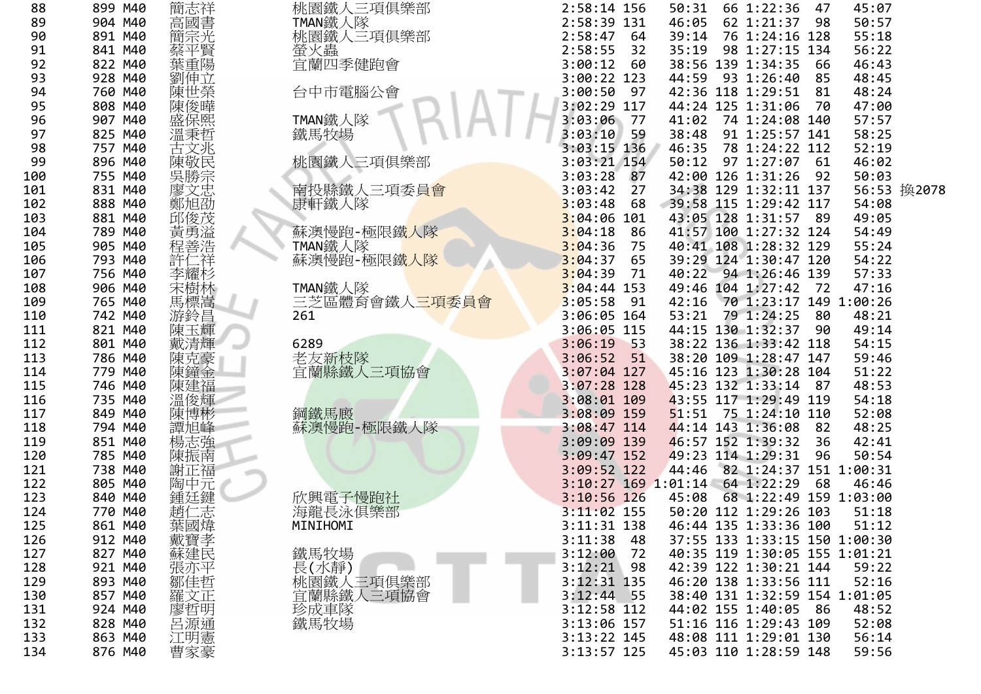| 88  | 899 M40 | 簡志祥        | 桃園鐵人三項俱樂部                   | 2:58:14 156     | 50:31 | 66 1:22:36                     | 47   | 45:07 |             |
|-----|---------|------------|-----------------------------|-----------------|-------|--------------------------------|------|-------|-------------|
| 89  | 904 M40 | 高國書<br>簡宗光 | TMAN鐵人隊                     | 2:58:39 131     | 46:05 | 62 1:21:37 98                  |      | 50:57 |             |
| 90  | 891 M40 |            | 桃園鐵人三項俱樂部                   | 2:58:47<br>64   | 39:14 | 76 1:24:16 128                 |      | 55:18 |             |
| 91  | 841 M40 | 蔡平賢        | 螢火蟲                         | 2:58:55<br>32   | 35:19 | 98 1:27:15 134                 |      | 56:22 |             |
| 92  | 822 M40 | 葉重陽        | 宜蘭四季健跑會                     | 3:00:12<br>60   |       | 38:56 139 1:34:35              | 66   | 46:43 |             |
| 93  | 928 M40 | 劉伸立        |                             | 3:00:22 123     | 44:59 | 93 1:26:40                     | 85   | 48:45 |             |
| 94  | 760 M40 | 陳世榮        | 台中市電腦公會                     | 3:00:50<br>97   |       | 42:36 118 1:29:51              | 81   | 48:24 |             |
| 95  | 808 M40 | 陳俊曄        |                             | 3:02:29 117     |       | 44:24 125 1:31:06              | 70   | 47:00 |             |
| 96  | 907 M40 | 盛保熙        | TMAN鐵人隊                     | 3:03:06<br>77   | 41:02 | 74 1:24:08 140                 |      | 57:57 |             |
| 97  | 825 M40 | 溫秉哲        | 鐵馬牧場                        | 3:03:10<br>59   | 38:48 | 91 1:25:57 141                 |      | 58:25 |             |
| 98  | 757 M40 | 古文兆        |                             | 3:03:15 136     | 46:35 | 78 1:24:22 112                 |      | 52:19 |             |
| 99  | 896 M40 | 陳敬民        | 桃園鐵人三項俱樂部                   | $3:03:21$ 154   | 50:12 | 97 1:27:07                     | - 61 | 46:02 |             |
| 100 | 755 M40 | 吳勝宗        |                             | 3:03:28<br>87   |       | 42:00 126 1:31:26              | - 92 | 50:03 |             |
| 101 | 831 M40 | 廖文忠        | 南投縣鐵人三項委員 <mark>會</mark>    | 3:03:42<br>27   |       | 34:38 129 1:32:11 137          |      |       | 56:53 換2078 |
| 102 | 888 M40 | 鄭旭劭        | 康軒鐵人隊                       | 3:03:48<br>68   |       | 39:58 115 1:29:42 117          |      | 54:08 |             |
| 103 | 881 M40 | 邱俊茂        |                             | 3:04:06 101     |       | 43:05 128 1:31:57 89           |      | 49:05 |             |
| 104 | 789 M40 | 黃勇溢        | 蘇澳慢跑-極限鐵人隊                  | 3:04:18<br>-86  |       | 41:57 100 1:27:32 124          |      | 54:49 |             |
| 105 | 905 M40 | 程善浩        | TMAN鐵人隊                     | 3:04:36<br>75   |       | 40:41 108 1:28:32 129          |      | 55:24 |             |
| 106 | 793 M40 | 三祥<br>許    | 蘇澳慢跑-極限鐵人隊                  | 3:04:37<br>65   |       | 39:29 124 1:30:47 120          |      | 54:22 |             |
| 107 | 756 M40 | 李耀杉        |                             | 3:04:39<br>71   |       | 40:22 94 1:26:46 139           |      | 57:33 |             |
| 108 | 906 M40 | 宋樹林        | TMAN鐵人隊                     | $3:04:44$ 153   |       | 49:46 104 1:27:42              | 72   | 47:16 |             |
| 109 | 765 M40 | 馬標嵩        | 三芝區體育會鐵人 <mark>三項委員會</mark> | 3:05:58<br>91   | 42:16 | 70 1:23:17 149 1:00:26         |      |       |             |
| 110 | 742 M40 | 游鈴昌        | 261                         | 3:06:05 164     | 53:21 | 79 1:24:25                     | 80   | 48:21 |             |
| 111 | 821 M40 | 陳玉輝        |                             | 3:06:05 115     |       | 44:15 130 1:32:37              | 90   | 49:14 |             |
| 112 | 801 M40 | 戴清輝        | 6289                        | 3:06:19<br>53   |       | 38:22 136 1:33:42 118          |      | 54:15 |             |
| 113 | 786 M40 | 陳克豪        | 老友新枝隊                       | 3:06:52<br>51   |       | 38:20 109 1:28:47 147          |      | 59:46 |             |
| 114 | 779 M40 | 陳鐘金        | 宜蘭縣鐵人三項協會                   | $3:07:04$ 127   |       | 45:16 123 1:30:28 104          |      | 51:22 |             |
| 115 | 746 M40 | 陳建福        |                             | $3:07:28$ 128   |       | 45:23 132 1:33:14 87           |      | 48:53 |             |
| 116 | 735 M40 | 溫俊輝        |                             | 3:08:01 109     |       | 43:55 117 1:29:49 119          |      | 54:18 |             |
| 117 | 849 M40 | 陳博彬        | 鋼鐵馬廄                        | $3:08:09$ 159   | 51:51 | 75 1:24:10 110                 |      | 52:08 |             |
| 118 | 794 M40 | 譚旭峰        | 蘇澳慢跑-極限鐵人隊                  | $3:08:47$ 114   |       | 44:14 143 1:36:08              | 82   | 48:25 |             |
| 119 | 851 M40 | 楊志強        |                             | 3:09:09 139     |       | 46:57 152 1:39:32              | 36   | 42:41 |             |
| 120 | 785 M40 | 陳振南        |                             | $3:09:47$ 152   |       | 49:23 114 1:29:31              | 96   | 50:54 |             |
| 121 | 738 M40 | 謝正福        |                             | 3:09:52 122     | 44:46 | 82 1:24:37 151 1:00:31         |      |       |             |
| 122 | 805 M40 | 陶中元        |                             |                 |       | 3:10:27 169 1:01:14 64 1:22:29 | 68   | 46:46 |             |
| 123 | 840 M40 | 鍾廷鍵        | 欣興電子慢跑社                     | 3:10:56 126     | 45:08 | 68 1:22:49 159 1:03:00         |      |       |             |
| 124 | 770 M40 | 趙仁志        | 海龍長泳俱樂部                     | $3:11:02$ 155   |       | 50:20 112 1:29:26 103          |      | 51:18 |             |
| 125 | 861 M40 | 葉國煒        | MINIHOMI                    | 3:11:31 138     |       | 46:44 135 1:33:36 100          |      | 51:12 |             |
| 126 | 912 M40 | 戴寶孝        |                             | 3:11:38<br>- 48 |       | 37:55 133 1:33:15 150 1:00:30  |      |       |             |
| 127 | 827 M40 | 蘇建民        | 鐵馬牧場                        | 3:12:00<br>72   |       | 40:35 119 1:30:05 155 1:01:21  |      |       |             |
| 128 | 921 M40 | 張亦平        | 長(水靜)                       | 3:12:21<br>98   |       | 42:39 122 1:30:21 144          |      | 59:22 |             |
| 129 | 893 M40 | 鄒佳哲        | 桃園鐵人三項俱樂部                   | $3:12:31$ 135   |       | 46:20 138 1:33:56 111          |      | 52:16 |             |
| 130 | 857 M40 | 羅文正        | 宜蘭縣鐵人三項協會                   | $3:12:44$ 55    |       | 38:40 131 1:32:59 154 1:01:05  |      |       |             |
| 131 | 924 M40 | 廖哲明        | 珍成車隊                        | $3:12:58$ 112   |       | 44:02 155 1:40:05              | - 86 | 48:52 |             |
| 132 | 828 M40 | 呂源通        | 鐵馬牧場                        | 3:13:06 157     |       | 51:16 116 1:29:43 109          |      | 52:08 |             |
| 133 | 863 M40 | 江明憲        |                             | $3:13:22$ 145   |       | 48:08 111 1:29:01 130          |      | 56:14 |             |
| 134 | 876 M40 | 曹家豪        |                             | 3:13:57 125     |       | 45:03 110 1:28:59 148          |      | 59:56 |             |
|     |         |            |                             |                 |       |                                |      |       |             |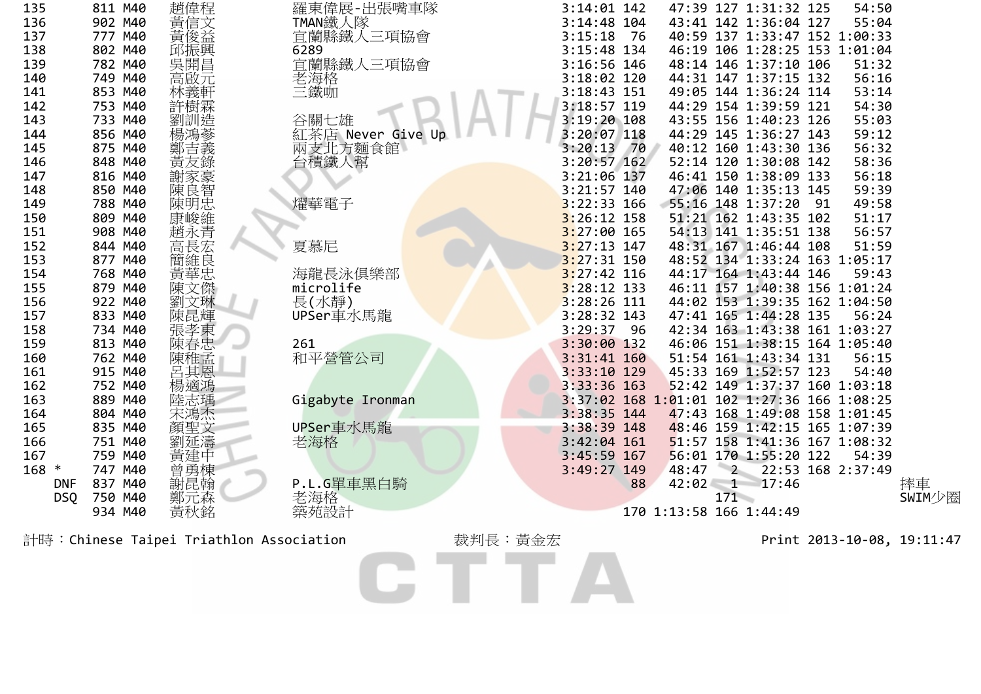| 135           | 811 M40 | 趙偉程        | 羅東偉展-出張嘴車隊                              | 3:14:01 142    | 47:39 127 1:31:32 125                       | 54:50                      |        |
|---------------|---------|------------|-----------------------------------------|----------------|---------------------------------------------|----------------------------|--------|
| 136           | 902 M40 | 黃信文        | TMAN鐵人隊                                 | $3:14:48$ 104  | 43:41 142 1:36:04 127                       | 55:04                      |        |
| 137           | 777 M40 | 黃俊益        | 宜蘭縣鐵人三項協會                               | 3:15:18<br>76  | 40:59 137 1:33:47 152 1:00:33               |                            |        |
| 138           | 802 M40 | 邱振興        | 6289                                    | 3:15:48 134    | 46:19 106 1:28:25 153 1:01:04               |                            |        |
| 139           | 782 M40 | 吳開昌        | 宜蘭縣鐵人三項協會                               | 3:16:56 146    | 48:14 146 1:37:10 106                       | 51:32                      |        |
| 140           | 749 M40 | 高啟元        | 老海格                                     | 3:18:02 120    | 44:31 147 1:37:15 132                       | 56:16                      |        |
| 141           | 853 M40 | 林義軒        | 三鐵咖                                     | 3:18:43 151    | 49:05 144 1:36:24 114                       | 53:14                      |        |
| 142           | 753 M40 | 許樹霖        |                                         | 3:18:57 119    | 44:29 154 1:39:59 121                       | 54:30                      |        |
| 143           | 733 M40 | 劉訓造        | 谷關七雄                                    | 3:19:20 108    | 43:55 156 1:40:23 126                       | 55:03                      |        |
| 144           | 856 M40 | 楊鴻         | 紅茶店 Never Give Up                       | 3:20:07 118    | 44:29 145 1:36:27 143                       | 59:12                      |        |
| 145           | 875 M40 | 鄭吉義        | 兩支北方麵食館                                 | 3:20:13<br>70  | 40:12 160 1:43:30 136                       | 56:32                      |        |
| 146           | 848 M40 | 竜反錄        | 台積鐵人幫                                   | $3:20:57$ 162  | 52:14 120 1:30:08 142                       | 58:36                      |        |
| 147           | 816 M40 |            |                                         | 3:21:06 137    | 46:41 150 1:38:09 133                       | 56:18                      |        |
| 148           | 850 M40 |            |                                         | 3:21:57 140    | 47:06 140 1:35:13 145                       | 59:39                      |        |
| 149           | 788 M40 | 陳良智<br>陳明忠 | 燿華電子                                    | $3:22:33$ 166  | 55:16 148 1:37:20                           | 49:58<br>91                |        |
| 150           | 809 M40 | 康峻維        |                                         | $3:26:12$ 158  | 51:21 162 1:43:35 102                       | 51:17                      |        |
| 151           | 908 M40 | 趙永青        |                                         | $3:27:00$ 165  | 54:13 141 1:35:51 138                       | 56:57                      |        |
| 152           | 844 M40 | 高長宏        | 夏慕尼                                     | $3:27:13$ 147  | 48:31 167 1:46:44 108                       | 51:59                      |        |
| 153           | 877 M40 | 簡維良        |                                         | $3:27:31$ 150  | 48:52 134 1:33:24 163 1:05:17               |                            |        |
| 154           | 768 M40 |            | 海龍長泳俱樂部                                 | $3:27:42$ 116  | 44:17 164 1:43:44 146                       | 59:43                      |        |
| 155           | 879 M40 |            | microlife                               | 3:28:12 133    | 46:11 157 1:40:38 156 1:01:24               |                            |        |
| 156           | 922 M40 | 劉文琳        | 長(水靜)                                   | 3:28:26 111    | 44:02 153 1:39:35 162 1:04:50               |                            |        |
|               | 833 M40 |            |                                         | 3:28:32 143    | 47:41 165 1:44:28 135                       | 56:24                      |        |
| 157           |         | 陳昆輝        | UPSer車水馬龍                               | 3:29:37<br>-96 | 42:34 163 1:43:38 161 1:03:27               |                            |        |
| 158           | 734 M40 | 張孝東        |                                         |                |                                             |                            |        |
| 159           | 813 M40 | 陳春         | 261                                     | 3:30:00 132    | 46:06 151 1:38:15 164 1:05:40               |                            |        |
| 160           | 762 M40 | 陳稚孟        | 和平營管公司                                  | 3:31:41 160    | 51:54 161 1:43:34 131                       | 56:15                      |        |
| 161           | 915 M40 | 呂其恩        |                                         | 3:33:10 129    | 45:33 169 1:52:57 123                       | 54:40                      |        |
| 162           | 752 M40 | 楊滴鴻        |                                         | 3:33:36 163    | 52:42 149 1:37:37 160 1:03:18               |                            |        |
| 163           | 889 M40 |            | Gigabyte Ironman                        |                | 3:37:02 168 1:01:01 102 1:27:36 166 1:08:25 |                            |        |
| 164           | 804 M40 | 宋鴻杰        |                                         | $3:38:35$ 144  | 47:43 168 1:49:08 158 1:01:45               |                            |        |
| 165           | 835 M40 | 顏聖文        | UPSer車水馬龍                               | 3:38:39 148    | 48:46 159 1:42:15 165 1:07:39               |                            |        |
| 166           | 751 M40 | 劉延濤        | 老海格                                     | $3:42:04$ 161  | 51:57 158 1:41:36                           | 167 1:08:32                |        |
| 167           | 759 M40 | 黃建中        |                                         | 3:45:59 167    | 56:01 170 1:55:20 122                       | 54:39                      |        |
| $\ast$<br>168 | 747 M40 | 曾勇棟        |                                         | 3:49:27 149    | 48:47<br>$\mathcal{P}$                      | 22:53 168 2:37:49          |        |
| <b>DNF</b>    | 837 M40 | 謝昆翰        | P.L.G單車黑白騎                              | 88             | 42:02  1  17:46                             |                            | 摔車     |
| <b>DSQ</b>    | 750 M40 | 鄭元森        | 老海格                                     |                | 171                                         |                            | SWIM少圈 |
|               | 934 M40 | 黃秋銘        | 築苑設計                                    |                | 170 1:13:58 166 1:44:49                     |                            |        |
|               |         |            |                                         |                |                                             |                            |        |
|               |         |            | 計時:Chinese Taipei Triathlon Association | 裁判長:黃金宏        |                                             | Print 2013-10-08, 19:11:47 |        |
|               |         |            |                                         |                |                                             |                            |        |

GTTA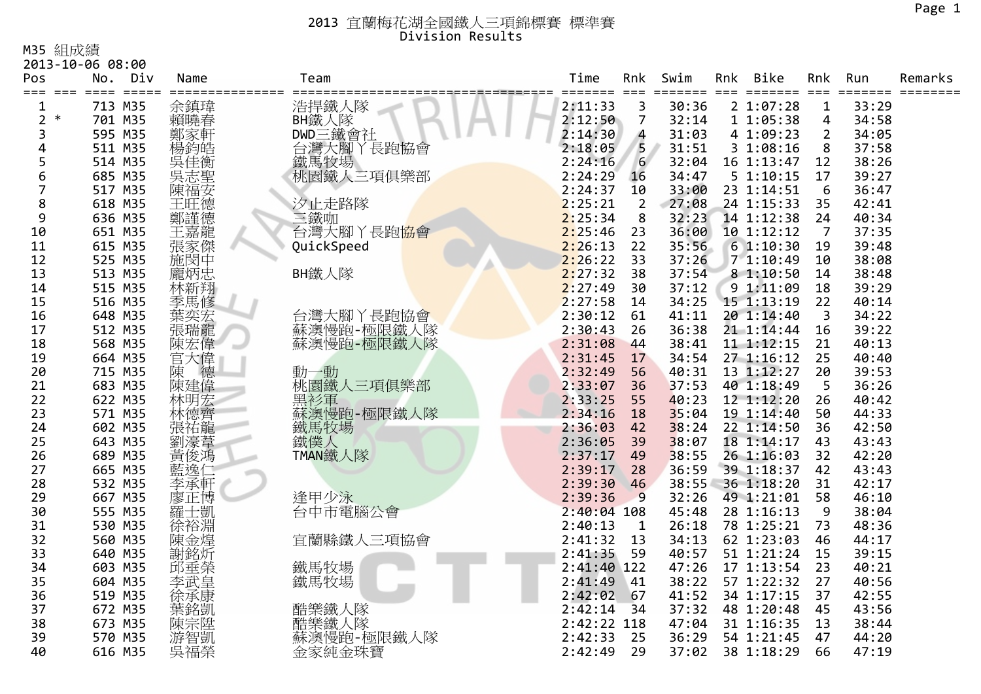M35 組成績

|                 | 2013-10-06 08:00 |            |                   |               |                  |       |     |            |                |       |         |
|-----------------|------------------|------------|-------------------|---------------|------------------|-------|-----|------------|----------------|-------|---------|
| Pos             | No.<br>Div       | Name       | Team              | Time          | Rnk              | Swim  | Rnk | Bike       | Rnk            | Run   | Remarks |
| $== =$<br>$===$ | $=$ $=$ $=$ $=$  |            |                   | $====$        | $===$            |       |     | 2 1:07:28  | $===$          | ----- |         |
| 1<br>$\ast$     | 713 M35          | 余鎮瑋        | 浩捍鐵人隊             | 2:11:33       | 3                | 30:36 |     |            | $\mathbf{1}$   | 33:29 |         |
| 2               | 701 M35          | 賴曉春        | BH鐵人隊             | 2:12:50       | 7                | 32:14 |     | 11:05:38   | 4              | 34:58 |         |
| 3               | 595 M35          | 鄭家軒        | DWD三鐵會社           | 2:14:30       | 4                | 31:03 |     | 4 1:09:23  | 2              | 34:05 |         |
| 4               | 511 M35          | 楊鈞皓        | 台灣大腳丫長跑協會<br>鐵馬牧場 | 2:18:05       | 5                | 31:51 |     | 3 1:08:16  | 8              | 37:58 |         |
| 5               | 514 M35          | 吳佳衡        |                   | 2:24:16       | $6 \overline{6}$ | 32:04 |     | 16 1:13:47 | 12             | 38:26 |         |
| 6               | 685 M35          | 吴志聖<br>陳福安 | 桃園鐵人三項俱樂部         | 2:24:29       | 16               | 34:47 |     | 51:10:15   | 17             | 39:27 |         |
| 7               | 517 M35          |            |                   | 2:24:37       | 10               | 33:00 |     | 23 1:14:51 | 6              | 36:47 |         |
| 8               | 618 M35          | 王旺德        | 汐止走路隊             | 2:25:21       | $\overline{2}$   | 27:08 |     | 24 1:15:33 | 35             | 42:41 |         |
| 9               | 636 M35          | 鄭謹德        | 三鐵咖               | 2:25:34       | 8                | 32:23 |     | 14 1:12:38 | 24             | 40:34 |         |
| 10              | 651 M35          | 王嘉龍        | 台灣大腳丫長跑協會         | 2:25:46       | 23               | 36:00 |     | 10 1:12:12 | $\overline{7}$ | 37:35 |         |
| 11              | 615 M35          |            | QuickSpeed        | 2:26:13       | 22               | 35:56 |     | 61:10:30   | 19             | 39:48 |         |
| 12              | 525 M35          | 張家傑<br>施閔中 |                   | 2:26:22       | 33               | 37:26 |     | 71:10:49   | 10             | 38:08 |         |
| 13              | 513 M35          | 龐炳忠        | BH鐵人隊             | 2:27:32       | 38               | 37:54 |     | 8 1:10:50  | 14             | 38:48 |         |
| 14              | 515 M35          | 林新翔        |                   | 2:27:49       | 30               | 37:12 |     | 9 1:11:09  | 18             | 39:29 |         |
| 15              | 516 M35          | 季馬修        |                   | 2:27:58       | 14               | 34:25 |     | 15 1:13:19 | 22             | 40:14 |         |
| 16              | 648 M35          | 葉奕宏<br>張瑞龍 | 台灣大腳丫長跑協會         | 2:30:12       | 61               | 41:11 |     | 20 1:14:40 | 3              | 34:22 |         |
| 17              | 512 M35          |            | 蘇澳慢跑-極限鐵人隊        | 2:30:43       | 26               | 36:38 |     | 21 1:14:44 | 16             | 39:22 |         |
| 18              | 568 M35          | 陳宏偉        | 蘇澳慢跑-極限鐵人隊        | 2:31:08       | 44               | 38:41 |     | 11 1:12:15 | 21             | 40:13 |         |
| 19              | 664 M35          | 官大偉        |                   | 2:31:45       | 17               | 34:54 |     | 27 1:16:12 | 25             | 40:40 |         |
| 20              | 715 M35          | 德<br>陳     | 動一動               | 2:32:49       | 56               | 40:31 |     | 13 1:12:27 | 20             | 39:53 |         |
| 21              | 683 M35          | 陳建偉        | 桃園鐵人三項俱樂部         | 2:33:07       | 36               | 37:53 |     | 40 1:18:49 | 5              | 36:26 |         |
| 22              | 622 M35          | 林明宏        | 黑衫軍               | 2:33:25       | 55               | 40:23 |     | 12 1:12:20 | 26             | 40:42 |         |
| 23              | 571 M35          | 林德齊        | 蘇澳慢跑-極限鐵人隊        | 2:34:16       | 18               | 35:04 |     | 19 1:14:40 | 50             | 44:33 |         |
| 24              | 602 M35          | 張祐龍        | 鐵馬牧場              | 2:36:03       | 42               | 38:24 |     | 22 1:14:50 | 36             | 42:50 |         |
| 25              | 643 M35          | 劉濠葦        | 鐵僕人               | 2:36:05       | 39               | 38:07 |     | 18 1:14:17 | 43             | 43:43 |         |
| 26              | 689 M35          | 黃俊鴻        | TMAN鐵人隊           | 2:37:17       | 49               | 38:55 |     | 26 1:16:03 | 32             | 42:20 |         |
| 27              | 665 M35          | 藍逸仁        |                   | 2:39:17       | 28               | 36:59 |     | 39 1:18:37 | 42             | 43:43 |         |
| 28              | 532 M35          | 李承軒        |                   | 2:39:30       | 46               | 38:55 |     | 36 1:18:20 | 31             | 42:17 |         |
| 29              | 667 M35          | 廖正博        | 逢甲少泳              | 2:39:36       | 9                | 32:26 |     | 49 1:21:01 | 58             | 46:10 |         |
| 30              | 555 M35          | 羅士凱        | 台中市電腦公會           | $2:40:04$ 108 |                  | 45:48 |     | 28 1:16:13 | 9              | 38:04 |         |
| 31              | 530 M35          | 徐裕淵        |                   | 2:40:13       | 1                | 26:18 |     | 78 1:25:21 | 73             | 48:36 |         |
| 32              | 560 M35          | 陳金煌        | 宜蘭縣鐵人三項協會         | 2:41:32       | 13               | 34:13 |     | 62 1:23:03 | 46             | 44:17 |         |
| 33              | 640 M35          | 謝銘炘        |                   | 2:41:35       | 59               | 40:57 |     | 51 1:21:24 | 15             | 39:15 |         |
| 34              | 603 M35          | 邱垂榮        | 鐵馬牧場              | 2:41:40 122   |                  | 47:26 |     | 17 1:13:54 | 23             | 40:21 |         |
| 35              | 604 M35          | 李武皇        | 鐵馬牧場              | 2:41:49       | 41               | 38:22 |     | 57 1:22:32 | 27             | 40:56 |         |
| 36              | 519 M35          | 徐承康        |                   | 2:42:02       | 67               | 41:52 |     | 34 1:17:15 | 37             | 42:55 |         |
| 37              | 672 M35          | 葉銘凱        | 酷樂鐵人隊             | 2:42:14       | 34               | 37:32 |     | 48 1:20:48 | 45             | 43:56 |         |
| 38              | 673 M35          | 陳宗陞        | 酷樂鐵人隊             | 2:42:22 118   |                  | 47:04 |     | 31 1:16:35 | 13             | 38:44 |         |
| 39              | 570 M35          | 游智凱        | 蘇澳慢跑-極限鐵人隊        | 2:42:33       | 25               | 36:29 |     | 54 1:21:45 | 47             | 44:20 |         |
| 40              | 616 M35          | 吳福榮        | 金家純金珠寶            | 2:42:49       | 29               | 37:02 |     | 38 1:18:29 | 66             | 47:19 |         |
|                 |                  |            |                   |               |                  |       |     |            |                |       |         |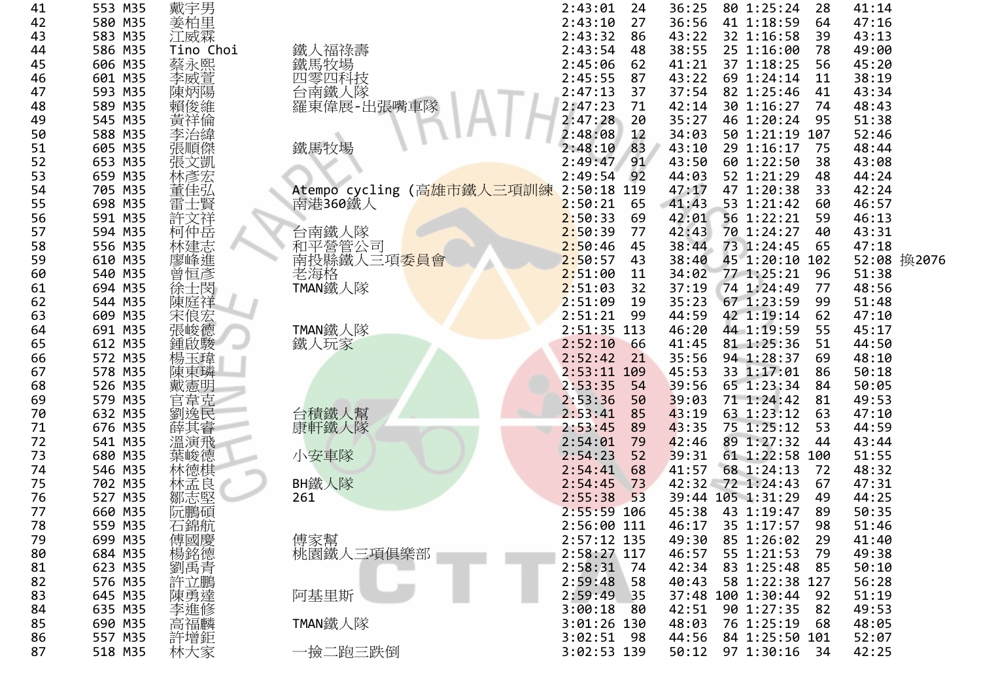| 41 | 553 M35 | 戴宇男         |                                         | 2:43:01     | 24  | 36:25 | 80 1:25:24        | 28 | 41:14 |             |
|----|---------|-------------|-----------------------------------------|-------------|-----|-------|-------------------|----|-------|-------------|
| 42 | 580 M35 | 姜柏里         |                                         | 2:43:10     | 27  | 36:56 | 41 1:18:59        | 64 | 47:16 |             |
| 43 | 583 M35 | 江威霖         |                                         | 2:43:32     | 86  | 43:22 | 32 1:16:58        | 39 | 43:13 |             |
| 44 | 586 M35 | Tino Choi   | 鐵人福祿壽                                   | 2:43:54     | 48  | 38:55 | 25 1:16:00        | 78 | 49:00 |             |
| 45 | 606 M35 | 蔡永熙<br>李威萱  | 鐵馬牧場                                    | 2:45:06     | 62  | 41:21 | 37 1:18:25        | 56 | 45:20 |             |
| 46 | 601 M35 |             | 四零四科技                                   | 2:45:55     | 87  | 43:22 | 69 1:24:14        | 11 | 38:19 |             |
| 47 | 593 M35 | 陳炳陽         | 台南鐵人隊                                   | 2:47:13     | 37  | 37:54 | 82 1:25:46        | 41 | 43:34 |             |
| 48 | 589 M35 | 賴俊維         | 羅東偉展-出張嘴車隊                              | 2:47:23     | 71  | 42:14 | 30 1:16:27        | 74 | 48:43 |             |
| 49 | 545 M35 | 黃洋倫         |                                         | 2:47:28     | 20  | 35:27 | 46 1:20:24        | 95 | 51:38 |             |
| 50 | 588 M35 | 李治緯         |                                         | 2:48:08     | 12  | 34:03 | 50 1:21:19 107    |    | 52:46 |             |
| 51 | 605 M35 | 張順傑         | 鐵馬牧場                                    | 2:48:10     | 83  | 43:10 | 29 1:16:17        | 75 | 48:44 |             |
| 52 | 653 M35 | 張文凱         |                                         | 2:49:47     | 91  | 43:50 | 60 1:22:50        | 38 | 43:08 |             |
| 53 | 659 M35 | 林彥宏         |                                         | 2:49:54     | 92  | 44:03 | 52 1:21:29        | 48 | 44:24 |             |
| 54 | 705 M35 | 董佳弘         | Atempo cycling (高 <mark>雄市鐵人三項訓練</mark> | 2:50:18     | 119 | 47:17 | 47 1:20:38        | 33 | 42:24 |             |
| 55 | 698 M35 | 雷士賢         | 南港360鐵人                                 | 2:50:21     | 65  | 41:43 | 53 1:21:42        | 60 | 46:57 |             |
| 56 | 591 M35 | 許文祥         |                                         | 2:50:33     | 69  | 42:01 | 56 1:22:21        | 59 | 46:13 |             |
| 57 | 594 M35 | 柯仲岳         | 台南鐵人隊                                   | 2:50:39     | 77  | 42:43 | 70 1:24:27        | 40 | 43:31 |             |
| 58 | 556 M35 | 林建志         | 和平營管公司                                  | 2:50:46     | 45  | 38:44 | 73 1:24:45        | 65 | 47:18 |             |
| 59 | 610 M35 | 廖峰進         | 南投縣鐵人三項 <mark>委員會</mark>                | 2:50:57     | 43  | 38:40 | 45 1:20:10 102    |    |       | 52:08 換2076 |
| 60 | 540 M35 | 曾恒彥         | 老海格                                     | 2:51:00     | 11  | 34:02 | 77 1:25:21        | 96 | 51:38 |             |
| 61 | 694 M35 | 徐士閔         | TMAN鐵人隊                                 | 2:51:03     | 32  | 37:19 | 74 1:24:49        | 77 | 48:56 |             |
| 62 | 544 M35 | 陳庭祥         |                                         | 2:51:09     | 19  | 35:23 | 67 1:23:59        | 99 | 51:48 |             |
| 63 | 609 M35 | 宋俍宏         |                                         | 2:51:21     | 99  | 44:59 | 42 1:19:14        | 62 | 47:10 |             |
| 64 | 691 M35 | 張峻德         | TMAN鐵人隊                                 | 2:51:35     | 113 | 46:20 | 44 1:19:59        | 55 | 45:17 |             |
| 65 | 612 M35 | 鍾啟駿         | 鐵人玩家                                    | 2:52:10     | 66  | 41:45 | 81 1:25:36        | 51 | 44:50 |             |
| 66 | 572 M35 | 楊玉瑋         |                                         | 2:52:42     | 21  | 35:56 | 94 1:28:37        | 69 | 48:10 |             |
| 67 | 578 M35 | 陳東璘         |                                         | 2:53:11     | 109 | 45:53 | 33 1:17:01        | 86 | 50:18 |             |
| 68 | 526 M35 |             |                                         | 2:53:35     | 54  | 39:56 | 65 1:23:34        | 84 | 50:05 |             |
| 69 | 579 M35 | 戴憲明         |                                         | 2:53:36     | 50  | 39:03 | 71 1:24:42        | 81 | 49:53 |             |
| 70 | 632 M35 | 官韋克         |                                         | 2:53:41     | 85  | 43:19 | 63 1:23:12        | 63 | 47:10 |             |
|    |         | 劉逸民         | 台積鐵人幫                                   |             |     |       |                   | 53 |       |             |
| 71 | 676 M35 | 薛其睿         | 康軒鐵人隊                                   | 2:53:45     | 89  | 43:35 | 75 1:25:12        |    | 44:59 |             |
| 72 | 541 M35 | 溫演飛         |                                         | 2:54:01     | 79  | 42:46 | 89 1:27:32        | 44 | 43:44 |             |
| 73 | 680 M35 | 葉峻德         | 小安車隊                                    | 2:54:23     | 52  | 39:31 | 61 1:22:58 100    |    | 51:55 |             |
| 74 | 546 M35 | 林德棋         |                                         | 2:54:41     | 68  | 41:57 | 68 1:24:13        | 72 | 48:32 |             |
| 75 | 702 M35 | 林孟良         | BH鐵人隊                                   | 2:54:45     | 73  |       | 42:32 72 1:24:43  | 67 | 47:31 |             |
| 76 | 527 M35 | 鄒志堅         | 261                                     | 2:55:38     | 53  |       | 39:44 105 1:31:29 | 49 | 44:25 |             |
| 77 | 660 M35 | 阮鵬碩         |                                         | 2:55:59 106 |     | 45:38 | 43 1:19:47        | 89 | 50:35 |             |
| 78 | 559 M35 | 石錦航         |                                         | 2:56:00 111 |     | 46:17 | 35 1:17:57        | 98 | 51:46 |             |
| 79 | 699 M35 |             | 傅家幫                                     | 2:57:12 135 |     | 49:30 | 85 1:26:02        | 29 | 41:40 |             |
| 80 | 684 M35 |             | 桃園鐵人三項俱樂部                               | 2:58:27 117 |     | 46:57 | 55 1:21:53        | 79 | 49:38 |             |
| 81 | 623 M35 |             |                                         | 2:58:31     | 74  | 42:34 | 83 1:25:48        | 85 | 50:10 |             |
| 82 | 576 M35 | 1傅楊銘禹立      |                                         | 2:59:48     | 58  | 40:43 | 58 1:22:38 127    |    | 56:28 |             |
| 83 | 645 M35 |             | 阿基里斯                                    | 2:59:49     | 35  | 37:48 | 100 1:30:44       | 92 | 51:19 |             |
| 84 | 635 M35 | i陳勇達<br>李進修 |                                         | 3:00:18     | 80  | 42:51 | 90 1:27:35        | 82 | 49:53 |             |
| 85 | 690 M35 | 高福麟<br>許增鉅  | TMAN鐵人隊                                 | 3:01:26 130 |     | 48:03 | 76 1:25:19        | 68 | 48:05 |             |
| 86 | 557 M35 |             |                                         | 3:02:51     | -98 | 44:56 | 84 1:25:50 101    |    | 52:07 |             |
| 87 | 518 M35 | 林大家         | 一撿二跑三跌倒                                 | 3:02:53 139 |     | 50:12 | 97 1:30:16        | 34 | 42:25 |             |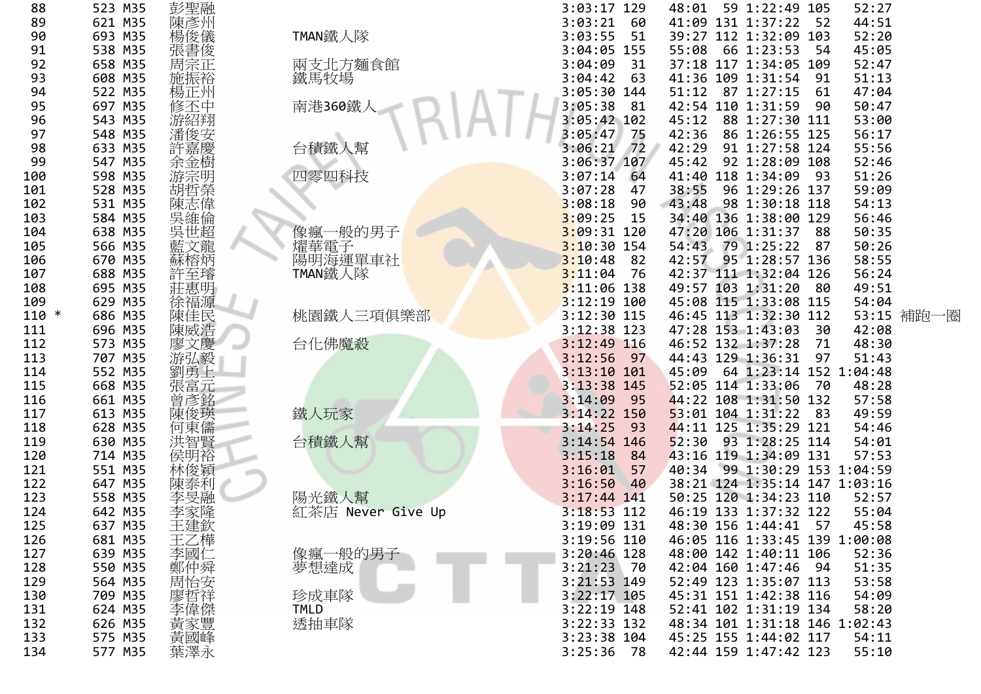| 88      | 523 M35 | 彭聖融             |                   | 3:03:17 129   | 48:01             | 59 1:22:49 105                | 52:27    |   |
|---------|---------|-----------------|-------------------|---------------|-------------------|-------------------------------|----------|---|
| 89      | 621 M35 | 陳彥州             |                   | 3:03:21<br>60 | 41:09 131 1:37:22 | - 52                          | 44:51    |   |
| 90      | 693 M35 | 楊俊儀             | TMAN鐵人隊           | 3:03:55<br>51 |                   | 39:27 112 1:32:09 103         | 52:20    |   |
| 91      | 538 M35 | 張書俊             |                   | 3:04:05 155   | 55:08             | 66 1:23:53<br>-54             | 45:05    |   |
| 92      | 658 M35 | 周宗正             | 兩支北方麵食館           | 3:04:09<br>31 |                   | 37:18 117 1:34:05 109         | 52:47    |   |
| 93      | 608 M35 | 施振裕             | 鐵馬牧場              | 3:04:42<br>63 | 41:36 109 1:31:54 | 91                            | 51:13    |   |
| 94      | 522 M35 | 楊正州             |                   | 3:05:30 144   | 51:12             | 87 1:27:15<br>61              | 47:04    |   |
| 95      | 697 M35 | 修丕中             | 南港360鐵人           | 3:05:38<br>81 | 42:54 110 1:31:59 | 90                            | 50:47    |   |
| 96      | 543 M35 | 游紹翔             |                   | 3:05:42 102   | 45:12             | 88 1:27:30 111                | 53:00    |   |
| 97      | 548 M35 | 潘俊安             |                   | 3:05:47<br>75 | 42:36             | 86 1:26:55 125                | 56:17    |   |
| 98      | 633 M35 | 許嘉慶             | 台積鐵人幫             | 3:06:21<br>72 | 42:29             | 91 1:27:58 124                | 55:56    |   |
| 99      | 547 M35 | 余金樹             |                   | 3:06:37 107   | 45:42             | 92 1:28:09 108                | 52:46    |   |
| 100     | 598 M35 | 游宗明             | 四零四科技             | 3:07:14<br>64 | 41:40 118 1:34:09 | - 93                          | 51:26    |   |
| 101     | 528 M35 | 胡哲榮             |                   | 3:07:28<br>47 | 38:55             | 96 1:29:26 137                | 59:09    |   |
| 102     | 531 M35 |                 |                   | 3:08:18<br>90 | 43:48             | 98 1:30:18 118                | 54:13    |   |
| 103     | 584 M35 | 陳志偉             |                   | 3:09:25<br>15 |                   | 34:40 136 1:38:00 129         | 56:46    |   |
| 104     | 638 M35 | 冥世超             | 像瘋一般的男子           | $3:09:31$ 120 | 47:20 106 1:31:37 | 88                            | 50:35    |   |
| 105     | 566 M35 | 藍文龍             | 燿華電子              | $3:10:30$ 154 | 54:43 79 1:25:22  | 87                            | 50:26    |   |
| 106     | 670 M35 | 蘇榕炳             | 陽明海運單車社           | 3:10:48<br>82 | 42:57             | 95 1:28:57 136                | 58:55    |   |
| 107     | 688 M35 | 許至璿             | TMAN鐵人隊           | 3:11:04<br>76 |                   | 42:37 111 1:32:04 126         | 56:24    |   |
| 108     | 695 M35 | 莊惠明             |                   | 3:11:06 138   | 49:57 103 1:31:20 | - 80                          | 49:51    |   |
| 109     | 629 M35 | 徐福源             |                   | $3:12:19$ 100 |                   | 45:08 115 1:33:08 115         | 54:04    |   |
| $110 *$ | 686 M35 | 陳佳民             | 桃園鐵人三項俱樂部         | 3:12:30 115   |                   | 46:45 113 1:32:30 112         | 53:15 補跑 | 圈 |
| 111     | 696 M35 | 陳威浩             |                   | 3:12:38 123   | 47:28 153 1:43:03 | - 30                          | 42:08    |   |
| 112     | 573 M35 | 廖文慶             | 台化佛魔殺             | $3:12:49$ 116 | 46:52 132 1:37:28 | 71                            | 48:30    |   |
| 113     | 707 M35 | 游弘毅             |                   | 3:12:56<br>97 | 44:43 129 1:36:31 | 97                            | 51:43    |   |
| 114     | 552 M35 | 劉勇上             |                   | $3:13:10$ 101 | 45:09             | 64 1:23:14 152 1:04:48        |          |   |
| 115     | 668 M35 | 張富元             |                   | 3:13:38 145   | 52:05 114 1:33:06 | - 70                          | 48:28    |   |
| 116     | 661 M35 | 曾彥銘             |                   | 3:14:09<br>95 |                   | 44:22 108 1:31:50 132         | 57:58    |   |
| 117     | 613 M35 | 陳俊瑛             | 鐵人玩家              | $3:14:22$ 150 | 53:01 104 1:31:22 | 83                            | 49:59    |   |
| 118     | 628 M35 | 何東儒             |                   | 3:14:25<br>93 |                   | 44:11 125 1:35:29 121         | 54:46    |   |
| 119     | 630 M35 | 洪智賢             | 台積鐵人幫             | $3:14:54$ 146 | 52:30             | 93 1:28:25 114                | 54:01    |   |
| 120     | 714 M35 | 侯明裕             |                   | 3:15:18<br>84 |                   | 43:16 119 1:34:09 131         | 57:53    |   |
| 121     | 551 M35 | 林俊穎             |                   | 3:16:01<br>57 |                   | 40:34 99 1:30:29 153 1:04:59  |          |   |
| 122     | 647 M35 | 陳泰利             |                   | 3:16:50<br>40 |                   | 38:21 124 1:35:14 147 1:03:16 |          |   |
| 123     | 558 M35 | 李旻融             | 陽光鐵人幫             | $3:17:44$ 141 |                   | 50:25 120 1:34:23 110         | 52:57    |   |
| 124     | 642 M35 | 李家隆             | 紅茶店 Never Give Up | $3:18:53$ 112 |                   | 46:19 133 1:37:32 122         | 55:04    |   |
| 125     | 637 M35 |                 |                   | 3:19:09 131   |                   | 48:30 156 1:44:41 57          | 45:58    |   |
| 126     | 681 M35 | 王建欽<br>王乙樺      |                   | 3:19:56 110   |                   | 46:05 116 1:33:45 139 1:00:08 |          |   |
| 127     | 639 M35 | 李國仁             | 像瘋一般的男子           | $3:20:46$ 128 |                   | 48:00 142 1:40:11 106         | 52:36    |   |
| 128     | 550 M35 | 鄭仲舜             | 夢想達成              | $3:21:23$ 70  | 42:04 160 1:47:46 | - 94                          | 51:35    |   |
| 129     | 564 M35 | 帮周廖李黃黃楚 --怡哲偉家國 |                   | 3:21:53 149   |                   | 52:49 123 1:35:07 113         | 53:58    |   |
| 130     | 709 M35 |                 | 珍成車隊              | 3:22:17 105   |                   | 45:31 151 1:42:38 116         | 54:09    |   |
| 131     | 624 M35 |                 | <b>TMLD</b>       | $3:22:19$ 148 |                   | 52:41 102 1:31:19 134         | 58:20    |   |
| 132     | 626 M35 |                 | 透抽車隊              | 3:22:33 132   |                   | 48:34 101 1:31:18 146 1:02:43 |          |   |
| 133     | 575 M35 |                 |                   | 3:23:38 104   |                   | 45:25 155 1:44:02 117         | 54:11    |   |
| 134     | 577 M35 | 葉澤永             |                   | 3:25:36 78    |                   | 42:44 159 1:47:42 123         | 55:10    |   |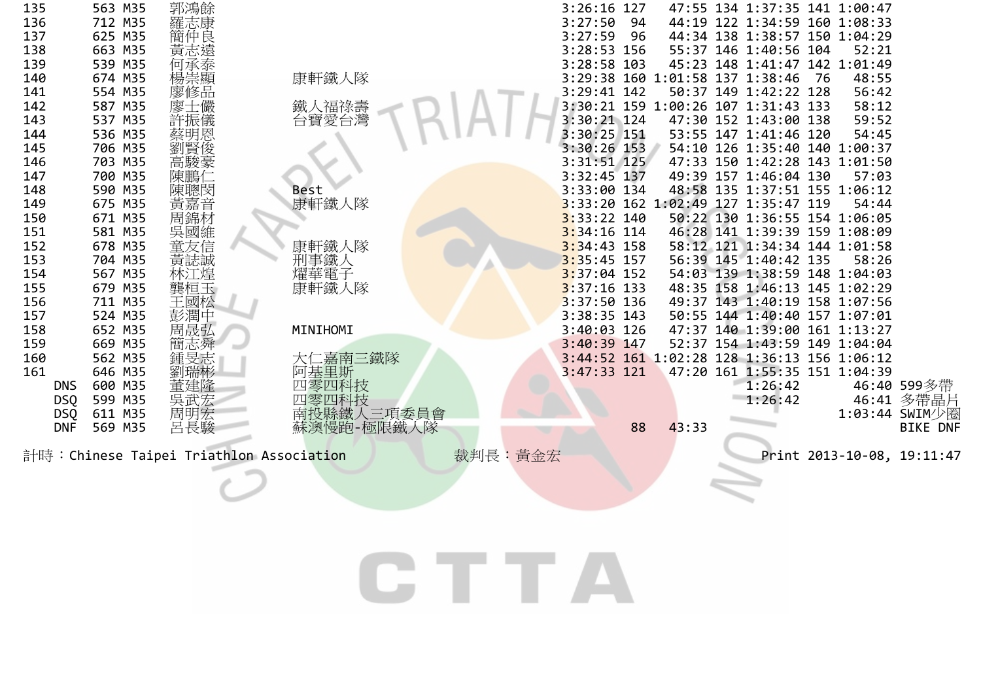| 135        | 563 M35 | 郭鴻餘                                     |            |         | $3:26:16$ 127 |    |                                 | 47:55 134 1:37:35 141 1:00:47               |      |       |                            |
|------------|---------|-----------------------------------------|------------|---------|---------------|----|---------------------------------|---------------------------------------------|------|-------|----------------------------|
| 136        | 712 M35 | 羅志康                                     |            |         | 3:27:50       | 94 |                                 | 44:19 122 1:34:59 160 1:08:33               |      |       |                            |
| 137        | 625 M35 | 簡仲良                                     |            |         | 3:27:59       | 96 |                                 | 44:34 138 1:38:57 150 1:04:29               |      |       |                            |
| 138        | 663 M35 | 黃志                                      |            |         | 3:28:53 156   |    |                                 | 55:37 146 1:40:56 104                       |      | 52:21 |                            |
| 139        | 539 M35 | 何承泰                                     |            |         | 3:28:58 103   |    |                                 | 45:23 148 1:41:47 142 1:01:49               |      |       |                            |
| 140        | 674 M35 |                                         | 康軒鐵人隊      |         |               |    | 3:29:38 160 1:01:58 137 1:38:46 |                                             | - 76 | 48:55 |                            |
| 141        | 554 M35 | 寥修品                                     |            |         | 3:29:41 142   |    |                                 | 50:37 149 1:42:22 128                       |      | 56:42 |                            |
| 142        | 587 M35 |                                         | 鐵人福祿壽      |         |               |    |                                 | 3:30:21 159 1:00:26 107 1:31:43 133         |      | 58:12 |                            |
| 143        | 537 M35 |                                         | 台寶愛台灣      |         | 3:30:21 124   |    |                                 | 47:30 152 1:43:00 138                       |      | 59:52 |                            |
| 144        | 536 M35 |                                         |            |         | 3:30:25 151   |    |                                 | 53:55 147 1:41:46 120                       |      | 54:45 |                            |
| 145        | 706 M35 |                                         |            |         | 3:30:26 153   |    |                                 | 54:10 126 1:35:40 140 1:00:37               |      |       |                            |
| 146        | 703 M35 | 高駿豪                                     |            |         | 3:31:51 125   |    |                                 | 47:33 150 1:42:28 143 1:01:50               |      |       |                            |
| 147        | 700 M35 | 陳鵬                                      |            |         | 3:32:45 137   |    |                                 | 49:39 157 1:46:04 130                       |      | 57:03 |                            |
| 148        | 590 M35 | 陳聰閔                                     | Best       |         | 3:33:00 134   |    |                                 | 48:58 135 1:37:51 155 1:06:12               |      |       |                            |
| 149        | 675 M35 | 黃嘉音                                     | 康軒鐵人隊      |         |               |    |                                 | 3:33:20 162 1:02:49 127 1:35:47 119         |      | 54:44 |                            |
| 150        | 671 M35 | 周錦材                                     |            |         | $3:33:22$ 140 |    |                                 | 50:22 130 1:36:55 154 1:06:05               |      |       |                            |
| 151        | 581 M35 | 吳國維                                     |            |         | $3:34:16$ 114 |    |                                 | 46:28 141 1:39:39 159 1:08:09               |      |       |                            |
| 152        | 678 M35 | 童友信                                     | 康軒鐵人隊      |         | $3:34:43$ 158 |    |                                 | 58:12 121 1:34:34 144 1:01:58               |      |       |                            |
| 153        | 704 M35 | 黃誌誠                                     | 刑事鐵人       |         | $3:35:45$ 157 |    |                                 | 56:39 145 1:40:42 135                       |      | 58:26 |                            |
| 154        | 567 M35 | 林江煌                                     | 燿華電子       |         | $3:37:04$ 152 |    |                                 | 54:03 139 1:38:59 148 1:04:03               |      |       |                            |
| 155        | 679 M35 | 壟桓玉                                     | 康軒鐵人隊      |         | $3:37:16$ 133 |    |                                 | 48:35 158 1:46:13 145 1:02:29               |      |       |                            |
| 156        | 711 M35 | 王國松                                     |            |         | $3:37:50$ 136 |    |                                 | 49:37 143 1:40:19 158 1:07:56               |      |       |                            |
| 157        | 524 M35 | 彭潤中                                     |            |         | 3:38:35 143   |    |                                 | 50:55 144 1:40:40 157 1:07:01               |      |       |                            |
| 158        | 652 M35 |                                         | MINIHOMI   |         | $3:40:03$ 126 |    |                                 | 47:37 140 1:39:00 161 1:13:27               |      |       |                            |
| 159        | 669 M35 |                                         |            |         | 3:40:39 147   |    |                                 | 52:37 154 1:43:59 149 1:04:04               |      |       |                            |
| 160        | 562 M35 |                                         | 大仁嘉南三鐵隊    |         |               |    |                                 | 3:44:52 161 1:02:28 128 1:36:13 156 1:06:12 |      |       |                            |
| 161        | 646 M35 |                                         | 阿基里斯       |         | 3:47:33 121   |    |                                 | 47:20 161 1:55:35 151 1:04:39               |      |       |                            |
| <b>DNS</b> | 600 M35 | 董建隆                                     | 四零四科技      |         |               |    |                                 | 1:26:42                                     |      |       | 46:40 599多帶                |
| <b>DSQ</b> | 599 M35 | 吳武宏                                     | 四零四科技      |         |               |    |                                 | 1:26:42                                     |      | 46:41 | 多帶晶片                       |
| <b>DSQ</b> | 611 M35 | 周明宏                                     | 南投縣鐵人三項委員會 |         |               |    |                                 |                                             |      |       | 1:03:44 SWIM少圈             |
| <b>DNF</b> | 569 M35 | 呂長駿                                     | 蘇澳慢跑-極限鐵人隊 |         |               | 88 | 43:33                           |                                             |      |       | <b>BIKE DNF</b>            |
|            |         | 計時:Chinese Taipei Triathlon Association |            | 裁判長:黃金宏 |               |    |                                 |                                             |      |       | Print 2013-10-08, 19:11:47 |
|            |         |                                         |            |         |               |    |                                 |                                             |      |       |                            |
|            |         |                                         |            |         |               |    |                                 |                                             |      |       |                            |
|            |         |                                         |            |         |               |    |                                 |                                             |      |       |                            |

CTTA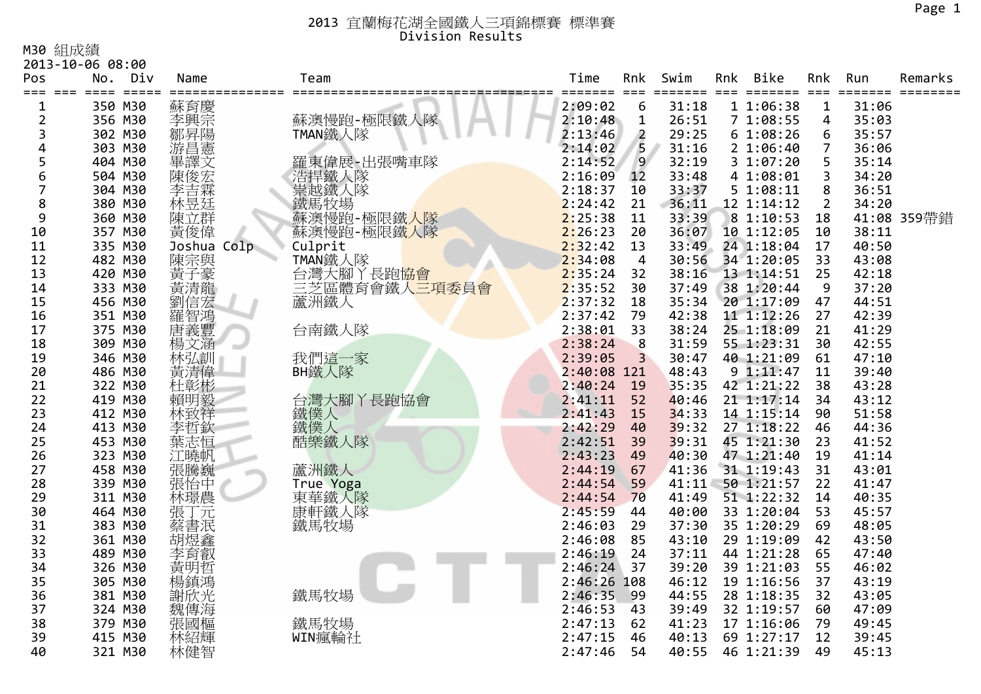M30 組成績

|                    | 2013-10-06 08:00           |             |                                    |                 |                |       |     |                   |                |       |             |
|--------------------|----------------------------|-------------|------------------------------------|-----------------|----------------|-------|-----|-------------------|----------------|-------|-------------|
| Pos                | No.<br>Div                 | Name        | Team                               | Time            | Rnk            | Swim  | Rnk | Bike              | Rnk            | Run   | Remarks     |
| $==$<br>$===$<br>1 | $=$ $=$ $=$ $=$<br>350 M30 | 蘇育慶         |                                    | ====<br>2:09:02 | $===$<br>6     | 31:18 |     | ----<br>1 1:06:38 | $\mathbf{1}$   | 31:06 |             |
| $\overline{2}$     | 356 M30                    | 李興宗         | 蘇澳慢跑-極限鐵人隊                         | 2:10:48         | $\mathbf{1}$   | 26:51 |     | 71:08:55          | 4              | 35:03 |             |
| 3                  | 302 M30                    | 鄒昇陽         | TMAN鐵人隊                            | 2:13:46         | $\overline{2}$ | 29:25 |     | 61:08:26          | 6              | 35:57 |             |
| 4                  | 303 M30                    |             |                                    | 2:14:02         | 5              | 31:16 |     | 21:06:40          | $\overline{7}$ | 36:06 |             |
| 5                  | 404 M30                    | 游昌憲文        | 羅東偉展-出張嘴車隊                         | 2:14:52         | 9 <sup>1</sup> | 32:19 |     | 31:07:20          | 5              | 35:14 |             |
| 6                  | 504 M30                    | 陳俊宏         |                                    | 2:16:09         | 12             | 33:48 |     | 4 1:08:01         | 3              | 34:20 |             |
| $\overline{7}$     | 304 M30                    | 李吉霖         | 浩捍鐵人隊<br>崇越鐵人隊                     | 2:18:37         | 10             | 33:37 |     | 51:08:11          | 8              | 36:51 |             |
| 8                  | 380 M30                    | 林昱廷         |                                    | 2:24:42         | 21             | 36:11 |     | 12 1:14:12        | $\overline{2}$ | 34:20 |             |
| 9                  | 360 M30                    | 陳立群         | 鐵馬牧場<br>蘇澳慢跑-極限鐵 <mark>人隊</mark>   | 2:25:38         | 11             | 33:39 |     | 8 1:10:53         | 18             |       | 41:08 359帶錯 |
| 10                 | 357 M30                    | 黃俊偉         | 蘇澳慢跑-極限鐵人隊                         | 2:26:23         | 20             | 36:07 |     | 10 1:12:05        | 10             | 38:11 |             |
| 11                 | 335 M30                    | Joshua Colp | Culprit                            | 2:32:42         | 13             | 33:49 |     | 24 1:18:04        | 17             | 40:50 |             |
| 12                 | 482 M30                    |             |                                    | 2:34:08         | $\overline{4}$ | 30:56 |     | 34 1:20:05        | 33             | 43:08 |             |
| 13                 | 420 M30                    | 陳黃子清篇       | TMAN鐵人隊<br>台灣大腳丫長跑 <mark>協會</mark> | 2:35:24         | 32             | 38:16 |     | 13 1:14:51        | 25             | 42:18 |             |
| 14                 | 333 M30                    |             | 三芝區體育會鐵人 <mark>三項委員會</mark>        | 2:35:52         | 30             | 37:49 |     | 38 1:20:44        | 9              | 37:20 |             |
| 15                 | 456 M30                    | 劉信宏         | 蘆洲鐵人                               | 2:37:32         | 18             | 35:34 |     | 20 1:17:09        | 47             | 44:51 |             |
| 16                 | 351 M30                    |             |                                    | 2:37:42         | 79             | 42:38 |     | 11 1:12:26        | 27             | 42:39 |             |
| 17                 | 375 M30                    | 羅智鴻         | 台南鐵人隊                              | 2:38:01         | 33             | 38:24 |     | 25 1:18:09        | 21             | 41:29 |             |
| 18                 | 309 M30                    | 楊文涵         |                                    | 2:38:24         | 8              | 31:59 |     | 55 1:23:31        | 30             | 42:55 |             |
| 19                 | 346 M30                    | 林弘訓         | 我們這一家                              | 2:39:05         | 3              | 30:47 |     | 40 1:21:09        | 61             | 47:10 |             |
| 20                 | 486 M30                    | 黃清偉         | BH鐵人隊                              | 2:40:08 121     |                | 48:43 |     | 91:11:47          | 11             | 39:40 |             |
| 21                 | 322 M30                    | 杜彰彬         |                                    | 2:40:24         | 19             | 35:35 |     | 42 1:21:22        | 38             | 43:28 |             |
| 22                 | 419 M30                    | 賴明毅         | 台灣大腳丫長跑協會                          | 2:41:11         | 52             | 40:46 |     | 21 1:17:14        | 34             | 43:12 |             |
| 23                 | 412 M30                    | 林致祥         | 鐵僕人                                | 2:41:43         | 15             | 34:33 |     | 14 1:15:14        | 90             | 51:58 |             |
| 24                 | 413 M30                    | 李哲欽         | 鐵僕人                                | 2:42:29         | 40             | 39:32 |     | 27 1:18:22        | 46             | 44:36 |             |
| 25                 | 453 M30                    | 葉志恒         | 酷樂鐵人隊                              | 2:42:51         | 39             | 39:31 |     | 45 1:21:30        | 23             | 41:52 |             |
| 26                 | 323 M30                    | 江曉帆         |                                    | 2:43:23         | 49             | 40:30 |     | 47 1:21:40        | 19             | 41:14 |             |
| 27                 | 458 M30                    | 張騰巍         | 蘆洲鐵人                               | 2:44:19         | 67             | 41:36 |     | 31 1:19:43        | 31             | 43:01 |             |
| 28                 | 339 M30                    | 張怡中         | True Yoga                          | 2:44:54         | 59             | 41:11 |     | 50 1:21:57        | 22             | 41:47 |             |
| 29                 | 311 M30                    | 林璟農         | 東華鐵人隊                              | 2:44:54         | 70             | 41:49 |     | 51 1:22:32        | 14             | 40:35 |             |
| 30                 | 464 M30                    |             | 康軒鐵人隊                              | 2:45:59         | 44             | 40:00 |     | 33 1:20:04        | 53             | 45:57 |             |
| 31                 | 383 M30                    | 張丁元<br>蔡書泯  | 鐵馬牧場                               | 2:46:03         | 29             | 37:30 |     | 35 1:20:29        | 69             | 48:05 |             |
| 32                 | 361 M30                    | 胡煜鑫         |                                    | 2:46:08         | 85             | 43:10 |     | 29 1:19:09        | 42             | 43:50 |             |
| 33                 | 489 M30                    | 李育叡         |                                    | 2:46:19         | 24             | 37:11 |     | 44 1:21:28        | 65             | 47:40 |             |
| 34                 | 326 M30                    | 黃明哲         |                                    | 2:46:24         | 37             | 39:20 |     | 39 1:21:03        | 55             | 46:02 |             |
| 35                 | 305 M30                    | 楊鎮鴻         |                                    | 2:46:26 108     |                | 46:12 |     | 19 1:16:56        | 37             | 43:19 |             |
| 36                 | 381 M30                    | 謝欣光         | 鐵馬牧場                               | 2:46:35         | 99             | 44:55 |     | 28 1:18:35        | 32             | 43:05 |             |
| 37                 | 324 M30                    | 魏傳海         |                                    | 2:46:53         | 43             | 39:49 |     | 32 1:19:57        | 60             | 47:09 |             |
| 38                 | 379 M30                    | 張國樞         | 鐵馬牧場                               | 2:47:13         | 62             | 41:23 |     | 17 1:16:06        | 79             | 49:45 |             |
| 39                 | 415 M30                    | 林紹輝         | WIN瘋輪社                             | 2:47:15         | 46             | 40:13 |     | 69 1:27:17        | 12             | 39:45 |             |
|                    |                            |             |                                    |                 |                |       |     |                   |                |       |             |
| 40                 | 321 M30                    | 林健智         |                                    | 2:47:46         | 54             | 40:55 |     | 46 1:21:39        | 49             | 45:13 |             |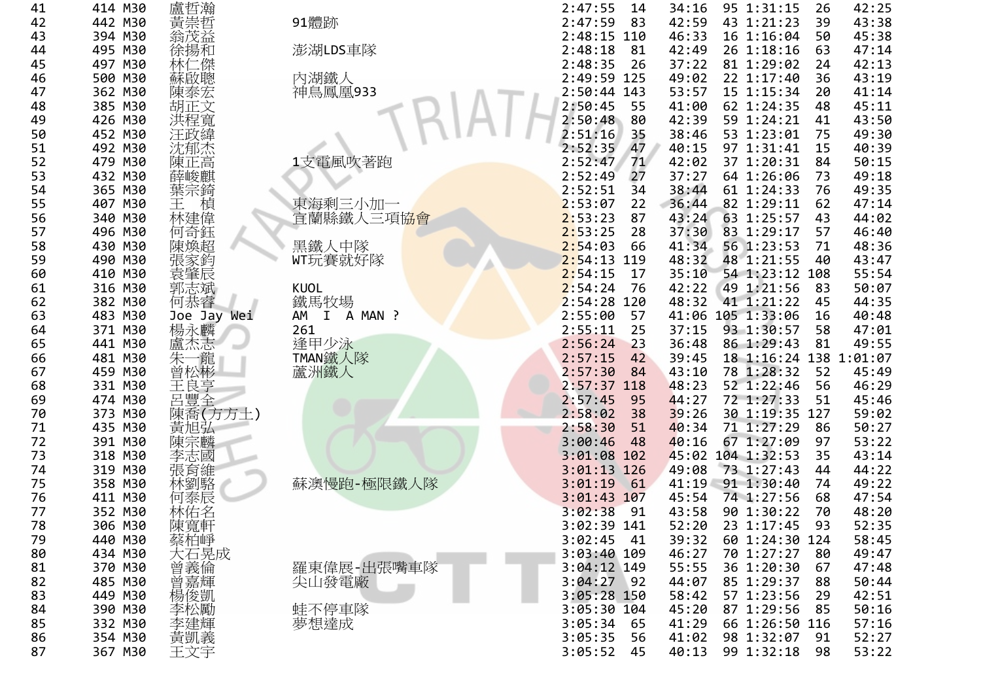| 41 | 414 M30            | 盧哲瀚                                 |                     | 2:47:55       | 14  | 34:16 | 95 1:31:15             | 26 | 42:25 |
|----|--------------------|-------------------------------------|---------------------|---------------|-----|-------|------------------------|----|-------|
| 42 | 442 M30            | 黃崇哲                                 | 91體跡                | 2:47:59       | 83  | 42:59 | 43 1:21:23             | 39 | 43:38 |
| 43 | 394 M30            | 翁茂益                                 |                     | 2:48:15 110   |     | 46:33 | 16 1:16:04             | 50 | 45:38 |
| 44 | 495 M30            | 徐揚和                                 | 澎湖LDS車隊             | 2:48:18       | 81  | 42:49 | 26 1:18:16             | 63 | 47:14 |
| 45 | 497 M30            | 林仁傑                                 |                     | 2:48:35       | 26  | 37:22 | 81 1:29:02             | 24 | 42:13 |
| 46 | 500 M30            | 蘇啟聰                                 | 內湖鐵人                | 2:49:59 125   |     | 49:02 | 22 1:17:40             | 36 | 43:19 |
| 47 | 362 M30            | 陳泰宏                                 | 神鳥鳳凰933             | 2:50:44 143   |     | 53:57 | 15 1:15:34             | 20 | 41:14 |
| 48 | 385 M30            | 胡正文                                 |                     | 2:50:45       | 55  | 41:00 | 62 1:24:35             | 48 | 45:11 |
| 49 | 426 M30            | 洪程寬                                 |                     | 2:50:48       | 80  | 42:39 | 59 1:24:21             | 41 | 43:50 |
| 50 | 452 M30            | 汪政緯                                 |                     | 2:51:16       | 35  | 38:46 | 53 1:23:01             | 75 | 49:30 |
| 51 | 492 M30            | 沈郁杰                                 |                     | 2:52:35       | 47  | 40:15 | 97 1:31:41             | 15 | 40:39 |
| 52 | 479 M30            | 陳正高                                 | 1支電風吹著跑             | 2:52:47       | 71  | 42:02 | 37 1:20:31             | 84 | 50:15 |
| 53 | 432 M30            | 薛峻麒                                 |                     | 2:52:49       | 27  | 37:27 | 64 1:26:06             | 73 | 49:18 |
| 54 | 365 M30            | 葉宗錡                                 |                     | 2:52:51       | 34  | 38:44 | 61 1:24:33             | 76 | 49:35 |
| 55 | 407 M30            |                                     | 東海剩三小加一             | 2:53:07       | 22  | 36:44 | 82 1:29:11             | 62 | 47:14 |
| 56 | 340 M30            | 王 楨<br>林建偉                          | 宜蘭縣鐵人三項協會           | 2:53:23       | 87  | 43:24 | 63 1:25:57             | 43 | 44:02 |
| 57 | 496 M30            |                                     |                     | 2:53:25       | 28  | 37:30 | 83 1:29:17             | 57 | 46:40 |
| 58 | 430 M30            | 何奇鈺<br>陳煥超                          | 黑鐵人中隊               | 2:54:03       | 66  | 41:34 | 56 1:23:53             | 71 | 48:36 |
| 59 | 490 M30            |                                     | WT玩賽就好隊             | $2:54:13$ 119 |     | 48:32 | 48 1:21:55             | 40 | 43:47 |
| 60 | 410 M30            | 張家鈞<br>袁肇辰                          |                     | 2:54:15       | 17  | 35:10 | 54 1:23:12 108         |    | 55:54 |
| 61 | 316 M30            | 郭志斌                                 | <b>KUOL</b>         | 2:54:24       | 76  | 42:22 | 49 1:21:56             | 83 | 50:07 |
| 62 | 382 M30            | 何恭睿                                 | 鐵馬牧場                | $2:54:28$ 120 |     | 48:32 | 41 1:21:22             | 45 | 44:35 |
| 63 | 483 M30            | Joe Jay Wei                         | A MAN ?<br>АΜ<br>I. | 2:55:00       | 57  |       | 41:06 105 1:33:06      | 16 | 40:48 |
| 64 | 371 M30            | 楊永麟                                 | 261                 | 2:55:11       | 25  | 37:15 | 93 1:30:57             | 58 | 47:01 |
| 65 | 441 M30            |                                     |                     | 2:56:24       | 23  | 36:48 | 86 1:29:43             | 81 | 49:55 |
| 66 | 481 M30            | <b>蘆朱一松草<br/>木林<br/>草木</b>          | 逢甲少泳<br>TMAN鐵人隊     | 2:57:15       | 42  | 39:45 | 18 1:16:24 138 1:01:07 |    |       |
| 67 | 459 M30            |                                     | 蘆洲鐵人                | 2:57:30       | 84  | 43:10 | 78 1:28:32             | 52 | 45:49 |
| 68 | 331 M30            |                                     |                     | $2:57:37$ 118 |     | 48:23 | 52 1:22:46             | 56 | 46:29 |
| 69 | 474 M30            | 王良豐全                                |                     | 2:57:45       | 95  | 44:27 | 72 1:27:33             | 51 | 45:46 |
| 70 | 373 M30            | 陳喬(方方土)                             |                     | 2:58:02       | 38  | 39:26 | 30 1:19:35 127         |    | 59:02 |
| 71 | 435 M30            | 黃旭弘                                 |                     | 2:58:30       | 51  | 40:34 | 71 1:27:29             | 86 | 50:27 |
| 72 | 391 M30            | 陳宗麟                                 |                     | 3:00:46       | 48  | 40:16 | 67 1:27:09             | 97 | 53:22 |
| 73 | 318 M30            |                                     |                     | 3:01:08 102   |     |       | 45:02 104 1:32:53      | 35 | 43:14 |
| 74 | 319 M30            | 李志國                                 |                     | $3:01:13$ 126 |     | 49:08 | 73 1:27:43             | 44 | 44:22 |
| 75 | 358 M30            | 張育維                                 | 蘇澳慢跑-極限鐵人隊          | 3:01:19       | 61  | 41:19 | 91 1:30:40             | 74 | 49:22 |
| 76 | 411 M30            | 林劉駱                                 |                     | $3:01:43$ 107 |     | 45:54 | 74 1:27:56             | 68 | 47:54 |
| 77 | 352 M30            | 何泰辰<br>林佑名                          |                     | 3:02:38       | 91  | 43:58 | 90 1:30:22             | 70 | 48:20 |
| 78 | 306 M30            |                                     |                     | 3:02:39 141   |     | 52:20 | 23 1:17:45             | 93 | 52:35 |
|    |                    | 陳寬軒                                 |                     | 3:02:45       |     | 39:32 | 60 1:24:30 124         |    | 58:45 |
| 79 | 440 M30            | 蔡柏崢                                 |                     | 3:03:40 109   | -41 | 46:27 | 70 1:27:27             | 80 | 49:47 |
| 80 | 434 M30<br>370 M30 |                                     |                     | $3:04:12$ 149 |     | 55:55 | 36 1:20:30             | 67 | 47:48 |
| 81 |                    |                                     | 羅東偉展-出張嘴車隊          |               |     |       | 85 1:29:37             |    |       |
| 82 | 485 M30            |                                     | 尖山發電廠               | 3:04:27       | 92  | 44:07 |                        | 88 | 50:44 |
| 83 | 449 M30            | 宗大曾曾楊李李黃王伯石義嘉俊松建凱立,是倫輝凱勵輝義帝晃倫輝凱勵輝義帝 |                     | 3:05:28 150   |     | 58:42 | 57 1:23:56             | 29 | 42:51 |
| 84 | 390 M30            |                                     | 蛙不停車隊               | $3:05:30$ 104 |     | 45:20 | 87 1:29:56             | 85 | 50:16 |
| 85 | 332 M30            |                                     | 夢想達成                | 3:05:34       | 65  | 41:29 | 66 1:26:50 116         |    | 57:16 |
| 86 | 354 M30            |                                     |                     | 3:05:35       | 56  | 41:02 | 98 1:32:07             | 91 | 52:27 |
| 87 | 367 M30            | 王文宇                                 |                     | 3:05:52       | 45  | 40:13 | 99 1:32:18             | 98 | 53:22 |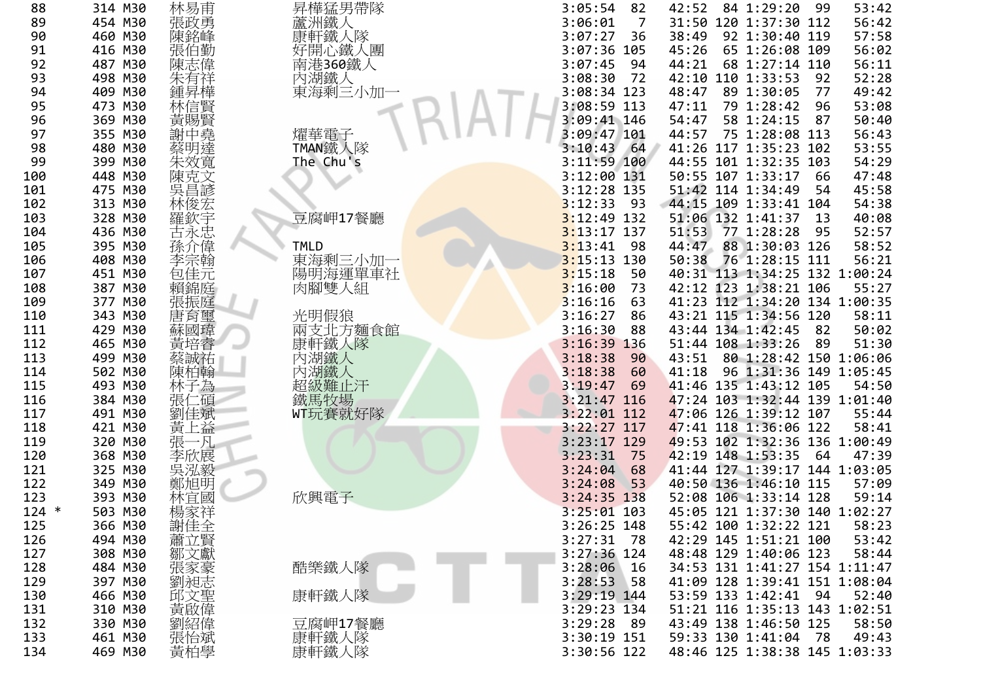| 88      | 314 M30 | 林易甫                     | 昇樺猛男帶隊      | 3:05:54       | 82   | 42:52 | 84 1:29:20                    | -99  | 53:42 |
|---------|---------|-------------------------|-------------|---------------|------|-------|-------------------------------|------|-------|
| 89      | 454 M30 | 張政勇                     | 蘆洲鐵人        | 3:06:01       | 7    |       | 31:50 120 1:37:30 112         |      | 56:42 |
| 90      | 460 M30 | 陳銘峰                     | 康軒鐵人隊       | 3:07:27       | 36   | 38:49 | 92 1:30:40 119                |      | 57:58 |
| 91      | 416 M30 | 張伯勤                     | 好開心鐵人團      | 3:07:36 105   |      | 45:26 | 65 1:26:08 109                |      | 56:02 |
| 92      | 487 M30 | 陳志偉                     | 南港360鐵人     | 3:07:45       | 94   | 44:21 | 68 1:27:14 110                |      | 56:11 |
| 93      | 498 M30 | 朱有祥                     | 內湖鐵人        | 3:08:30       | 72   |       | 42:10 110 1:33:53             | 92   | 52:28 |
| 94      | 409 M30 |                         | 東海剩三小加一     | 3:08:34 123   |      | 48:47 | 89 1:30:05                    | - 77 | 49:42 |
| 95      | 473 M30 | 林信賢                     |             | 3:08:59 113   |      | 47:11 | 79 1:28:42                    | 96   | 53:08 |
|         |         |                         |             |               |      |       | 58 1:24:15                    |      |       |
| 96      | 369 M30 | 黃賜賢                     |             | 3:09:41 146   |      | 54:47 |                               | 87   | 50:40 |
| 97      | 355 M30 | 謝中堯                     | 燿華電子        | $3:09:47$ 101 |      | 44:57 | 75 1:28:08 113                |      | 56:43 |
| 98      | 480 M30 | 蔡明達                     | TMAN鐵人隊     | 3:10:43       | 64   |       | 41:26 117 1:35:23 102         |      | 53:55 |
| 99      | 399 M30 | 朱效寬                     | The Chu's   | $3:11:59$ 100 |      |       | 44:55 101 1:32:35 103         |      | 54:29 |
| 100     | 448 M30 | 陳克文                     |             | 3:12:00 131   |      |       | 50:55 107 1:33:17             | - 66 | 47:48 |
| 101     | 475 M30 | 吳昌諺                     |             | $3:12:28$ 135 |      |       | 51:42 114 1:34:49             | 54   | 45:58 |
| 102     | 313 M30 | 林俊宏                     |             | $3:12:33$ 93  |      |       | 44:15 109 1:33:41 104         |      | 54:38 |
| 103     | 328 M30 | 羅欽宇                     | 豆腐岬17餐廳     | $3:12:49$ 132 |      |       | 51:06 132 1:41:37             | 13   | 40:08 |
| 104     | 436 M30 | 古永忠                     |             | $3:13:17$ 137 |      | 51:53 | 77 1:28:28                    | - 95 | 52:57 |
| 105     | 395 M30 | 偉<br>孫介                 | <b>TMLD</b> | 3:13:41       | - 98 | 44:47 | 88 1:30:03 126                |      | 58:52 |
| 106     | 408 M30 | 李宗翰                     | 東海剩三小加一     | $3:15:13$ 130 |      | 50:38 | 76 1:28:15 111                |      | 56:21 |
| 107     | 451 M30 | 包佳元                     | 陽明海運單車社     | 3:15:18       | 50   |       | 40:31 113 1:34:25 132 1:00:24 |      |       |
| 108     | 387 M30 | 賴錦庭                     | 肉腳雙人組       | 3:16:00       | 73   |       | 42:12 123 1:38:21 106         |      | 55:27 |
|         |         |                         |             |               |      |       | 41:23 112 1:34:20 134 1:00:35 |      |       |
| 109     | 377 M30 | 張振庭                     |             | 3:16:16       | 63   |       |                               |      |       |
| 110     | 343 M30 | 唐育璽                     | 光明假狼        | 3:16:27       | 86   |       | 43:21 115 1:34:56 120         |      | 58:11 |
| 111     | 429 M30 | 蘇國瑋                     | 兩支北方麵食館     | 3:16:30       | 88   |       | 43:44 134 1:42:45             | 82   | 50:02 |
| 112     | 465 M30 |                         | 康軒鐵人隊       | $3:16:39$ 136 |      |       | 51:44 108 1:33:26             | -89  | 51:30 |
| 113     | 499 M30 | 蔡誠祐                     | 內湖鐵人        | 3:18:38       | 90   | 43:51 | 80 1:28:42 150 1:06:06        |      |       |
| 114     | 502 M30 | 陳柏翰                     | 內湖鐵人        | 3:18:38       | 60   | 41:18 | 96 1:31:36 149 1:05:45        |      |       |
| 115     | 493 M30 | 林子為                     | 超級難止汗       | 3:19:47       | 69   |       | 41:46 135 1:43:12 105         |      | 54:50 |
| 116     | 384 M30 | 張<br>碩                  | 鐵馬牧場        | $3:21:47$ 116 |      |       | 47:24 103 1:32:44 139 1:01:40 |      |       |
| 117     | 491 M30 | 劉佳斌                     | WT玩賽就好隊     | $3:22:01$ 112 |      |       | 47:06 126 1:39:12 107         |      | 55:44 |
| 118     | 421 M30 | 黃上益                     |             | $3:22:27$ 117 |      |       | 47:41 118 1:36:06 122         |      | 58:41 |
| 119     | 320 M30 | 張<br>一凡                 |             | $3:23:17$ 129 |      |       | 49:53 102 1:32:36 136 1:00:49 |      |       |
| 120     | 368 M30 | 李欣展                     |             | 3:23:31       | 75   |       | 42:19 148 1:53:35             | 64   | 47:39 |
| 121     | 325 M30 | 吳泓毅                     |             | 3:24:04       | 68   |       | 41:44 127 1:39:17 144 1:03:05 |      |       |
|         |         |                         |             |               |      |       |                               |      |       |
| 122     | 349 M30 | 鄭旭明                     |             | 3:24:08       | 53   |       | 40:50 136 1:46:10 115         |      | 57:09 |
| 123     | 393 M30 | 林宜國                     | 欣興電子        | $3:24:35$ 138 |      |       | 52:08 106 1:33:14 128         |      | 59:14 |
| $124 *$ | 503 M30 | 楊家祥                     |             | $3:25:01$ 103 |      |       | 45:05 121 1:37:30 140 1:02:27 |      |       |
| 125     | 366 M30 | 謝佳全                     |             | 3:26:25 148   |      |       | 55:42 100 1:32:22 121         |      | 58:23 |
| 126     | 494 M30 | 蕭立賢                     |             | 3:27:31       | - 78 |       | 42:29 145 1:51:21 100         |      | 53:42 |
| 127     | 308 M30 | 鄒文獻                     |             | $3:27:36$ 124 |      |       | 48:48 129 1:40:06 123         |      | 58:44 |
| 128     | 484 M30 | 張家豪                     | 酷樂鐵人隊       | 3:28:06       | 16   |       | 34:53 131 1:41:27 154 1:11:47 |      |       |
| 129     | 397 M30 | 劉昶志                     |             | 3:28:53       | 58   |       | 41:09 128 1:39:41 151 1:08:04 |      |       |
| 130     | 466 M30 |                         | 康軒鐵人隊       | 3:29:19 144   |      |       | 53:59 133 1:42:41             | - 94 | 52:40 |
| 131     | 310 M30 |                         |             | 3:29:23 134   |      |       | 51:21 116 1:35:13 143 1:02:51 |      |       |
| 132     | 330 M30 | ·邱文啟<br>黄色<br>劉紹<br>《陳子 | 豆腐岬17餐廳     | 3:29:28       | - 89 |       | 43:49 138 1:46:50 125         |      | 58:50 |
| 133     |         |                         |             | 3:30:19 151   |      |       | 59:33 130 1:41:04             | - 78 | 49:43 |
|         | 461 M30 | 張怡斌<br>黃柏學              | 康軒鐵人隊       |               |      |       |                               |      |       |
| 134     | 469 M30 |                         | 康軒鐵人隊       | 3:30:56 122   |      |       | 48:46 125 1:38:38 145 1:03:33 |      |       |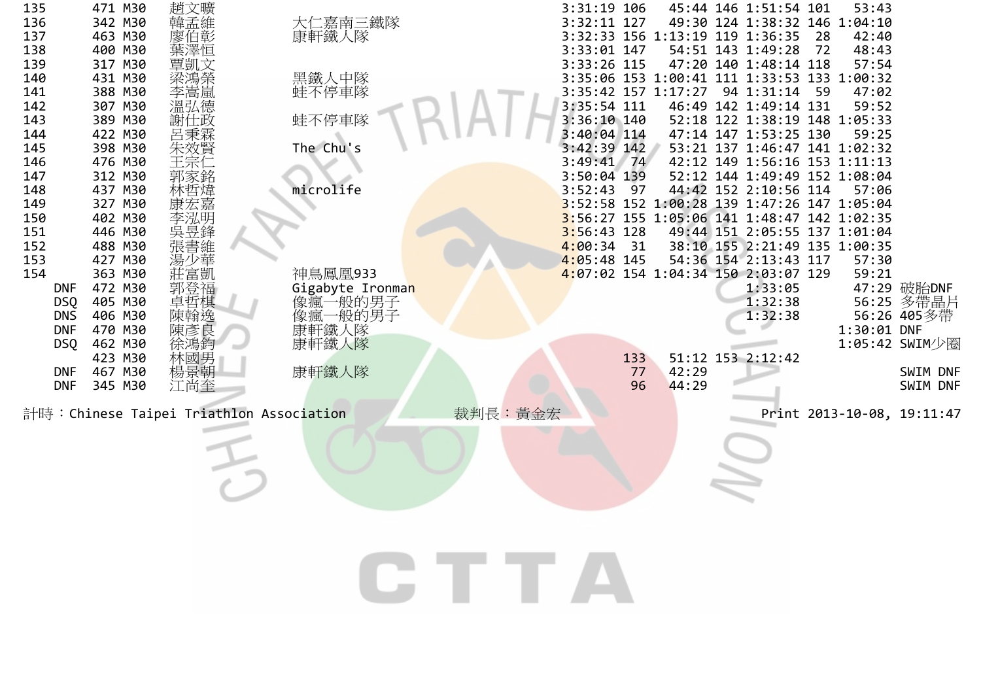| 135        | 471 M30 | 趙文曠 |                                          | 53:43<br>3:31:19 106<br>45:44 146 1:51:54 101   |
|------------|---------|-----|------------------------------------------|-------------------------------------------------|
| 136        | 342 M30 |     | 大仁嘉南三鐵隊                                  | 3:32:11 127<br>49:30 124 1:38:32 146 1:04:10    |
| 137        | 463 M30 | 廖伯彰 | 康軒鐵人隊                                    | 3:32:33 156 1:13:19 119 1:36:35<br>28<br>42:40  |
| 138        | 400 M30 |     |                                          | 3:33:01 147<br>54:51 143 1:49:28<br>48:43<br>72 |
| 139        | 317 M30 | 覃凱文 |                                          | 3:33:26 115<br>47:20 140 1:48:14 118<br>57:54   |
| 140        | 431 M30 |     | 黑鐵人中隊                                    | 3:35:06 153 1:00:41 111 1:33:53 133 1:00:32     |
| 141        | 388 M30 |     | 蛙不停車隊                                    | 3:35:42 157 1:17:27 94 1:31:14<br>47:02<br>-59  |
| 142        | 307 M30 |     |                                          | 3:35:54 111<br>46:49 142 1:49:14 131<br>59:52   |
| 143        | 389 M30 | 謝仕政 | 蛙不停車隊                                    | $3:36:10$ 140<br>52:18 122 1:38:19 148 1:05:33  |
| 144        | 422 M30 | 呂秉霖 |                                          | 3:40:04 114<br>47:14 147 1:53:25 130<br>59:25   |
| 145        | 398 M30 |     | The Chu's                                | 3:42:39 142<br>53:21 137 1:46:47 141 1:02:32    |
| 146        | 476 M30 | 王宗  |                                          | $3:49:41$ 74<br>42:12 149 1:56:16 153 1:11:13   |
| 147        | 312 M30 | 郭家銘 |                                          | 52:12 144 1:49:49 152 1:08:04<br>3:50:04 139    |
| 148        | 437 M30 | 林哲煒 | microlife                                | 44:42 152 2:10:56 114<br>3:52:43<br>97<br>57:06 |
| 149        | 327 M30 |     |                                          | 3:52:58 152 1:00:28 139 1:47:26 147 1:05:04     |
| 150        | 402 M30 | 康宏嘉 |                                          | 3:56:27 155 1:05:06 141 1:48:47 142 1:02:35     |
|            |         | 李泓明 |                                          |                                                 |
| 151        | 446 M30 | 吳昱鋒 |                                          | 49:44 151 2:05:55 137 1:01:04<br>$3:56:43$ 128  |
| 152        | 488 M30 | 張書維 |                                          | $4:00:34$ 31<br>38:10 155 2:21:49 135 1:00:35   |
| 153        | 427 M30 | 湯少華 |                                          | $4:05:48$ 145<br>54:36 154 2:13:43 117<br>57:30 |
| 154        | 363 M30 | 莊富剴 | 神鳥鳳凰933                                  | 4:07:02 154 1:04:34 150 2:03:07 129<br>59:21    |
| <b>DNF</b> | 472 M30 | 郭登福 | Gigabyte Ironman                         | 47:29 破胎DNF<br>1:33:05                          |
| <b>DSQ</b> | 405 M30 | 卓哲棋 | 像瘋一般的男子                                  | 56:25 多帶晶片<br>1:32:38                           |
| <b>DNS</b> | 406 M30 | 陳翰逸 | 像瘋一般的男子                                  | 1:32:38<br>56:26 405多帶                          |
| <b>DNF</b> | 470 M30 | 陳彥良 | 康軒鐵人隊                                    | 1:30:01 DNF                                     |
| <b>DSQ</b> | 462 M30 | 徐鴻鈞 | 康軒鐵人隊                                    | 1:05:42 SWIM少圈                                  |
|            | 423 M30 | 林國男 |                                          | 51:12 153 2:12:42<br>133                        |
| <b>DNF</b> | 467 M30 | 楊景朝 | 康軒鐵人隊                                    | 42:29<br>SWIM DNF<br>77                         |
| <b>DNF</b> | 345 M30 | 江尚奎 |                                          | 96<br>44:29<br>SWIM DNF                         |
|            |         |     |                                          |                                                 |
|            |         |     | 計時: Chinese Taipei Triathlon Association | 裁判長:黃金宏<br>Print 2013-10-08, 19:11:47           |
|            |         |     |                                          |                                                 |
|            |         |     |                                          |                                                 |
|            |         |     |                                          |                                                 |
|            |         |     |                                          |                                                 |
|            |         |     |                                          |                                                 |
|            |         |     |                                          |                                                 |
|            |         |     |                                          |                                                 |
|            |         |     |                                          |                                                 |
|            |         |     |                                          |                                                 |
|            |         |     |                                          |                                                 |
|            |         |     |                                          |                                                 |
|            |         |     |                                          | CITTA                                           |
|            |         |     |                                          |                                                 |
|            |         |     |                                          |                                                 |
|            |         |     |                                          |                                                 |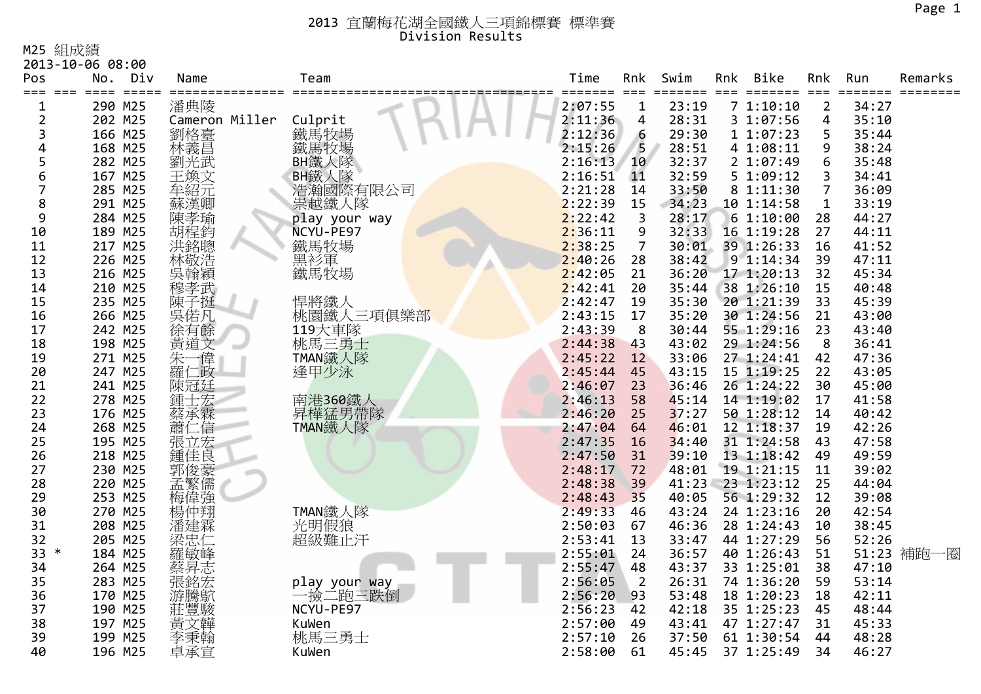M25 組成績

|              | 2013-10-06 08:00              |                          |               |         |       |                |       |     |                         |                |          |         |
|--------------|-------------------------------|--------------------------|---------------|---------|-------|----------------|-------|-----|-------------------------|----------------|----------|---------|
| Pos          | Div<br>No.                    | Name                     | Team          | Time    |       | Rnk            | Swim  | Rnk | Bike                    | Rnk            | Run      | Remarks |
| ===<br>$===$ | $=$ $=$ $=$ $=$ $=$<br>$====$ | =======                  |               |         | ===== | $===$          | ====  |     | $=$ $=$ $=$ $=$ $=$ $=$ | $===$          | =====    |         |
| 1            | 290 M25                       | 潘典陵                      |               | 2:07:55 |       | $\mathbf{1}$   | 23:19 |     | 71:10:10                | $\overline{2}$ | 34:27    |         |
| 2            | 202 M25                       | Cameron Miller           | Culprit       | 2:11:36 |       | 4              | 28:31 |     | 3 1:07:56               | $\overline{4}$ | 35:10    |         |
| 3            | 166 M25                       | 劉格臺                      | 鐵馬牧場          | 2:12:36 |       | 6              | 29:30 |     | 1 1:07:23               | 5              | 35:44    |         |
| 4            | 168 M25                       | 林義昌                      | 鐵馬牧場          | 2:15:26 |       | 5              | 28:51 |     | 4 1:08:11               | 9              | 38:24    |         |
| 5            | 282 M25                       | 劉光武                      | BH鐵人隊         | 2:16:13 |       | 10             | 32:37 |     | 2 1:07:49               | 6              | 35:48    |         |
| 6            | 167 M25                       | 王煥文                      | BH鐵人隊         | 2:16:51 |       | 11             | 32:59 |     | 51:09:12                | 3              | 34:41    |         |
| 7            | 285 M25                       | 牟紹元                      | 浩瀚國際有限公司      | 2:21:28 |       | 14             | 33:50 |     | 8 1:11:30               | $\overline{7}$ | 36:09    |         |
| 8            | 291 M25                       | 蘇漢卿                      | 祟越鐵人隊         | 2:22:39 |       | 15             | 34:23 |     | 10 1:14:58              | $\mathbf{1}$   | 33:19    |         |
| 9            | 284 M25                       | 陳孝瑜                      | play your way | 2:22:42 |       | 3              | 28:17 |     | 61:10:00                | 28             | 44:27    |         |
| 10           | 189 M25                       | 胡程鈞                      | NCYU-PE97     | 2:36:11 |       | 9              | 32:33 |     | 16 1:19:28              | 27             | 44:11    |         |
| 11           | 217 M25                       | 洪銘聰                      | 鐵馬牧場          | 2:38:25 |       | $\overline{7}$ | 30:01 |     | 39 1:26:33              | 16             | 41:52    |         |
| 12           | 226 M25                       | 林敬浩                      | 黑衫軍           | 2:40:26 |       | 28             | 38:42 |     | 91:14:34                | 39             | 47:11    |         |
| 13           | 216 M25                       | 吳翰穎                      | 鐵馬牧場          | 2:42:05 |       | 21             | 36:20 |     | 17 1:20:13              | 32             | 45:34    |         |
| 14           | 210 M25                       | 穆孝武                      |               | 2:42:41 |       | 20             | 35:44 |     | 38 1:26:10              | 15             | 40:48    |         |
| 15           | 235 M25                       | 陳子挺                      | 悍將鐵人          | 2:42:47 |       | 19             | 35:30 |     | 20 1:21:39              | 33             | 45:39    |         |
| 16           | 266 M25                       | 吳偌凡                      | 桃園鐵人三項俱樂部     | 2:43:15 |       | 17             | 35:20 |     | 30 1:24:56              | 21             | 43:00    |         |
| 17           | 242 M25                       | 徐有餘                      | 119大車隊        | 2:43:39 |       | 8              | 30:44 |     | 55 1:29:16              | 23             | 43:40    |         |
| 18           | 198 M25                       | 黃道文                      | 桃馬三勇士         | 2:44:38 |       | 43             | 43:02 |     | 29 1:24:56              | 8              | 36:41    |         |
| 19           | 271 M25                       | 朱-<br>愇                  | TMAN鐵人隊       | 2:45:22 |       | 12             | 33:06 |     | 27 1:24:41              | 42             | 47:36    |         |
| 20           | 247 M25                       | 羅仁政                      | 逢甲少泳          | 2:45:44 |       | 45             | 43:15 |     | 15 1:19:25              | 22             | 43:05    |         |
| 21           | 241 M25                       | 陳冠廷                      |               | 2:46:07 |       | 23             | 36:46 |     | 26 1:24:22              | 30             | 45:00    |         |
| 22           | 278 M25                       | 鍾士宏                      | 南港360鐵人       | 2:46:13 |       | 58             | 45:14 |     | 14 1:19:02              | 17             | 41:58    |         |
| 23           | 176 M25                       | 蔡承霖                      | 昇樺猛男帶隊        | 2:46:20 |       | 25             | 37:27 |     | 50 1:28:12              | 14             | 40:42    |         |
| 24           | 268 M25                       | 蕭仁信                      | TMAN鐵人隊       | 2:47:04 |       | 64             | 46:01 |     | 12 1:18:37              | 19             | 42:26    |         |
| 25           | 195 M25                       | 張立宏                      |               | 2:47:35 |       | 16             | 34:40 |     | 31 1:24:58              | 43             | 47:58    |         |
| 26           | 218 M25                       | 鍾佳良                      |               | 2:47:50 |       | 31             | 39:10 |     | 13 1:18:42              | 49             | 49:59    |         |
| 27           | 230 M25                       |                          |               | 2:48:17 |       | 72             | 48:01 |     | 19 1:21:15              | 11             | 39:02    |         |
| 28           | 220 M25                       |                          |               | 2:48:38 |       | 39             | 41:23 |     | 23 1:23:12              | 25             | 44:04    |         |
| 29           | 253 M25                       | i郭孟梅<br>梅<br>梅<br>梅<br>梅 |               | 2:48:43 |       | 35             | 40:05 |     | 56 1:29:32              | 12             | 39:08    |         |
| 30           | 270 M25                       | 楊仲翔                      | TMAN鐵人隊       | 2:49:33 |       | 46             | 43:24 |     | 24 1:23:16              | 20             | 42:54    |         |
| 31           | 208 M25                       | 潘建霖                      | 光明假狼          | 2:50:03 |       | 67             | 46:36 |     | 28 1:24:43              | 10             | 38:45    |         |
| 32           | 205 M25                       | 梁忠仁                      | 超級難止汗         | 2:53:41 |       | 13             | 33:47 |     | 44 1:27:29              | 56             | 52:26    |         |
| 33<br>$\ast$ | 184 M25                       | 羅敏峰                      |               | 2:55:01 |       | 24             | 36:57 |     | 40 1:26:43              | 51             | 51:23 補跑 | 圈       |
| 34           | 264 M25                       | 蔡昇志                      |               | 2:55:47 |       | 48             | 43:37 |     | 33 1:25:01              | 38             | 47:10    |         |
| 35           | 283 M25                       | 張銘宏                      | play your way | 2:56:05 |       | $\overline{2}$ | 26:31 |     | 74 1:36:20              | 59             | 53:14    |         |
| 36           | 170 M25                       | 游騰鴥                      | 一撿二跑三跌倒       | 2:56:20 |       | 93             | 53:48 |     | 18 1:20:23              | 18             | 42:11    |         |
| 37           | 190 M25                       | 莊豐駿                      | NCYU-PE97     | 2:56:23 |       | 42             | 42:18 |     | 35 1:25:23              | 45             | 48:44    |         |
| 38           | 197 M25                       | 黃文韡                      | KuWen         | 2:57:00 |       | 49             | 43:41 |     | 47 1:27:47              | 31             | 45:33    |         |
| 39           | 199 M25                       | 李秉翰                      | 桃馬三勇士         | 2:57:10 |       | 26             | 37:50 |     | 61 1:30:54              | 44             | 48:28    |         |
| 40           | 196 M25                       | 卓承宣                      | KuWen         | 2:58:00 |       | 61             | 45:45 |     | 37 1:25:49              | 34             | 46:27    |         |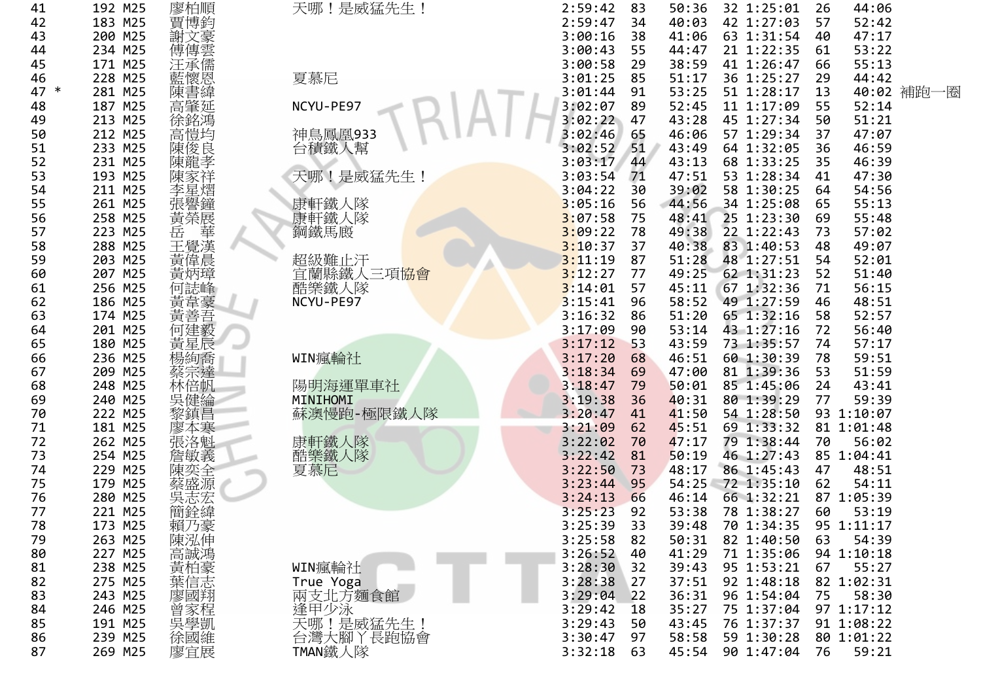| 41                        | 192 M25 | 廖柏順                                                                                                               | 天哪!是威猛先生!                        | 2:59:42 | 83 | 50:36          | 32 1:25:01 | 26 | 44:06      |   |
|---------------------------|---------|-------------------------------------------------------------------------------------------------------------------|----------------------------------|---------|----|----------------|------------|----|------------|---|
| 42                        | 183 M25 | 賈博鈞                                                                                                               |                                  | 2:59:47 | 34 | 40:03          | 42 1:27:03 | 57 | 52:42      |   |
| 43                        | 200 M25 | 《謝傅汪傳》<br>使<br>汪<br>汪                                                                                             |                                  | 3:00:16 | 38 | 41:06          | 63 1:31:54 | 40 | 47:17      |   |
| 44                        | 234 M25 |                                                                                                                   |                                  | 3:00:43 | 55 | 44:47          | 21 1:22:35 | 61 | 53:22      |   |
| 45                        | 171 M25 |                                                                                                                   |                                  | 3:00:58 | 29 | 38:59          | 41 1:26:47 | 66 | 55:13      |   |
| 46                        | 228 M25 |                                                                                                                   | 夏慕尼                              | 3:01:25 | 85 | 51:17          | 36 1:25:27 | 29 | 44:42      |   |
| $4\overline{7}$<br>$\ast$ | 281 M25 |                                                                                                                   |                                  | 3:01:44 | 91 | 53:25          | 51 1:28:17 | 13 | 40:02 補跑   | 圈 |
| 48                        | 187 M25 | <b>藍陳書肇<br/>陳書肇延</b>                                                                                              | NCYU-PE97                        | 3:02:07 | 89 | 52:45          | 11 1:17:09 | 55 | 52:14      |   |
| 49                        | 213 M25 |                                                                                                                   |                                  | 3:02:22 | 47 | 43:28          | 45 1:27:34 | 50 | 51:21      |   |
| 50                        | 212 M25 | 徐銘鴻                                                                                                               | 神鳥鳳凰933                          | 3:02:46 | 65 | 46:06          | 57 1:29:34 | 37 | 47:07      |   |
| 51                        | 233 M25 | [陳俊良孝]                                                                                                            | 台積鐵人幫                            | 3:02:52 | 51 | 43:49          | 64 1:32:05 | 36 | 46:59      |   |
| 52                        | 231 M25 |                                                                                                                   |                                  | 3:03:17 | 44 | 43:13          | 68 1:33:25 | 35 | 46:39      |   |
| 53                        | 193 M25 |                                                                                                                   | 天哪!是威猛先生!                        | 3:03:54 | 71 | 47:51          | 53 1:28:34 | 41 | 47:30      |   |
| 54                        | 211 M25 |                                                                                                                   |                                  | 3:04:22 | 30 | 39:02          | 58 1:30:25 | 64 | 54:56      |   |
| 55                        | 261 M25 |                                                                                                                   | 康軒鐵人隊                            | 3:05:16 | 56 | 44:56          | 34 1:25:08 | 65 | 55:13      |   |
| 56                        | 258 M25 |                                                                                                                   | 康軒鐵人隊                            | 3:07:58 | 75 | 48:41          | 25 1:23:30 | 69 | 55:48      |   |
| 57                        | 223 M25 |                                                                                                                   | 鋼鐵馬廄                             | 3:09:22 | 78 | 49:38          | 22 1:22:43 | 73 | 57:02      |   |
| 58                        | 288 M25 |                                                                                                                   |                                  | 3:10:37 | 37 | 40:38          | 83 1:40:53 | 48 | 49:07      |   |
| 59                        | 203 M25 | β陳李張黃岳王黃黃{#家星譽榮│覺偉炳}                                                                                              | 超級難止汗                            | 3:11:19 | 87 | 51:28          | 48 1:27:51 | 54 | 52:01      |   |
| 60                        | 207 M25 |                                                                                                                   |                                  | 3:12:27 | 77 | 49:25          | 62 1:31:23 | 52 | 51:40      |   |
|                           | 256 M25 |                                                                                                                   | 宜蘭縣鐵人三項 <mark>協會</mark><br>酷樂鐵人隊 | 3:14:01 | 57 | 45:11          | 67 1:32:36 | 71 | 56:15      |   |
| 61                        |         | 何誌峰                                                                                                               |                                  | 3:15:41 |    |                | 49 1:27:59 | 46 |            |   |
| 62                        | 186 M25 |                                                                                                                   | NCYU-PE97                        | 3:16:32 | 96 | 58:52<br>51:20 |            |    | 48:51      |   |
| 63                        | 174 M25 | -黃韋善建<br><br><br><br><br><br><br><br><br><br><br><br><br><br><br><br><br><br><br><br><br><br><br><br><br><br><br> |                                  |         | 86 |                | 65 1:32:16 | 58 | 52:57      |   |
| 64                        | 201 M25 |                                                                                                                   |                                  | 3:17:09 | 90 | 53:14          | 43 1:27:16 | 72 | 56:40      |   |
| 65                        | 180 M25 | 黃星辰                                                                                                               |                                  | 3:17:12 | 53 | 43:59          | 73 1:35:57 | 74 | 57:17      |   |
| 66                        | 236 M25 | 楊絢喬                                                                                                               | WIN瘋輪社                           | 3:17:20 | 68 | 46:51          | 60 1:30:39 | 78 | 59:51      |   |
| 67                        | 209 M25 | 蔡宗達<br>林倍帆                                                                                                        |                                  | 3:18:34 | 69 | 47:00          | 81 1:39:36 | 53 | 51:59      |   |
| 68                        | 248 M25 |                                                                                                                   | 陽明海運單車社                          | 3:18:47 | 79 | 50:01          | 85 1:45:06 | 24 | 43:41      |   |
| 69                        | 240 M25 | ---<br> 吳健綸昌<br> 黎鎮昌                                                                                              | MINIHOMI                         | 3:19:38 | 36 | 40:31          | 80 1:39:29 | 77 | 59:39      |   |
| 70                        | 222 M25 |                                                                                                                   | 蘇澳慢跑-極限鐵人隊                       | 3:20:47 | 41 | 41:50          | 54 1:28:50 |    | 93 1:10:07 |   |
| 71                        | 181 M25 | 廖本寒                                                                                                               |                                  | 3:21:09 | 62 | 45:51          | 69 1:33:32 |    | 81 1:01:48 |   |
| 72                        | 262 M25 | 張洛魁<br>詹敏義                                                                                                        |                                  | 3:22:02 | 70 | 47:17          | 79 1:38:44 | 70 | 56:02      |   |
| 73                        | 254 M25 |                                                                                                                   |                                  | 3:22:42 | 81 | 50:19          | 46 1:27:43 |    | 85 1:04:41 |   |
| 74                        | 229 M25 |                                                                                                                   | 康軒鐵人隊<br>酷樂鐵人隊<br>夏慕尼            | 3:22:50 | 73 | 48:17          | 86 1:45:43 | 47 | 48:51      |   |
| 75                        | 179 M25 | 陳奕全源                                                                                                              |                                  | 3:23:44 | 95 | 54:25          | 72 1:35:10 | 62 | 54:11      |   |
| 76                        | 280 M25 | ·<br>吴志宏<br>簡銓緯                                                                                                   |                                  | 3:24:13 | 66 | 46:14          | 66 1:32:21 |    | 87 1:05:39 |   |
| 77                        | 221 M25 |                                                                                                                   |                                  | 3:25:23 | 92 | 53:38          | 78 1:38:27 | 60 | 53:19      |   |
| 78                        | 173 M25 | 賴乃豪                                                                                                               |                                  | 3:25:39 | 33 | 39:48          | 70 1:34:35 |    | 95 1:11:17 |   |
| 79                        | 263 M25 |                                                                                                                   |                                  | 3:25:58 | 82 | 50:31          | 82 1:40:50 | 63 | 54:39      |   |
| 80                        | 227 M25 |                                                                                                                   |                                  | 3:26:52 | 40 | 41:29          | 71 1:35:06 |    | 94 1:10:18 |   |
| 81                        | 238 M25 |                                                                                                                   | WIN瘋輪社                           | 3:28:30 | 32 | 39:43          | 95 1:53:21 | 67 | 55:27      |   |
| 82                        | 275 M25 |                                                                                                                   | True Yoga                        | 3:28:38 | 27 | 37:51          | 92 1:48:18 |    | 82 1:02:31 |   |
| 83                        | 243 M25 |                                                                                                                   | 兩支北方麵食館                          | 3:29:04 | 22 | 36:31          | 96 1:54:04 | 75 | 58:30      |   |
| 84                        | 246 M25 |                                                                                                                   |                                  | 3:29:42 | 18 | 35:27          | 75 1:37:04 |    | 97 1:17:12 |   |
| 85                        | 191 M25 |                                                                                                                   |                                  | 3:29:43 | 50 | 43:45          | 76 1:37:37 |    | 91 1:08:22 |   |
| 86                        | 239 M25 | 积陳高黃葉廖曾吳徐靈<br>八泓誠柏信國家學國宮                                                                                          | :逢甲少泳<br>天哪!是威猛先生!<br>台灣;放腳丫長跑協會 | 3:30:47 | 97 | 58:58          | 59 1:30:28 |    | 80 1:01:22 |   |
| 87                        | 269 M25 | 廖宜展                                                                                                               | TMAN鐵人隊                          | 3:32:18 | 63 | 45:54          | 90 1:47:04 | 76 | 59:21      |   |
|                           |         |                                                                                                                   |                                  |         |    |                |            |    |            |   |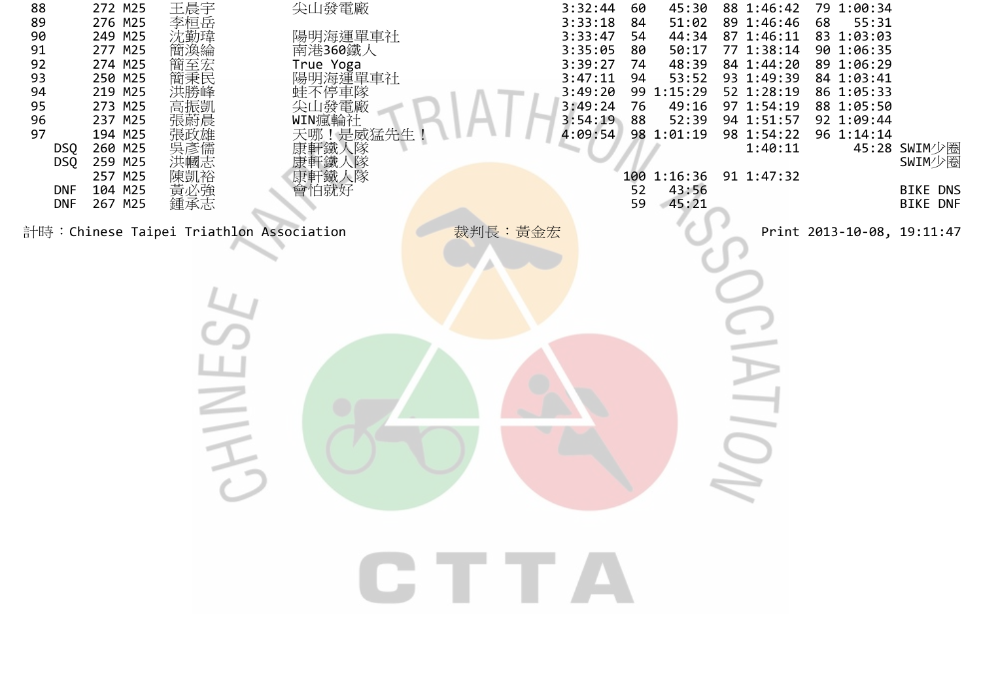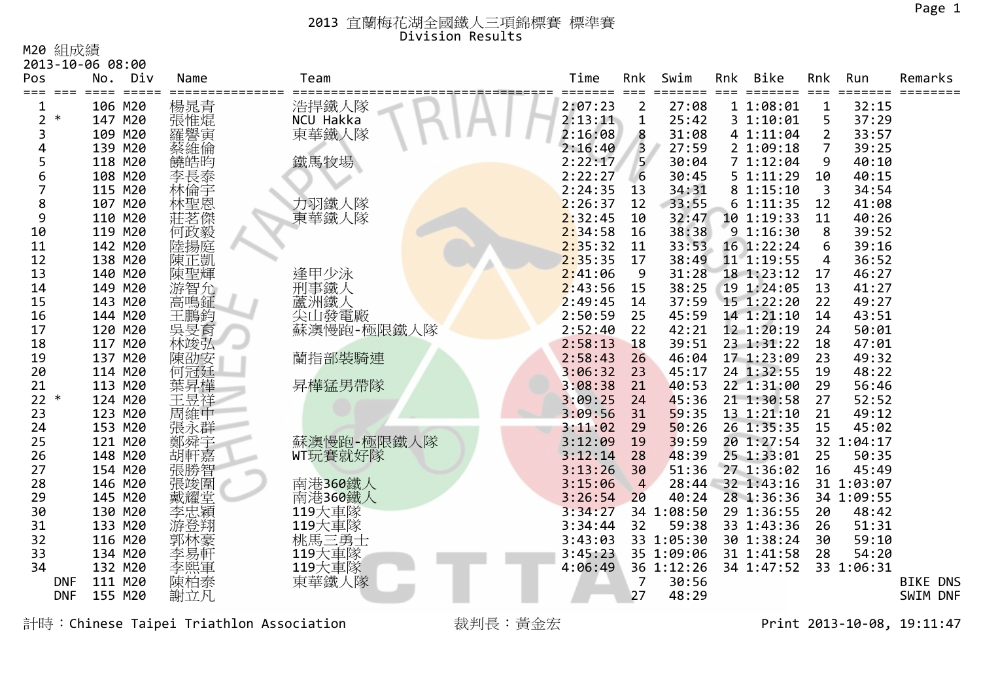M20 組成績

|                          | 2013-10-06 08:00  |            |            |         |                |            |     |            |                |            |                 |
|--------------------------|-------------------|------------|------------|---------|----------------|------------|-----|------------|----------------|------------|-----------------|
| Pos<br>$===$<br>===      | No. Div<br>$====$ | Name       | Team       | Time    | Rnk            | Swim       | Rnk | Bike       | Rnk            | Run        | Remarks         |
| 1                        | 106 M20           | 楊晁青        | 浩捍鐵人隊      | 2:07:23 | $\overline{2}$ | 27:08      |     | 1 1:08:01  | 1              | 32:15      |                 |
| $\ast$<br>$\overline{2}$ | 147 M20           | 張惟焜        | NCU Hakka  | 2:13:11 | $\mathbf 1$    | 25:42      |     | 31:10:01   | 5              | 37:29      |                 |
| 3                        | 109 M20           | 羅譽寅        | 東華鐵人隊      | 2:16:08 | 8              | 31:08      |     | 4 1:11:04  | $\overline{2}$ | 33:57      |                 |
| 4                        | 139 M20           | 蔡維倫        |            | 2:16:40 | 3              | 27:59      |     | 21:09:18   | $\overline{7}$ | 39:25      |                 |
| 5                        | 118 M20           | 饒皓昀        | 鐵馬牧場       | 2:22:17 | 5              | 30:04      |     | 71:12:04   | 9              | 40:10      |                 |
| 6                        | 108 M20           | 李長泰        |            | 2:22:27 | 6              | 30:45      |     | 5 1:11:29  | 10             | 40:15      |                 |
|                          | 115 M20           | 林倫宇<br>林聖恩 |            | 2:24:35 | 13             | 34:31      |     | 8 1:15:10  | $\overline{3}$ | 34:54      |                 |
| 8                        | 107 M20           |            | 力羽鐵人隊      | 2:26:37 | 12             | 33:55      |     | 61:11:35   | 12             | 41:08      |                 |
| 9                        | 110 M20           | 莊茗傑        | 東華鐵人隊      | 2:32:45 | 10             | 32:47      |     | 10 1:19:33 | 11             | 40:26      |                 |
| 10                       | 119 M20           | 何政毅        |            | 2:34:58 | 16             | 38:38      |     | 91:16:30   | 8              | 39:52      |                 |
| 11                       | 142 M20           | 陸揚庭        |            | 2:35:32 | 11             | 33:53      |     | 16 1:22:24 | 6              | 39:16      |                 |
| 12                       | 138 M20           | 陳正凱        |            | 2:35:35 | 17             | 38:49      |     | 11 1:19:55 | 4              | 36:52      |                 |
| 13                       | 140 M20           | 陳聖輝        | 逢甲少泳       | 2:41:06 | 9              | 31:28      |     | 18 1:23:12 | 17             | 46:27      |                 |
| 14                       | 149 M20           | 游智允        | 刑事鐵人       | 2:43:56 | 15             | 38:25      |     | 19 1:24:05 | 13             | 41:27      |                 |
| 15                       | 143 M20           | 高鳴鉦        | 蘆洲鐵人       | 2:49:45 | 14             | 37:59      |     | 15 1:22:20 | 22             | 49:27      |                 |
| 16                       | 144 M20           | 王鵬鈞        | 尖山發電廠      | 2:50:59 | 25             | 45:59      |     | 14 1:21:10 | 14             | 43:51      |                 |
| 17                       | 120 M20           | 吳旻育<br>林竣弘 | 蘇澳慢跑-極限鐵人隊 | 2:52:40 | 22             | 42:21      |     | 12 1:20:19 | 24             | 50:01      |                 |
| 18                       | 117 M20           |            |            | 2:58:13 | 18             | 39:51      |     | 23 1:31:22 | 18             | 47:01      |                 |
| 19                       | 137 M20           | 陳劭安        | 蘭指部裝騎連     | 2:58:43 | 26             | 46:04      |     | 17 1:23:09 | 23             | 49:32      |                 |
| 20                       | 114 M20           | 何冠廷        |            | 3:06:32 | 23             | 45:17      |     | 24 1:32:55 | 19             | 48:22      |                 |
| 21                       | 113 M20           | 葉昇樺        | 昇樺猛男帶隊     | 3:08:38 | 21             | 40:53      |     | 22 1:31:00 | 29             | 56:46      |                 |
| 22<br>$\ast$             | 124 M20           | 王昱祥        |            | 3:09:25 | 24             | 45:36      |     | 21 1:30:58 | 27             | 52:52      |                 |
| 23                       | 123 M20           | 周維中        |            | 3:09:56 | 31             | 59:35      |     | 13 1:21:10 | 21             | 49:12      |                 |
| 24                       | 153 M20           | 張永群        |            | 3:11:02 | 29             | 50:26      |     | 26 1:35:35 | 15             | 45:02      |                 |
| 25                       | 121 M20           | 鄭舜宇        | 蘇澳慢跑-極限鐵人隊 | 3:12:09 | 19             | 39:59      |     | 20 1:27:54 |                | 32 1:04:17 |                 |
| 26                       | 148 M20           | 胡軒嘉        | WT玩賽就好隊    | 3:12:14 | 28             | 48:39      |     | 25 1:33:01 | 25             | 50:35      |                 |
| 27                       | 154 M20           | 張勝智<br>張竣圍 |            | 3:13:26 | 30             | 51:36      |     | 27 1:36:02 | 16             | 45:49      |                 |
| 28                       | 146 M20           |            | 南港360鐵人    | 3:15:06 | $\overline{4}$ | 28:44      |     | 32 1:43:16 |                | 31 1:03:07 |                 |
| 29                       | 145 M20           | 戴耀堂        | 南港360鐵人    | 3:26:54 | 20             | 40:24      |     | 28 1:36:36 |                | 34 1:09:55 |                 |
| 30                       | 130 M20           | 李忠穎        | 119大車隊     | 3:34:27 |                | 34 1:08:50 |     | 29 1:36:55 | 20             | 48:42      |                 |
| 31                       | 133 M20           | 游登翔        | 119大車隊     | 3:34:44 | 32             | 59:38      |     | 33 1:43:36 | 26             | 51:31      |                 |
| 32                       | 116 M20           | 郭林豪        | 桃馬三勇士      | 3:43:03 |                | 33 1:05:30 |     | 30 1:38:24 | 30             | 59:10      |                 |
| 33                       | 134 M20           | 李易軒        | 119大車隊     | 3:45:23 |                | 35 1:09:06 |     | 31 1:41:58 | 28             | 54:20      |                 |
| 34                       | 132 M20           | 李熙軍        | 119大車隊     | 4:06:49 |                | 36 1:12:26 |     | 34 1:47:52 |                | 33 1:06:31 |                 |
| <b>DNF</b>               | 111 M20           | 陳柏泰        | 東華鐵人隊      |         | 7              | 30:56      |     |            |                |            | <b>BIKE DNS</b> |
| <b>DNF</b>               | 155 M20           | 謝立凡        |            |         | 27             | 48:29      |     |            |                |            | SWIM DNF        |

計時:Chinese Taipei Triathlon Association 裁判長:黃金宏 Print 2013-10-08, 19:11:47